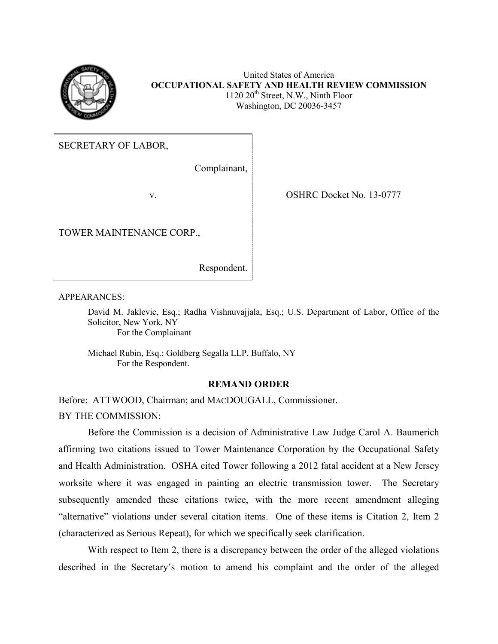

United States of America **OCCUPATIONAL SAFETY AND HEALTH REVIEW COMMISSION**  $1120 20<sup>th</sup>$  Street, N.W., Ninth Floor Washington, DC 20036-3457

SECRETARY OF LABOR,

Complainant,

TOWER MAINTENANCE CORP.,

v. SHRC Docket No. 13-0777

Respondent.

APPEARANCES:

David M. Jaklevic, Esq.; Radha Vishnuvajjala, Esq.; U.S. Department of Labor, Office of the Solicitor, New York, NY For the Complainant

Michael Rubin, Esq.; Goldberg Segalla LLP, Buffalo, NY For the Respondent.

# **REMAND ORDER**

Before: ATTWOOD, Chairman; and MACDOUGALL, Commissioner. BY THE COMMISSION:

Before the Commission is a decision of Administrative Law Judge Carol A. Baumerich affirming two citations issued to Tower Maintenance Corporation by the Occupational Safety and Health Administration. OSHA cited Tower following a 2012 fatal accident at a New Jersey worksite where it was engaged in painting an electric transmission tower. The Secretary subsequently amended these citations twice, with the more recent amendment alleging "alternative" violations under several citation items. One of these items is Citation 2, Item 2 (characterized as Serious Repeat), for which we specifically seek clarification.

With respect to Item 2, there is a discrepancy between the order of the alleged violations described in the Secretary's motion to amend his complaint and the order of the alleged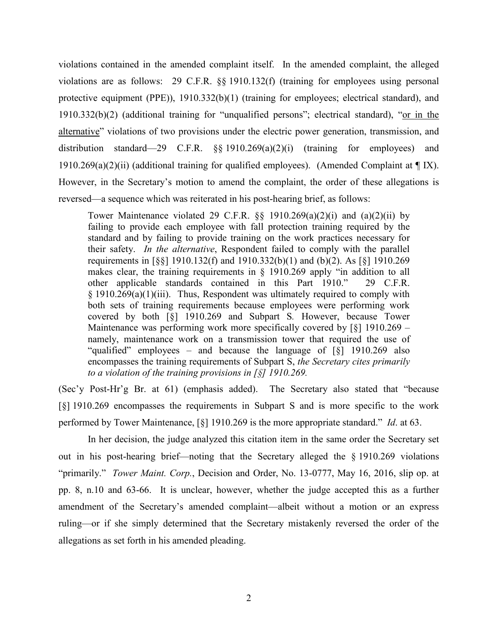violations contained in the amended complaint itself. In the amended complaint, the alleged violations are as follows: 29 C.F.R. §§ 1910.132(f) (training for employees using personal protective equipment (PPE)), 1910.332(b)(1) (training for employees; electrical standard), and 1910.332(b)(2) (additional training for "unqualified persons"; electrical standard), "or in the alternative" violations of two provisions under the electric power generation, transmission, and distribution standard—29 C.F.R. §§ 1910.269(a)(2)(i) (training for employees) and 1910.269(a)(2)(ii) (additional training for qualified employees). (Amended Complaint at  $\P$ IX). However, in the Secretary's motion to amend the complaint, the order of these allegations is reversed—a sequence which was reiterated in his post-hearing brief, as follows:

Tower Maintenance violated 29 C.F.R.  $\S$ § 1910.269(a)(2)(i) and (a)(2)(ii) by failing to provide each employee with fall protection training required by the standard and by failing to provide training on the work practices necessary for their safety. *In the alternative*, Respondent failed to comply with the parallel requirements in [§§] 1910.132(f) and 1910.332(b)(1) and (b)(2). As [§] 1910.269 makes clear, the training requirements in § 1910.269 apply "in addition to all other applicable standards contained in this Part 1910." 29 C.F.R. § 1910.269(a)(1)(iii). Thus, Respondent was ultimately required to comply with both sets of training requirements because employees were performing work covered by both [§] 1910.269 and Subpart S*.* However, because Tower Maintenance was performing work more specifically covered by  $\lceil \xi \rceil$  1910.269 – namely, maintenance work on a transmission tower that required the use of "qualified" employees – and because the language of [§] 1910.269 also encompasses the training requirements of Subpart S, *the Secretary cites primarily to a violation of the training provisions in [§] 1910.269.*

(Sec'y Post-Hr'g Br. at 61) (emphasis added). The Secretary also stated that "because [§] 1910.269 encompasses the requirements in Subpart S and is more specific to the work performed by Tower Maintenance, [§] 1910.269 is the more appropriate standard." *Id*. at 63.

In her decision, the judge analyzed this citation item in the same order the Secretary set out in his post-hearing brief—noting that the Secretary alleged the § 1910.269 violations "primarily." *Tower Maint. Corp.*, Decision and Order, No. 13-0777, May 16, 2016, slip op. at pp. 8, n.10 and 63-66. It is unclear, however, whether the judge accepted this as a further amendment of the Secretary's amended complaint—albeit without a motion or an express ruling—or if she simply determined that the Secretary mistakenly reversed the order of the allegations as set forth in his amended pleading.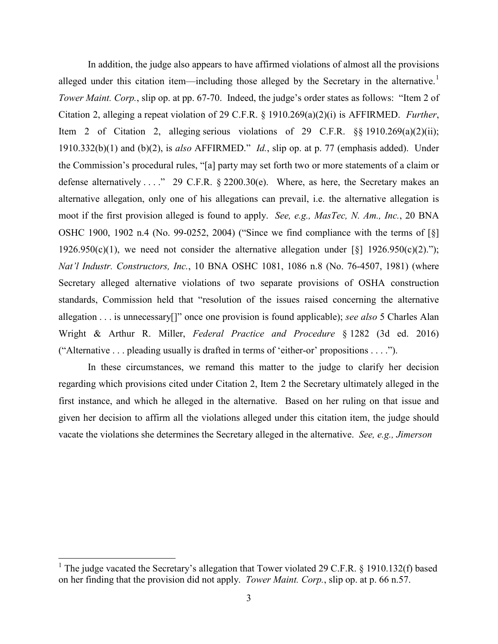In addition, the judge also appears to have affirmed violations of almost all the provisions alleged under this citation item—including those alleged by the Secretary in the alternative.<sup>[1](#page-2-0)</sup> *Tower Maint. Corp.*, slip op. at pp. 67-70. Indeed, the judge's order states as follows: "Item 2 of Citation 2, alleging a repeat violation of 29 C.F.R. § 1910.269(a)(2)(i) is AFFIRMED. *Further*, Item 2 of Citation 2, alleging serious violations of 29 C.F.R. §§ 1910.269(a)(2)(ii); 1910.332(b)(1) and (b)(2), is *also* AFFIRMED." *Id.*, slip op. at p. 77 (emphasis added). Under the Commission's procedural rules, "[a] party may set forth two or more statements of a claim or defense alternatively . . . " 29 C.F.R. § 2200.30(e). Where, as here, the Secretary makes an alternative allegation, only one of his allegations can prevail, i.e. the alternative allegation is moot if the first provision alleged is found to apply. *See, e.g., MasTec, N. Am., Inc.*, 20 BNA OSHC 1900, 1902 n.4 (No. 99-0252, 2004) ("Since we find compliance with the terms of [§] 1926.950(c)(1), we need not consider the alternative allegation under [§] 1926.950(c)(2)."); *Nat'l Industr. Constructors, Inc.*, 10 BNA OSHC 1081, 1086 n.8 (No. 76-4507, 1981) (where Secretary alleged alternative violations of two separate provisions of OSHA construction standards, Commission held that "resolution of the issues raised concerning the alternative allegation . . . is unnecessary[]" once one provision is found applicable); *see also* 5 Charles Alan Wright & Arthur R. Miller, *Federal Practice and Procedure* § 1282 (3d ed. 2016) ("Alternative . . . pleading usually is drafted in terms of 'either-or' propositions . . . .").

In these circumstances, we remand this matter to the judge to clarify her decision regarding which provisions cited under Citation 2, Item 2 the Secretary ultimately alleged in the first instance, and which he alleged in the alternative. Based on her ruling on that issue and given her decision to affirm all the violations alleged under this citation item, the judge should vacate the violations she determines the Secretary alleged in the alternative. *See, e.g., Jimerson* 

<span id="page-2-0"></span><sup>&</sup>lt;sup>1</sup> The judge vacated the Secretary's allegation that Tower violated 29 C.F.R. § 1910.132(f) based on her finding that the provision did not apply. *Tower Maint. Corp.*, slip op. at p. 66 n.57.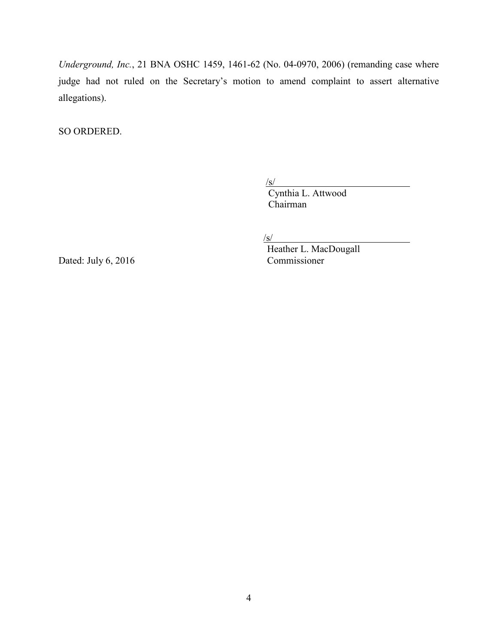*Underground, Inc.*, 21 BNA OSHC 1459, 1461-62 (No. 04-0970, 2006) (remanding case where judge had not ruled on the Secretary's motion to amend complaint to assert alternative allegations).

SO ORDERED.

 $\sqrt{s/2}$ 

 $\frac{S}{S}$ Cynthia L. Attwood Chairman

 $\sqrt{s/2}$ 

Dated: July  $6, 2016$ 

Heather L. MacDougall<br>Commissioner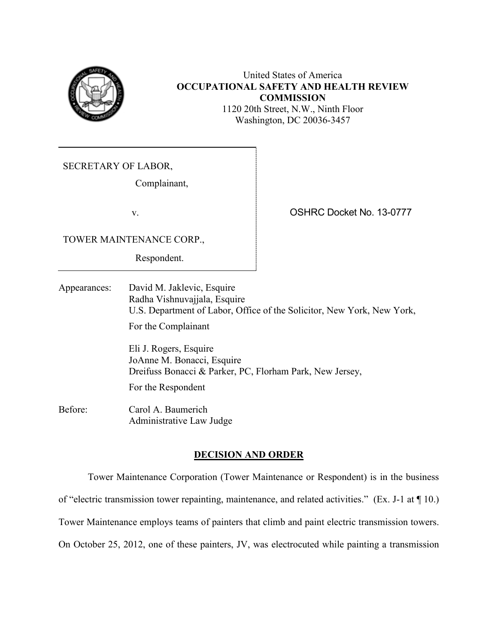

# United States of America **OCCUPATIONAL SAFETY AND HEALTH REVIEW COMMISSION**

1120 20th Street, N.W., Ninth Floor Washington, DC 20036-3457

SECRETARY OF LABOR,

Complainant,

v. OSHRC Docket No. 13-0777

TOWER MAINTENANCE CORP.,

Respondent.

Appearances: David M. Jaklevic, Esquire Radha Vishnuvajjala, Esquire U.S. Department of Labor, Office of the Solicitor, New York, New York, For the Complainant

> Eli J. Rogers, Esquire JoAnne M. Bonacci, Esquire Dreifuss Bonacci & Parker, PC, Florham Park, New Jersey,

For the Respondent

Before: Carol A. Baumerich Administrative Law Judge

# **DECISION AND ORDER**

Tower Maintenance Corporation (Tower Maintenance or Respondent) is in the business

of "electric transmission tower repainting, maintenance, and related activities." (Ex. J-1 at ¶ 10.)

Tower Maintenance employs teams of painters that climb and paint electric transmission towers.

On October 25, 2012, one of these painters, JV, was electrocuted while painting a transmission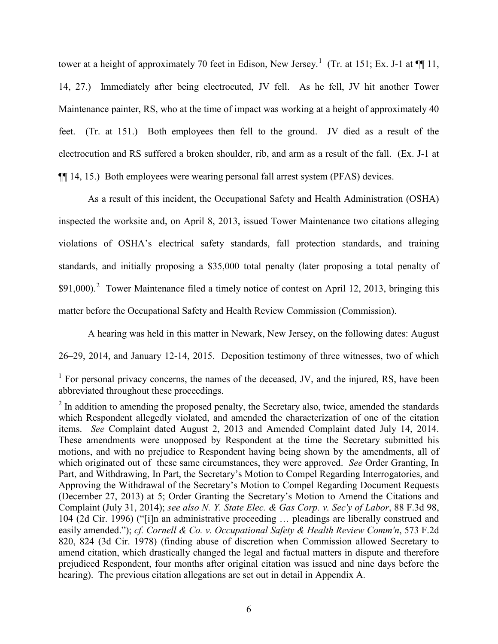tower at a height of approximately 70 feet in Edison, New Jersey.<sup>[1](#page-5-0)</sup> (Tr. at 151; Ex. J-1 at  $\P$  11, 14, 27.) Immediately after being electrocuted, JV fell. As he fell, JV hit another Tower Maintenance painter, RS, who at the time of impact was working at a height of approximately 40 feet. (Tr. at 151.) Both employees then fell to the ground. JV died as a result of the electrocution and RS suffered a broken shoulder, rib, and arm as a result of the fall. (Ex. J-1 at ¶¶ 14, 15.) Both employees were wearing personal fall arrest system (PFAS) devices.

As a result of this incident, the Occupational Safety and Health Administration (OSHA) inspected the worksite and, on April 8, 2013, issued Tower Maintenance two citations alleging violations of OSHA's electrical safety standards, fall protection standards, and training standards, and initially proposing a \$35,000 total penalty (later proposing a total penalty of  $$91,000$ .<sup>[2](#page-5-1)</sup> Tower Maintenance filed a timely notice of contest on April 12, 2013, bringing this matter before the Occupational Safety and Health Review Commission (Commission).

A hearing was held in this matter in Newark, New Jersey, on the following dates: August

26–29, 2014, and January 12-14, 2015. Deposition testimony of three witnesses, two of which

<span id="page-5-0"></span> $<sup>1</sup>$  For personal privacy concerns, the names of the deceased, JV, and the injured, RS, have been</sup> abbreviated throughout these proceedings.

<span id="page-5-1"></span> $2 \text{ In addition to a modeling the proposed penalty, the Secretary also, twice, amended the standards.}$ which Respondent allegedly violated, and amended the characterization of one of the citation items. *See* Complaint dated August 2, 2013 and Amended Complaint dated July 14, 2014. These amendments were unopposed by Respondent at the time the Secretary submitted his motions, and with no prejudice to Respondent having being shown by the amendments, all of which originated out of these same circumstances, they were approved. *See* Order Granting, In Part, and Withdrawing, In Part, the Secretary's Motion to Compel Regarding Interrogatories, and Approving the Withdrawal of the Secretary's Motion to Compel Regarding Document Requests (December 27, 2013) at 5; Order Granting the Secretary's Motion to Amend the Citations and Complaint (July 31, 2014); *see also N. Y. State Elec. & Gas Corp. v. Sec'y of Labor*, 88 F.3d 98, 104 (2d Cir. 1996) ("[i]n an administrative proceeding … pleadings are liberally construed and easily amended."); *cf. Cornell & Co. v. Occupational Safety & Health Review Comm'n*, 573 F.2d 820, 824 (3d Cir. 1978) (finding abuse of discretion when Commission allowed Secretary to amend citation, which drastically changed the legal and factual matters in dispute and therefore prejudiced Respondent, four months after original citation was issued and nine days before the hearing). The previous citation allegations are set out in detail in Appendix A.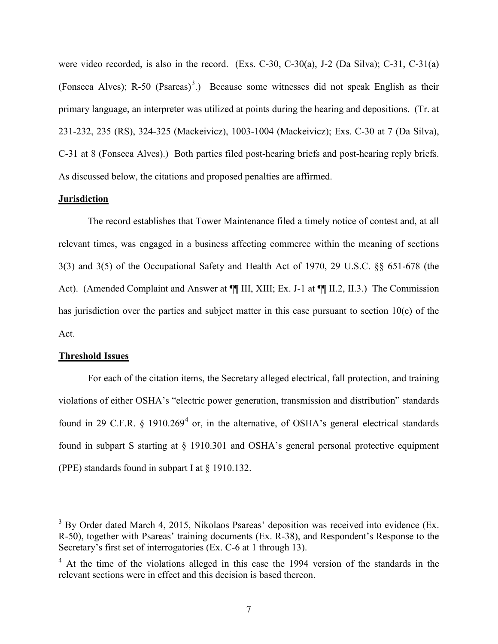were video recorded, is also in the record. (Exs. C-30, C-30(a), J-2 (Da Silva); C-31, C-31(a) (Fonseca Alves); R-50 (Psareas)<sup>[3](#page-6-0)</sup>.) Because some witnesses did not speak English as their primary language, an interpreter was utilized at points during the hearing and depositions. (Tr. at 231-232, 235 (RS), 324-325 (Mackeivicz), 1003-1004 (Mackeivicz); Exs. C-30 at 7 (Da Silva), C-31 at 8 (Fonseca Alves).) Both parties filed post-hearing briefs and post-hearing reply briefs. As discussed below, the citations and proposed penalties are affirmed.

#### **Jurisdiction**

The record establishes that Tower Maintenance filed a timely notice of contest and, at all relevant times, was engaged in a business affecting commerce within the meaning of sections 3(3) and 3(5) of the Occupational Safety and Health Act of 1970, 29 U.S.C. §§ 651-678 (the Act). (Amended Complaint and Answer at  $\P\P$  III, XIII; Ex. J-1 at  $\P\P$  II.2, II.3.) The Commission has jurisdiction over the parties and subject matter in this case pursuant to section 10(c) of the Act.

## **Threshold Issues**

 $\overline{a}$ 

For each of the citation items, the Secretary alleged electrical, fall protection, and training violations of either OSHA's "electric power generation, transmission and distribution" standards found in 29 C.F.R.  $\&$  1910.269<sup>[4](#page-6-1)</sup> or, in the alternative, of OSHA's general electrical standards found in subpart S starting at § 1910.301 and OSHA's general personal protective equipment (PPE) standards found in subpart I at § 1910.132.

<span id="page-6-0"></span> $3$  By Order dated March 4, 2015, Nikolaos Psareas' deposition was received into evidence (Ex. R-50), together with Psareas' training documents (Ex. R-38), and Respondent's Response to the Secretary's first set of interrogatories (Ex. C-6 at 1 through 13).

<span id="page-6-1"></span><sup>&</sup>lt;sup>4</sup> At the time of the violations alleged in this case the 1994 version of the standards in the relevant sections were in effect and this decision is based thereon.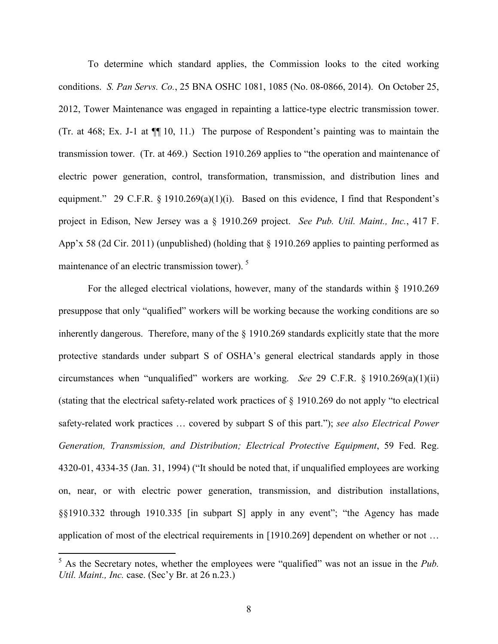To determine which standard applies, the Commission looks to the cited working conditions. *S. Pan Servs. Co.*, 25 BNA OSHC 1081, 1085 (No. 08-0866, 2014). On October 25, 2012, Tower Maintenance was engaged in repainting a lattice-type electric transmission tower. (Tr. at 468; Ex. J-1 at  $\P$ [10, 11.) The purpose of Respondent's painting was to maintain the transmission tower. (Tr. at 469.) Section 1910.269 applies to "the operation and maintenance of electric power generation, control, transformation, transmission, and distribution lines and equipment." 29 C.F.R. § 1910.269(a)(1)(i). Based on this evidence, I find that Respondent's project in Edison, New Jersey was a § 1910.269 project. *See Pub. Util. Maint., Inc.*, 417 F. App'x 58 (2d Cir. 2011) (unpublished) (holding that  $\S$  1910.269 applies to painting performed as maintenance of an electric transmission tower).<sup>[5](#page-7-0)</sup>

For the alleged electrical violations, however, many of the standards within § 1910.269 presuppose that only "qualified" workers will be working because the working conditions are so inherently dangerous. Therefore, many of the § 1910.269 standards explicitly state that the more protective standards under subpart S of OSHA's general electrical standards apply in those circumstances when "unqualified" workers are working. *See* 29 C.F.R. § 1910.269(a)(1)(ii) (stating that the electrical safety-related work practices of § 1910.269 do not apply "to electrical safety-related work practices … covered by subpart S of this part."); *see also Electrical Power Generation, Transmission, and Distribution; Electrical Protective Equipment*, 59 Fed. Reg. 4320-01, 4334-35 (Jan. 31, 1994) ("It should be noted that, if unqualified employees are working on, near, or with electric power generation, transmission, and distribution installations, §§1910.332 through 1910.335 [in subpart S] apply in any event"; "the Agency has made application of most of the electrical requirements in [1910.269] dependent on whether or not …

<span id="page-7-0"></span> $5$  As the Secretary notes, whether the employees were "qualified" was not an issue in the *Pub*. *Util. Maint., Inc.* case. (Sec'y Br. at 26 n.23.)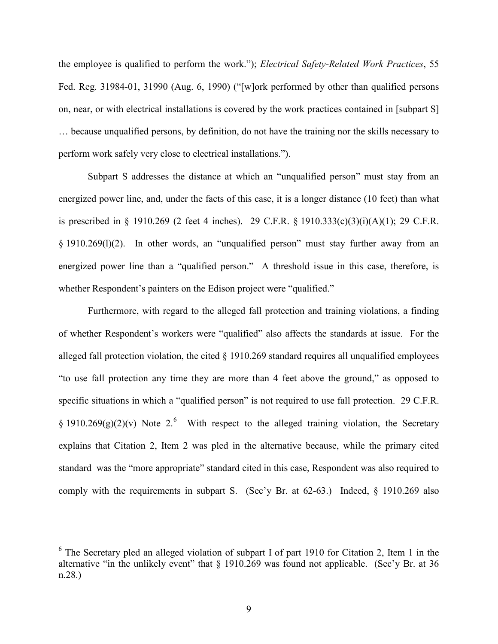the employee is qualified to perform the work."); *Electrical Safety-Related Work Practices*, 55 Fed. Reg. 31984-01, 31990 (Aug. 6, 1990) ("[w]ork performed by other than qualified persons on, near, or with electrical installations is covered by the work practices contained in [subpart S] … because unqualified persons, by definition, do not have the training nor the skills necessary to perform work safely very close to electrical installations.").

Subpart S addresses the distance at which an "unqualified person" must stay from an energized power line, and, under the facts of this case, it is a longer distance (10 feet) than what is prescribed in  $\S$  1910.269 (2 feet 4 inches). 29 C.F.R.  $\S$  1910.333(c)(3)(i)(A)(1); 29 C.F.R. § 1910.269(l)(2). In other words, an "unqualified person" must stay further away from an energized power line than a "qualified person." A threshold issue in this case, therefore, is whether Respondent's painters on the Edison project were "qualified."

Furthermore, with regard to the alleged fall protection and training violations, a finding of whether Respondent's workers were "qualified" also affects the standards at issue. For the alleged fall protection violation, the cited  $\S$  1910.269 standard requires all unqualified employees "to use fall protection any time they are more than 4 feet above the ground," as opposed to specific situations in which a "qualified person" is not required to use fall protection. 29 C.F.R. § 1910.2[6](#page-8-0)9(g)(2)(v) Note 2.<sup>6</sup> With respect to the alleged training violation, the Secretary explains that Citation 2, Item 2 was pled in the alternative because, while the primary cited standard was the "more appropriate" standard cited in this case, Respondent was also required to comply with the requirements in subpart S. (Sec'y Br. at 62-63.) Indeed, § 1910.269 also

<span id="page-8-0"></span><sup>&</sup>lt;sup>6</sup> The Secretary pled an alleged violation of subpart I of part 1910 for Citation 2, Item 1 in the alternative "in the unlikely event" that  $\S$  1910.269 was found not applicable. (Sec'y Br. at 36 n.28.)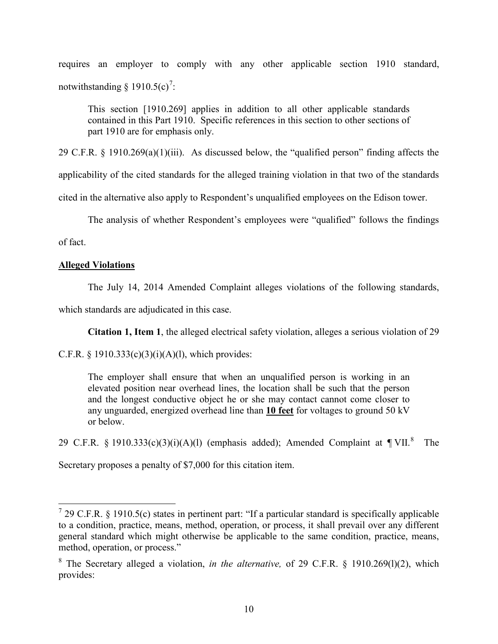requires an employer to comply with any other applicable section 1910 standard, notwithstanding  $\S$  1910.5(c)<sup>[7](#page-9-0)</sup>:

This section [1910.269] applies in addition to all other applicable standards contained in this Part 1910. Specific references in this section to other sections of part 1910 are for emphasis only.

29 C.F.R. § 1910.269(a)(1)(iii). As discussed below, the "qualified person" finding affects the

applicability of the cited standards for the alleged training violation in that two of the standards

cited in the alternative also apply to Respondent's unqualified employees on the Edison tower.

The analysis of whether Respondent's employees were "qualified" follows the findings

of fact.

 $\overline{a}$ 

## **Alleged Violations**

The July 14, 2014 Amended Complaint alleges violations of the following standards,

which standards are adjudicated in this case.

**Citation 1, Item 1**, the alleged electrical safety violation, alleges a serious violation of 29

C.F.R. § 1910.333(c)(3)(i)(A)(l), which provides:

The employer shall ensure that when an unqualified person is working in an elevated position near overhead lines, the location shall be such that the person and the longest conductive object he or she may contact cannot come closer to any unguarded, energized overhead line than **10 feet** for voltages to ground 50 kV or below.

29 C.F.R. § 1910.333(c)(3)(i)(A)(l) (emphasis added); Amended Complaint at  $\P$ VII.<sup>[8](#page-9-1)</sup> The

Secretary proposes a penalty of \$7,000 for this citation item.

<span id="page-9-0"></span> $7$  29 C.F.R. § 1910.5(c) states in pertinent part: "If a particular standard is specifically applicable to a condition, practice, means, method, operation, or process, it shall prevail over any different general standard which might otherwise be applicable to the same condition, practice, means, method, operation, or process."

<span id="page-9-1"></span><sup>8</sup> The Secretary alleged a violation, *in the alternative,* of 29 C.F.R. § 1910.269(l)(2), which provides: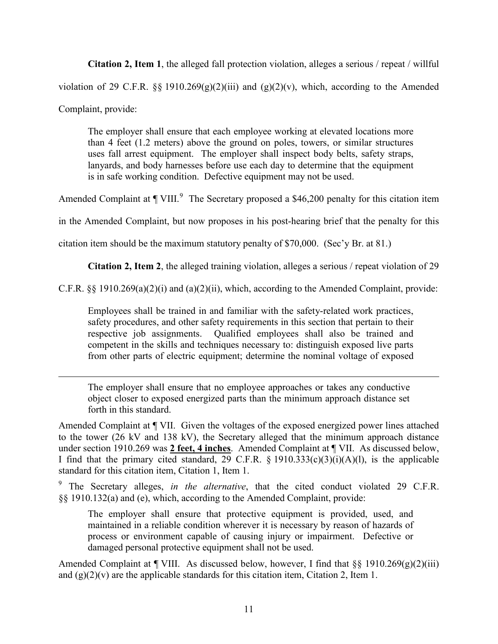**Citation 2, Item 1**, the alleged fall protection violation, alleges a serious / repeat / willful violation of 29 C.F.R.  $\S$  1910.269(g)(2)(iii) and (g)(2)(v), which, according to the Amended Complaint, provide:

The employer shall ensure that each employee working at elevated locations more than 4 feet (1.2 meters) above the ground on poles, towers, or similar structures uses fall arrest equipment. The employer shall inspect body belts, safety straps, lanyards, and body harnesses before use each day to determine that the equipment is in safe working condition. Defective equipment may not be used.

Amended Complaint at  $\P$  VIII.<sup>[9](#page-10-0)</sup> The Secretary proposed a \$46,200 penalty for this citation item

in the Amended Complaint, but now proposes in his post-hearing brief that the penalty for this

citation item should be the maximum statutory penalty of \$70,000. (Sec'y Br. at 81.)

 $\overline{a}$ 

**Citation 2, Item 2**, the alleged training violation, alleges a serious / repeat violation of 29

C.F.R. §§ 1910.269(a)(2)(i) and (a)(2)(ii), which, according to the Amended Complaint, provide:

Employees shall be trained in and familiar with the safety-related work practices, safety procedures, and other safety requirements in this section that pertain to their respective job assignments. Qualified employees shall also be trained and competent in the skills and techniques necessary to: distinguish exposed live parts from other parts of electric equipment; determine the nominal voltage of exposed

The employer shall ensure that no employee approaches or takes any conductive object closer to exposed energized parts than the minimum approach distance set forth in this standard.

Amended Complaint at ¶ VII. Given the voltages of the exposed energized power lines attached to the tower (26 kV and 138 kV), the Secretary alleged that the minimum approach distance under section 1910.269 was **2 feet, 4 inches**. Amended Complaint at ¶ VII. As discussed below, I find that the primary cited standard, 29 C.F.R. § 1910.333(c)(3)(i)(A)(l), is the applicable standard for this citation item, Citation 1, Item 1.

<span id="page-10-0"></span><sup>9</sup> The Secretary alleges, *in the alternative*, that the cited conduct violated 29 C.F.R. §§ 1910.132(a) and (e), which, according to the Amended Complaint, provide:

The employer shall ensure that protective equipment is provided, used, and maintained in a reliable condition wherever it is necessary by reason of hazards of process or environment capable of causing injury or impairment. Defective or damaged personal protective equipment shall not be used.

Amended Complaint at  $\P$  VIII. As discussed below, however, I find that §§ 1910.269(g)(2)(iii) and  $(g)(2)(v)$  are the applicable standards for this citation item, Citation 2, Item 1.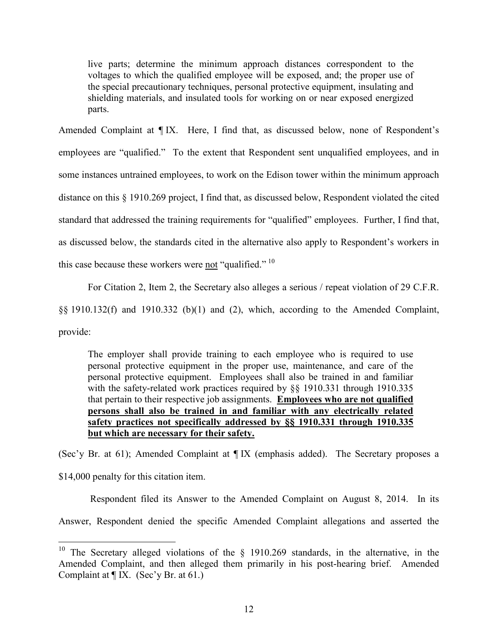live parts; determine the minimum approach distances correspondent to the voltages to which the qualified employee will be exposed, and; the proper use of the special precautionary techniques, personal protective equipment, insulating and shielding materials, and insulated tools for working on or near exposed energized parts.

Amended Complaint at ¶ IX. Here, I find that, as discussed below, none of Respondent's employees are "qualified." To the extent that Respondent sent unqualified employees, and in some instances untrained employees, to work on the Edison tower within the minimum approach distance on this § 1910.269 project, I find that, as discussed below, Respondent violated the cited standard that addressed the training requirements for "qualified" employees. Further, I find that, as discussed below, the standards cited in the alternative also apply to Respondent's workers in this case because these workers were not "qualified."  $^{10}$  $^{10}$  $^{10}$ 

For Citation 2, Item 2, the Secretary also alleges a serious / repeat violation of 29 C.F.R.

§§ 1910.132(f) and 1910.332 (b)(1) and (2), which, according to the Amended Complaint,

provide:

 $\overline{a}$ 

The employer shall provide training to each employee who is required to use personal protective equipment in the proper use, maintenance, and care of the personal protective equipment. Employees shall also be trained in and familiar with the safety-related work practices required by §§ 1910.331 through 1910.335 that pertain to their respective job assignments. **Employees who are not qualified persons shall also be trained in and familiar with any electrically related safety practices not specifically addressed by §§ 1910.331 through 1910.335 but which are necessary for their safety.** 

(Sec'y Br. at 61); Amended Complaint at ¶ IX (emphasis added). The Secretary proposes a \$14,000 penalty for this citation item.

Respondent filed its Answer to the Amended Complaint on August 8, 2014. In its

Answer, Respondent denied the specific Amended Complaint allegations and asserted the

<span id="page-11-0"></span><sup>&</sup>lt;sup>10</sup> The Secretary alleged violations of the  $\S$  1910.269 standards, in the alternative, in the Amended Complaint, and then alleged them primarily in his post-hearing brief. Amended Complaint at  $\P$  IX. (Sec'y Br. at 61.)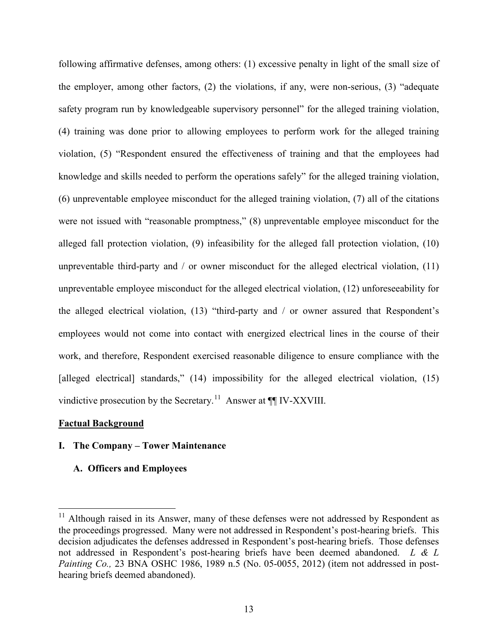following affirmative defenses, among others: (1) excessive penalty in light of the small size of the employer, among other factors, (2) the violations, if any, were non-serious, (3) "adequate safety program run by knowledgeable supervisory personnel" for the alleged training violation, (4) training was done prior to allowing employees to perform work for the alleged training violation, (5) "Respondent ensured the effectiveness of training and that the employees had knowledge and skills needed to perform the operations safely" for the alleged training violation, (6) unpreventable employee misconduct for the alleged training violation, (7) all of the citations were not issued with "reasonable promptness," (8) unpreventable employee misconduct for the alleged fall protection violation, (9) infeasibility for the alleged fall protection violation, (10) unpreventable third-party and  $\ell$  or owner misconduct for the alleged electrical violation,  $(11)$ unpreventable employee misconduct for the alleged electrical violation, (12) unforeseeability for the alleged electrical violation, (13) "third-party and / or owner assured that Respondent's employees would not come into contact with energized electrical lines in the course of their work, and therefore, Respondent exercised reasonable diligence to ensure compliance with the [alleged electrical] standards," (14) impossibility for the alleged electrical violation, (15) vindictive prosecution by the Secretary.<sup>11</sup> Answer at  $\P$  IV-XXVIII.

## **Factual Background**

 $\overline{a}$ 

# **I. The Company – Tower Maintenance**

## **A. Officers and Employees**

<span id="page-12-0"></span> $11$  Although raised in its Answer, many of these defenses were not addressed by Respondent as the proceedings progressed. Many were not addressed in Respondent's post-hearing briefs. This decision adjudicates the defenses addressed in Respondent's post-hearing briefs. Those defenses not addressed in Respondent's post-hearing briefs have been deemed abandoned. *L & L Painting Co.,* 23 BNA OSHC 1986, 1989 n.5 (No. 05-0055, 2012) (item not addressed in posthearing briefs deemed abandoned).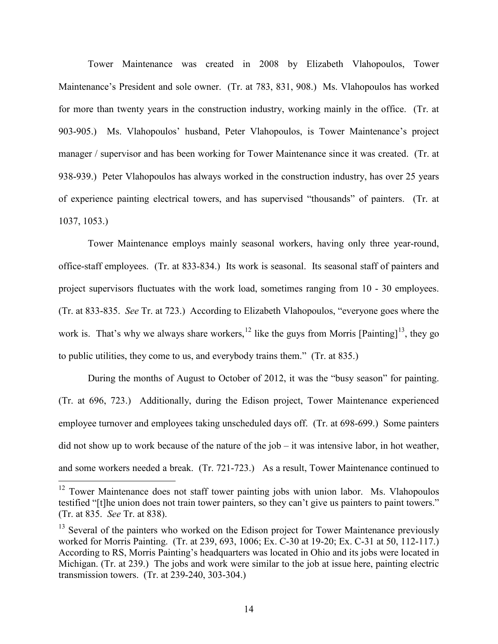Tower Maintenance was created in 2008 by Elizabeth Vlahopoulos, Tower Maintenance's President and sole owner. (Tr. at 783, 831, 908.) Ms. Vlahopoulos has worked for more than twenty years in the construction industry, working mainly in the office. (Tr. at 903-905.) Ms. Vlahopoulos' husband, Peter Vlahopoulos, is Tower Maintenance's project manager / supervisor and has been working for Tower Maintenance since it was created. (Tr. at 938-939.) Peter Vlahopoulos has always worked in the construction industry, has over 25 years of experience painting electrical towers, and has supervised "thousands" of painters. (Tr. at 1037, 1053.)

Tower Maintenance employs mainly seasonal workers, having only three year-round, office-staff employees. (Tr. at 833-834.) Its work is seasonal. Its seasonal staff of painters and project supervisors fluctuates with the work load, sometimes ranging from 10 - 30 employees. (Tr. at 833-835. *See* Tr. at 723.) According to Elizabeth Vlahopoulos, "everyone goes where the work is. That's why we always share workers,  $^{12}$  $^{12}$  $^{12}$  like the guys from Morris [Painting]<sup>13</sup>, they go to public utilities, they come to us, and everybody trains them." (Tr. at 835.)

During the months of August to October of 2012, it was the "busy season" for painting. (Tr. at 696, 723.) Additionally, during the Edison project, Tower Maintenance experienced employee turnover and employees taking unscheduled days off. (Tr. at 698-699.) Some painters did not show up to work because of the nature of the job – it was intensive labor, in hot weather, and some workers needed a break. (Tr. 721-723.) As a result, Tower Maintenance continued to

<span id="page-13-0"></span> $12$  Tower Maintenance does not staff tower painting jobs with union labor. Ms. Vlahopoulos testified "[t]he union does not train tower painters, so they can't give us painters to paint towers." (Tr. at 835. *See* Tr. at 838).

<span id="page-13-1"></span> $13$  Several of the painters who worked on the Edison project for Tower Maintenance previously worked for Morris Painting. (Tr. at 239, 693, 1006; Ex. C-30 at 19-20; Ex. C-31 at 50, 112-117.) According to RS, Morris Painting's headquarters was located in Ohio and its jobs were located in Michigan. (Tr. at 239.) The jobs and work were similar to the job at issue here, painting electric transmission towers. (Tr. at 239-240, 303-304.)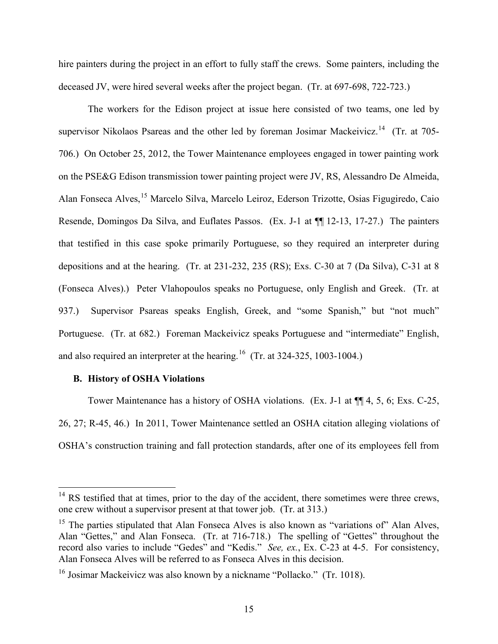hire painters during the project in an effort to fully staff the crews. Some painters, including the deceased JV, were hired several weeks after the project began. (Tr. at 697-698, 722-723.)

The workers for the Edison project at issue here consisted of two teams, one led by supervisor Nikolaos Psareas and the other led by foreman Josimar Mackeivicz.<sup>14</sup> (Tr. at 705-706.) On October 25, 2012, the Tower Maintenance employees engaged in tower painting work on the PSE&G Edison transmission tower painting project were JV, RS, Alessandro De Almeida, Alan Fonseca Alves, [15](#page-14-1) Marcelo Silva, Marcelo Leiroz, Ederson Trizotte, Osias Figugiredo, Caio Resende, Domingos Da Silva, and Euflates Passos. (Ex. J-1 at ¶¶ 12-13, 17-27.) The painters that testified in this case spoke primarily Portuguese, so they required an interpreter during depositions and at the hearing. (Tr. at 231-232, 235 (RS); Exs. C-30 at 7 (Da Silva), C-31 at 8 (Fonseca Alves).) Peter Vlahopoulos speaks no Portuguese, only English and Greek. (Tr. at 937.) Supervisor Psareas speaks English, Greek, and "some Spanish," but "not much" Portuguese. (Tr. at 682.) Foreman Mackeivicz speaks Portuguese and "intermediate" English, and also required an interpreter at the hearing.<sup>16</sup> (Tr. at 324-325, 1003-1004.)

# **B. History of OSHA Violations**

 $\overline{a}$ 

Tower Maintenance has a history of OSHA violations. (Ex. J-1 at ¶¶ 4, 5, 6; Exs. C-25, 26, 27; R-45, 46.) In 2011, Tower Maintenance settled an OSHA citation alleging violations of OSHA's construction training and fall protection standards, after one of its employees fell from

<span id="page-14-0"></span> $14$  RS testified that at times, prior to the day of the accident, there sometimes were three crews, one crew without a supervisor present at that tower job. (Tr. at 313.)

<span id="page-14-1"></span><sup>&</sup>lt;sup>15</sup> The parties stipulated that Alan Fonseca Alves is also known as "variations of" Alan Alves, Alan "Gettes," and Alan Fonseca. (Tr. at 716-718.) The spelling of "Gettes" throughout the record also varies to include "Gedes" and "Kedis." *See, ex.*, Ex. C-23 at 4-5. For consistency, Alan Fonseca Alves will be referred to as Fonseca Alves in this decision.

<span id="page-14-2"></span><sup>&</sup>lt;sup>16</sup> Josimar Mackeivicz was also known by a nickname "Pollacko." (Tr. 1018).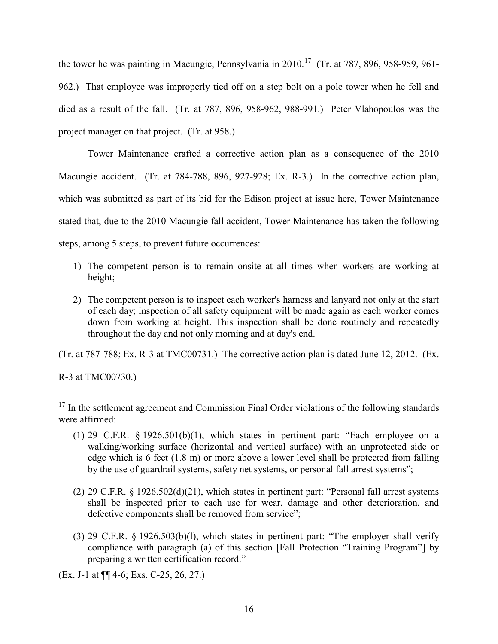the tower he was painting in Macungie, Pennsylvania in 2010.<sup>17</sup> (Tr. at 787, 896, 958-959, 961-962.) That employee was improperly tied off on a step bolt on a pole tower when he fell and died as a result of the fall. (Tr. at 787, 896, 958-962, 988-991.) Peter Vlahopoulos was the project manager on that project. (Tr. at 958.)

Tower Maintenance crafted a corrective action plan as a consequence of the 2010 Macungie accident. (Tr. at 784-788, 896, 927-928; Ex. R-3.) In the corrective action plan, which was submitted as part of its bid for the Edison project at issue here, Tower Maintenance stated that, due to the 2010 Macungie fall accident, Tower Maintenance has taken the following steps, among 5 steps, to prevent future occurrences:

- 1) The competent person is to remain onsite at all times when workers are working at height;
- 2) The competent person is to inspect each worker's harness and lanyard not only at the start of each day; inspection of all safety equipment will be made again as each worker comes down from working at height. This inspection shall be done routinely and repeatedly throughout the day and not only morning and at day's end.

(Tr. at 787-788; Ex. R-3 at TMC00731.) The corrective action plan is dated June 12, 2012. (Ex.

R-3 at TMC00730.)

- (1) 29 C.F.R. § 1926.501(b)(1), which states in pertinent part: "Each employee on a walking/working surface (horizontal and vertical surface) with an unprotected side or edge which is 6 feet (1.8 m) or more above a lower level shall be protected from falling by the use of guardrail systems, safety net systems, or personal fall arrest systems";
- (2) 29 C.F.R. § 1926.502(d)(21), which states in pertinent part: "Personal fall arrest systems shall be inspected prior to each use for wear, damage and other deterioration, and defective components shall be removed from service";
- (3) 29 C.F.R. § 1926.503(b)(l), which states in pertinent part: "The employer shall verify compliance with paragraph (a) of this section [Fall Protection "Training Program"] by preparing a written certification record."

(Ex. J-1 at ¶¶ 4-6; Exs. C-25, 26, 27.)

<span id="page-15-0"></span> $\overline{a}$  $17$  In the settlement agreement and Commission Final Order violations of the following standards were affirmed: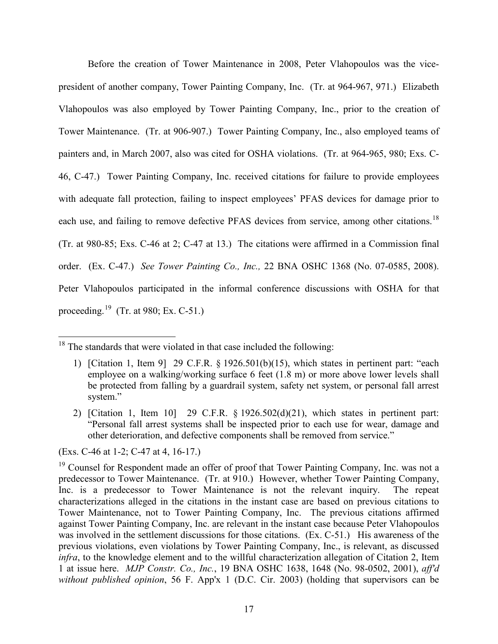Before the creation of Tower Maintenance in 2008, Peter Vlahopoulos was the vicepresident of another company, Tower Painting Company, Inc. (Tr. at 964-967, 971.) Elizabeth Vlahopoulos was also employed by Tower Painting Company, Inc., prior to the creation of Tower Maintenance. (Tr. at 906-907.) Tower Painting Company, Inc., also employed teams of painters and, in March 2007, also was cited for OSHA violations. (Tr. at 964-965, 980; Exs. C-46, C-47.) Tower Painting Company, Inc. received citations for failure to provide employees with adequate fall protection, failing to inspect employees' PFAS devices for damage prior to each use, and failing to remove defective PFAS devices from service, among other citations.<sup>[18](#page-16-0)</sup> (Tr. at 980-85; Exs. C-46 at 2; C-47 at 13.) The citations were affirmed in a Commission final order. (Ex. C-47.) *See Tower Painting Co., Inc.,* 22 BNA OSHC 1368 (No. 07-0585, 2008). Peter Vlahopoulos participated in the informal conference discussions with OSHA for that proceeding.[19](#page-16-1) (Tr. at 980; Ex. C-51.)

(Exs. C-46 at 1-2; C-47 at 4, 16-17.)

<span id="page-16-0"></span> $18$  The standards that were violated in that case included the following:

<sup>1)</sup> [Citation 1, Item 9] 29 C.F.R. § 1926.501(b)(15), which states in pertinent part: "each employee on a walking/working surface 6 feet (1.8 m) or more above lower levels shall be protected from falling by a guardrail system, safety net system, or personal fall arrest system."

<sup>2)</sup> [Citation 1, Item 10] 29 C.F.R. § 1926.502(d)(21), which states in pertinent part: "Personal fall arrest systems shall be inspected prior to each use for wear, damage and other deterioration, and defective components shall be removed from service."

<span id="page-16-1"></span><sup>&</sup>lt;sup>19</sup> Counsel for Respondent made an offer of proof that Tower Painting Company, Inc. was not a predecessor to Tower Maintenance. (Tr. at 910.) However, whether Tower Painting Company, Inc. is a predecessor to Tower Maintenance is not the relevant inquiry. The repeat characterizations alleged in the citations in the instant case are based on previous citations to Tower Maintenance, not to Tower Painting Company, Inc. The previous citations affirmed against Tower Painting Company, Inc. are relevant in the instant case because Peter Vlahopoulos was involved in the settlement discussions for those citations. (Ex. C-51.) His awareness of the previous violations, even violations by Tower Painting Company, Inc., is relevant, as discussed *infra*, to the knowledge element and to the willful characterization allegation of Citation 2, Item 1 at issue here. *MJP Constr. Co., Inc.*, 19 BNA OSHC 1638, 1648 (No. 98-0502, 2001), *aff'd without published opinion*, 56 F. App'x 1 (D.C. Cir. 2003) (holding that supervisors can be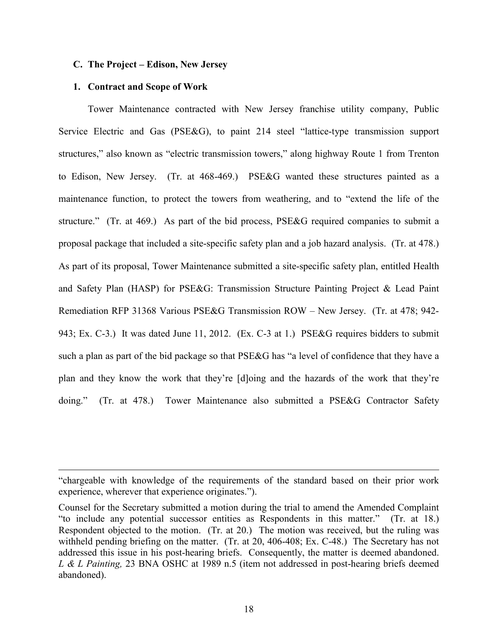## **C. The Project – Edison, New Jersey**

#### **1. Contract and Scope of Work**

 $\overline{a}$ 

Tower Maintenance contracted with New Jersey franchise utility company, Public Service Electric and Gas (PSE&G), to paint 214 steel "lattice-type transmission support structures," also known as "electric transmission towers," along highway Route 1 from Trenton to Edison, New Jersey. (Tr. at 468-469.) PSE&G wanted these structures painted as a maintenance function, to protect the towers from weathering, and to "extend the life of the structure." (Tr. at 469.) As part of the bid process, PSE&G required companies to submit a proposal package that included a site-specific safety plan and a job hazard analysis. (Tr. at 478.) As part of its proposal, Tower Maintenance submitted a site-specific safety plan, entitled Health and Safety Plan (HASP) for PSE&G: Transmission Structure Painting Project & Lead Paint Remediation RFP 31368 Various PSE&G Transmission ROW – New Jersey. (Tr. at 478; 942- 943; Ex. C-3.) It was dated June 11, 2012. (Ex. C-3 at 1.) PSE&G requires bidders to submit such a plan as part of the bid package so that PSE&G has "a level of confidence that they have a plan and they know the work that they're [d]oing and the hazards of the work that they're doing." (Tr. at 478.) Tower Maintenance also submitted a PSE&G Contractor Safety

<sup>&</sup>quot;chargeable with knowledge of the requirements of the standard based on their prior work experience, wherever that experience originates.").

Counsel for the Secretary submitted a motion during the trial to amend the Amended Complaint "to include any potential successor entities as Respondents in this matter." (Tr. at 18.) Respondent objected to the motion. (Tr. at 20.) The motion was received, but the ruling was withheld pending briefing on the matter. (Tr. at 20, 406-408; Ex. C-48.) The Secretary has not addressed this issue in his post-hearing briefs. Consequently, the matter is deemed abandoned. *L & L Painting,* 23 BNA OSHC at 1989 n.5 (item not addressed in post-hearing briefs deemed abandoned).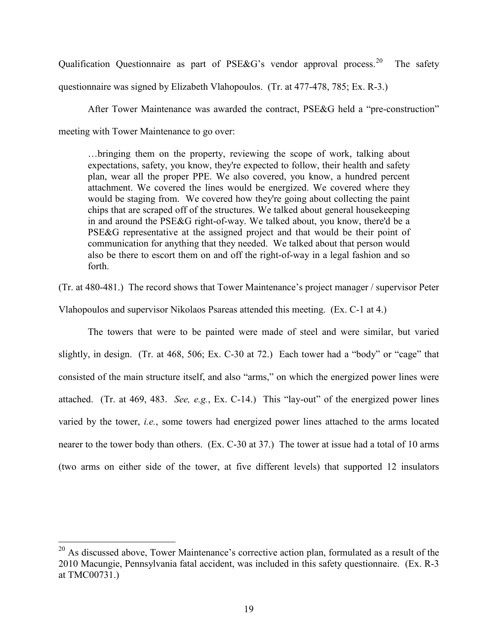Qualification Questionnaire as part of PSE&G's vendor approval process.<sup>20</sup> The safety questionnaire was signed by Elizabeth Vlahopoulos. (Tr. at 477-478, 785; Ex. R-3.)

After Tower Maintenance was awarded the contract, PSE&G held a "pre-construction" meeting with Tower Maintenance to go over:

…bringing them on the property, reviewing the scope of work, talking about expectations, safety, you know, they're expected to follow, their health and safety plan, wear all the proper PPE. We also covered, you know, a hundred percent attachment. We covered the lines would be energized. We covered where they would be staging from. We covered how they're going about collecting the paint chips that are scraped off of the structures. We talked about general housekeeping in and around the PSE&G right-of-way. We talked about, you know, there'd be a PSE&G representative at the assigned project and that would be their point of communication for anything that they needed. We talked about that person would also be there to escort them on and off the right-of-way in a legal fashion and so forth.

(Tr. at 480-481.) The record shows that Tower Maintenance's project manager / supervisor Peter

Vlahopoulos and supervisor Nikolaos Psareas attended this meeting. (Ex. C-1 at 4.)

The towers that were to be painted were made of steel and were similar, but varied slightly, in design. (Tr. at 468, 506; Ex. C-30 at 72.) Each tower had a "body" or "cage" that consisted of the main structure itself, and also "arms," on which the energized power lines were attached. (Tr. at 469, 483. *See, e.g.*, Ex. C-14.) This "lay-out" of the energized power lines varied by the tower, *i.e.*, some towers had energized power lines attached to the arms located nearer to the tower body than others. (Ex. C-30 at 37.) The tower at issue had a total of 10 arms (two arms on either side of the tower, at five different levels) that supported 12 insulators

<span id="page-18-0"></span> $20$  As discussed above, Tower Maintenance's corrective action plan, formulated as a result of the 2010 Macungie, Pennsylvania fatal accident, was included in this safety questionnaire. (Ex. R-3 at TMC00731.)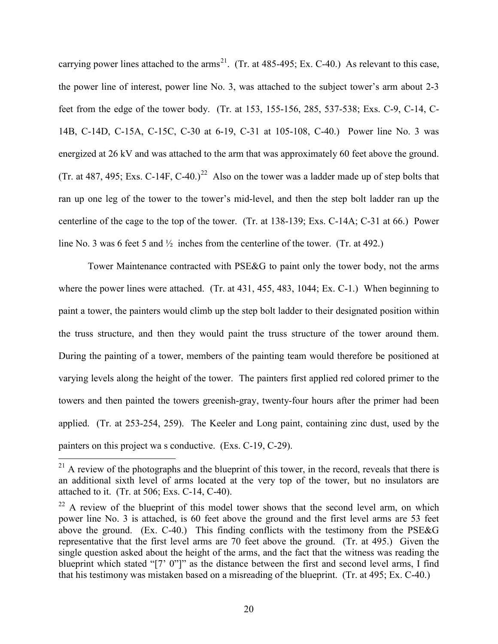carrying power lines attached to the arms<sup>[21](#page-19-0)</sup>. (Tr. at 485-495; Ex. C-40.) As relevant to this case, the power line of interest, power line No. 3, was attached to the subject tower's arm about 2-3 feet from the edge of the tower body. (Tr. at 153, 155-156, 285, 537-538; Exs. C-9, C-14, C-14B, C-14D, C-15A, C-15C, C-30 at 6-19, C-31 at 105-108, C-40.) Power line No. 3 was energized at 26 kV and was attached to the arm that was approximately 60 feet above the ground. (Tr. at 487, 495; Exs. C-14F, C-40.)<sup>[22](#page-19-1)</sup> Also on the tower was a ladder made up of step bolts that ran up one leg of the tower to the tower's mid-level, and then the step bolt ladder ran up the centerline of the cage to the top of the tower. (Tr. at 138-139; Exs. C-14A; C-31 at 66.) Power line No. 3 was 6 feet 5 and ½ inches from the centerline of the tower. (Tr. at 492.)

Tower Maintenance contracted with PSE&G to paint only the tower body, not the arms where the power lines were attached. (Tr. at 431, 455, 483, 1044; Ex. C-1.) When beginning to paint a tower, the painters would climb up the step bolt ladder to their designated position within the truss structure, and then they would paint the truss structure of the tower around them. During the painting of a tower, members of the painting team would therefore be positioned at varying levels along the height of the tower. The painters first applied red colored primer to the towers and then painted the towers greenish-gray, twenty-four hours after the primer had been applied. (Tr. at 253-254, 259). The Keeler and Long paint, containing zinc dust, used by the painters on this project wa s conductive. (Exs. C-19, C-29).

<span id="page-19-0"></span> $2<sup>21</sup>$  A review of the photographs and the blueprint of this tower, in the record, reveals that there is an additional sixth level of arms located at the very top of the tower, but no insulators are attached to it. (Tr. at 506; Exs. C-14, C-40).

<span id="page-19-1"></span> $22$  A review of the blueprint of this model tower shows that the second level arm, on which power line No. 3 is attached, is 60 feet above the ground and the first level arms are 53 feet above the ground. (Ex. C-40.) This finding conflicts with the testimony from the PSE&G representative that the first level arms are 70 feet above the ground. (Tr. at 495.) Given the single question asked about the height of the arms, and the fact that the witness was reading the blueprint which stated "[7' 0"]" as the distance between the first and second level arms, I find that his testimony was mistaken based on a misreading of the blueprint. (Tr. at 495; Ex. C-40.)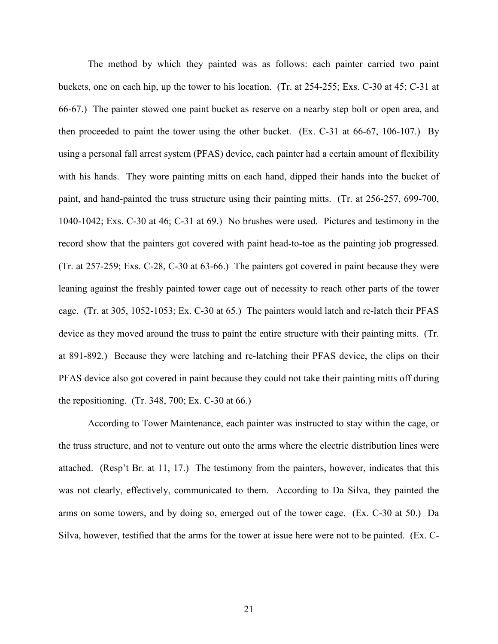The method by which they painted was as follows: each painter carried two paint buckets, one on each hip, up the tower to his location. (Tr. at 254-255; Exs. C-30 at 45; C-31 at 66-67.) The painter stowed one paint bucket as reserve on a nearby step bolt or open area, and then proceeded to paint the tower using the other bucket. (Ex. C-31 at  $66-67$ , 106-107.) By using a personal fall arrest system (PFAS) device, each painter had a certain amount of flexibility with his hands. They wore painting mitts on each hand, dipped their hands into the bucket of paint, and hand-painted the truss structure using their painting mitts. (Tr. at 256-257, 699-700, 1040-1042; Exs. C-30 at 46; C-31 at 69.) No brushes were used. Pictures and testimony in the record show that the painters got covered with paint head-to-toe as the painting job progressed. (Tr. at 257-259; Exs. C-28, C-30 at 63-66.) The painters got covered in paint because they were leaning against the freshly painted tower cage out of necessity to reach other parts of the tower cage. (Tr. at 305, 1052-1053; Ex. C-30 at 65.) The painters would latch and re-latch their PFAS device as they moved around the truss to paint the entire structure with their painting mitts. (Tr. at 891-892.) Because they were latching and re-latching their PFAS device, the clips on their PFAS device also got covered in paint because they could not take their painting mitts off during the repositioning. (Tr. 348, 700; Ex. C-30 at 66.)

According to Tower Maintenance, each painter was instructed to stay within the cage, or the truss structure, and not to venture out onto the arms where the electric distribution lines were attached. (Resp't Br. at 11, 17.) The testimony from the painters, however, indicates that this was not clearly, effectively, communicated to them. According to Da Silva, they painted the arms on some towers, and by doing so, emerged out of the tower cage. (Ex. C-30 at 50.) Da Silva, however, testified that the arms for the tower at issue here were not to be painted. (Ex. C-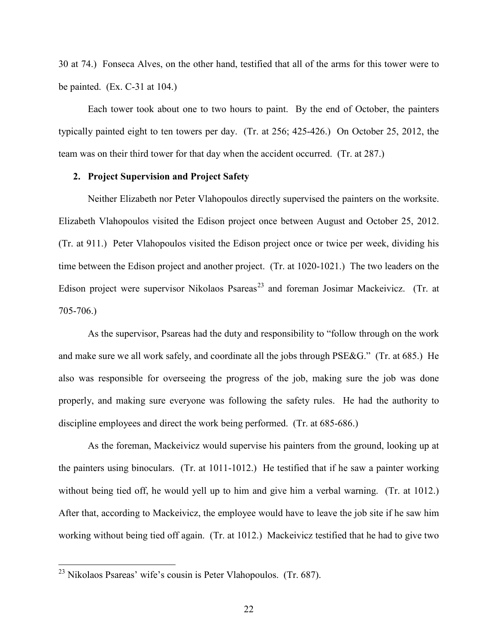30 at 74.) Fonseca Alves, on the other hand, testified that all of the arms for this tower were to be painted.  $(Ex. C-31$  at 104.)

Each tower took about one to two hours to paint. By the end of October, the painters typically painted eight to ten towers per day. (Tr. at 256; 425-426.) On October 25, 2012, the team was on their third tower for that day when the accident occurred. (Tr. at 287.)

## **2. Project Supervision and Project Safety**

Neither Elizabeth nor Peter Vlahopoulos directly supervised the painters on the worksite. Elizabeth Vlahopoulos visited the Edison project once between August and October 25, 2012. (Tr. at 911.) Peter Vlahopoulos visited the Edison project once or twice per week, dividing his time between the Edison project and another project. (Tr. at 1020-1021.) The two leaders on the Edison project were supervisor Nikolaos Psareas<sup>[23](#page-21-0)</sup> and foreman Josimar Mackeivicz. (Tr. at 705-706.)

As the supervisor, Psareas had the duty and responsibility to "follow through on the work and make sure we all work safely, and coordinate all the jobs through PSE&G." (Tr. at 685.) He also was responsible for overseeing the progress of the job, making sure the job was done properly, and making sure everyone was following the safety rules. He had the authority to discipline employees and direct the work being performed. (Tr. at 685-686.)

As the foreman, Mackeivicz would supervise his painters from the ground, looking up at the painters using binoculars. (Tr. at 1011-1012.) He testified that if he saw a painter working without being tied off, he would yell up to him and give him a verbal warning. (Tr. at 1012.) After that, according to Mackeivicz, the employee would have to leave the job site if he saw him working without being tied off again. (Tr. at 1012.) Mackeivicz testified that he had to give two

<span id="page-21-0"></span> $^{23}$  Nikolaos Psareas' wife's cousin is Peter Vlahopoulos. (Tr. 687).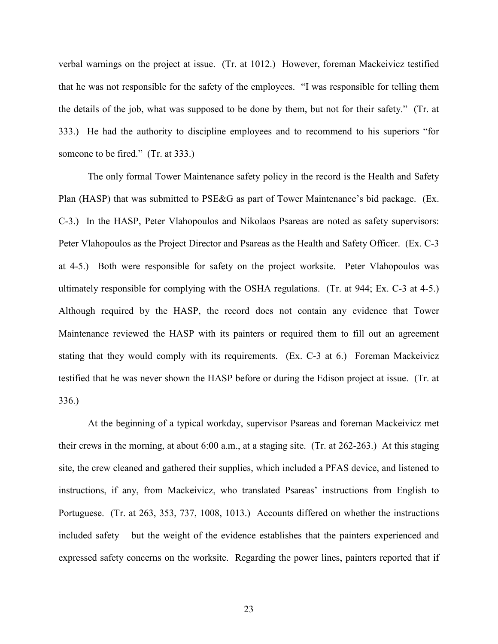verbal warnings on the project at issue. (Tr. at 1012.) However, foreman Mackeivicz testified that he was not responsible for the safety of the employees. "I was responsible for telling them the details of the job, what was supposed to be done by them, but not for their safety." (Tr. at 333.) He had the authority to discipline employees and to recommend to his superiors "for someone to be fired." (Tr. at 333.)

The only formal Tower Maintenance safety policy in the record is the Health and Safety Plan (HASP) that was submitted to PSE&G as part of Tower Maintenance's bid package. (Ex. C-3.) In the HASP, Peter Vlahopoulos and Nikolaos Psareas are noted as safety supervisors: Peter Vlahopoulos as the Project Director and Psareas as the Health and Safety Officer. (Ex. C-3 at 4-5.) Both were responsible for safety on the project worksite. Peter Vlahopoulos was ultimately responsible for complying with the OSHA regulations. (Tr. at 944; Ex. C-3 at 4-5.) Although required by the HASP, the record does not contain any evidence that Tower Maintenance reviewed the HASP with its painters or required them to fill out an agreement stating that they would comply with its requirements. (Ex. C-3 at 6.) Foreman Mackeivicz testified that he was never shown the HASP before or during the Edison project at issue. (Tr. at 336.)

At the beginning of a typical workday, supervisor Psareas and foreman Mackeivicz met their crews in the morning, at about 6:00 a.m., at a staging site. (Tr. at 262-263.) At this staging site, the crew cleaned and gathered their supplies, which included a PFAS device, and listened to instructions, if any, from Mackeivicz, who translated Psareas' instructions from English to Portuguese. (Tr. at 263, 353, 737, 1008, 1013.) Accounts differed on whether the instructions included safety – but the weight of the evidence establishes that the painters experienced and expressed safety concerns on the worksite. Regarding the power lines, painters reported that if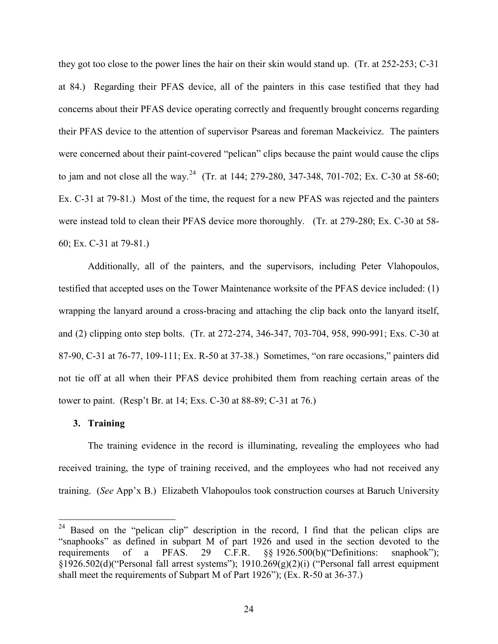they got too close to the power lines the hair on their skin would stand up. (Tr. at 252-253; C-31 at 84.) Regarding their PFAS device, all of the painters in this case testified that they had concerns about their PFAS device operating correctly and frequently brought concerns regarding their PFAS device to the attention of supervisor Psareas and foreman Mackeivicz. The painters were concerned about their paint-covered "pelican" clips because the paint would cause the clips to jam and not close all the way.<sup>[24](#page-23-0)</sup> (Tr. at 144; 279-280, 347-348, 701-702; Ex. C-30 at 58-60; Ex. C-31 at 79-81.) Most of the time, the request for a new PFAS was rejected and the painters were instead told to clean their PFAS device more thoroughly. (Tr. at 279-280; Ex. C-30 at 58- 60; Ex. C-31 at 79-81.)

Additionally, all of the painters, and the supervisors, including Peter Vlahopoulos, testified that accepted uses on the Tower Maintenance worksite of the PFAS device included: (1) wrapping the lanyard around a cross-bracing and attaching the clip back onto the lanyard itself, and (2) clipping onto step bolts. (Tr. at 272-274, 346-347, 703-704, 958, 990-991; Exs. C-30 at 87-90, C-31 at 76-77, 109-111; Ex. R-50 at 37-38.) Sometimes, "on rare occasions," painters did not tie off at all when their PFAS device prohibited them from reaching certain areas of the tower to paint. (Resp't Br. at 14; Exs. C-30 at 88-89; C-31 at 76.)

#### **3. Training**

 $\overline{a}$ 

The training evidence in the record is illuminating, revealing the employees who had received training, the type of training received, and the employees who had not received any training. (*See* App'x B.) Elizabeth Vlahopoulos took construction courses at Baruch University

<span id="page-23-0"></span> $24$  Based on the "pelican clip" description in the record, I find that the pelican clips are "snaphooks" as defined in subpart M of part 1926 and used in the section devoted to the requirements of a PFAS. 29 C.F.R. §§ 1926.500(b)("Definitions: snaphook"); §1926.502(d)("Personal fall arrest systems"); 1910.269(g)(2)(i) ("Personal fall arrest equipment shall meet the requirements of Subpart M of Part 1926"); (Ex. R-50 at 36-37.)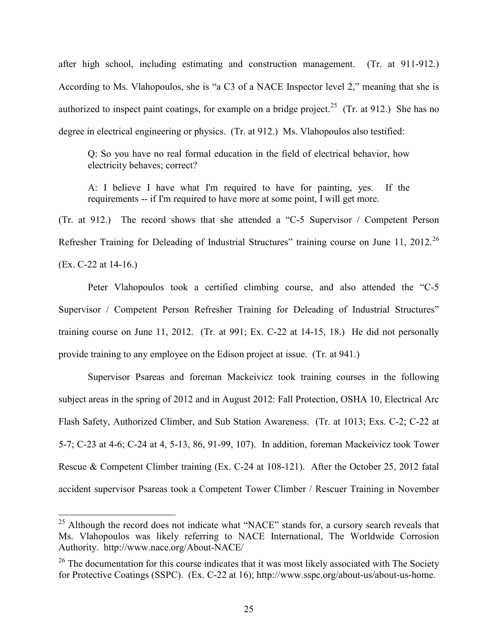after high school, including estimating and construction management. (Tr. at 911-912.) According to Ms. Vlahopoulos, she is "a C3 of a NACE Inspector level 2," meaning that she is authorized to inspect paint coatings, for example on a bridge project.<sup>25</sup> (Tr. at 912.) She has no degree in electrical engineering or physics. (Tr. at 912.) Ms. Vlahopoulos also testified:

Q: So you have no real formal education in the field of electrical behavior, how electricity behaves; correct?

A: I believe I have what I'm required to have for painting, yes. If the requirements -- if I'm required to have more at some point, I will get more.

(Tr. at 912.) The record shows that she attended a "C-5 Supervisor / Competent Person Refresher Training for Deleading of Industrial Structures" training course on June 11, 2012.<sup>[26](#page-24-1)</sup> (Ex. C-22 at 14-16.)

Peter Vlahopoulos took a certified climbing course, and also attended the "C-5 Supervisor / Competent Person Refresher Training for Deleading of Industrial Structures" training course on June 11, 2012. (Tr. at 991; Ex. C-22 at 14-15, 18.) He did not personally provide training to any employee on the Edison project at issue. (Tr. at 941.)

Supervisor Psareas and foreman Mackeivicz took training courses in the following subject areas in the spring of 2012 and in August 2012: Fall Protection, OSHA 10, Electrical Arc Flash Safety, Authorized Climber, and Sub Station Awareness. (Tr. at 1013; Exs. C-2; C-22 at 5-7; C-23 at 4-6; C-24 at 4, 5-13, 86, 91-99, 107). In addition, foreman Mackeivicz took Tower Rescue & Competent Climber training (Ex. C-24 at 108-121). After the October 25, 2012 fatal accident supervisor Psareas took a Competent Tower Climber / Rescuer Training in November

<span id="page-24-0"></span> $25$  Although the record does not indicate what "NACE" stands for, a cursory search reveals that Ms. Vlahopoulos was likely referring to NACE International, The Worldwide Corrosion Authority. http://www.nace.org/About-NACE/

<span id="page-24-1"></span> $26$  The documentation for this course indicates that it was most likely associated with The Society for Protective Coatings (SSPC). (Ex. C-22 at 16); http://www.sspc.org/about-us/about-us-home.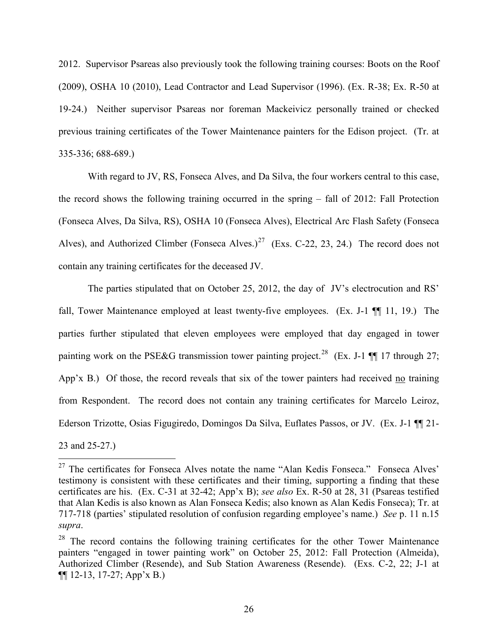2012. Supervisor Psareas also previously took the following training courses: Boots on the Roof (2009), OSHA 10 (2010), Lead Contractor and Lead Supervisor (1996). (Ex. R-38; Ex. R-50 at 19-24.) Neither supervisor Psareas nor foreman Mackeivicz personally trained or checked previous training certificates of the Tower Maintenance painters for the Edison project. (Tr. at 335-336; 688-689.)

With regard to JV, RS, Fonseca Alves, and Da Silva, the four workers central to this case, the record shows the following training occurred in the spring – fall of 2012: Fall Protection (Fonseca Alves, Da Silva, RS), OSHA 10 (Fonseca Alves), Electrical Arc Flash Safety (Fonseca Alves), and Authorized Climber (Fonseca Alves.)<sup>27</sup> (Exs. C-22, 23, 24.) The record does not contain any training certificates for the deceased JV.

The parties stipulated that on October 25, 2012, the day of JV's electrocution and RS' fall, Tower Maintenance employed at least twenty-five employees. (Ex. J-1  $\P$  11, 19.) The parties further stipulated that eleven employees were employed that day engaged in tower painting work on the PSE&G transmission tower painting project.<sup>28</sup> (Ex. J-1 ¶¶ 17 through 27; App'x B.) Of those, the record reveals that six of the tower painters had received no training from Respondent. The record does not contain any training certificates for Marcelo Leiroz, Ederson Trizotte, Osias Figugiredo, Domingos Da Silva, Euflates Passos, or JV. (Ex. J-1 ¶¶ 21-

23 and 25-27.)

<span id="page-25-0"></span> $\overline{a}$  $27$  The certificates for Fonseca Alves notate the name "Alan Kedis Fonseca." Fonseca Alves' testimony is consistent with these certificates and their timing, supporting a finding that these certificates are his. (Ex. C-31 at 32-42; App'x B); *see also* Ex. R-50 at 28, 31 (Psareas testified that Alan Kedis is also known as Alan Fonseca Kedis; also known as Alan Kedis Fonseca); Tr. at 717-718 (parties' stipulated resolution of confusion regarding employee's name.) *See* p. 11 n.15 *supra*.

<span id="page-25-1"></span><sup>&</sup>lt;sup>28</sup> The record contains the following training certificates for the other Tower Maintenance painters "engaged in tower painting work" on October 25, 2012: Fall Protection (Almeida), Authorized Climber (Resende), and Sub Station Awareness (Resende). (Exs. C-2, 22; J-1 at ¶¶ 12-13, 17-27; App'x B.)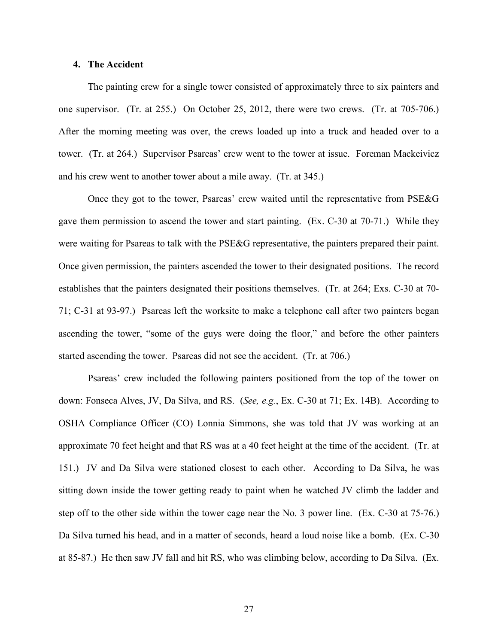#### **4. The Accident**

The painting crew for a single tower consisted of approximately three to six painters and one supervisor. (Tr. at 255.) On October 25, 2012, there were two crews. (Tr. at 705-706.) After the morning meeting was over, the crews loaded up into a truck and headed over to a tower. (Tr. at 264.) Supervisor Psareas' crew went to the tower at issue. Foreman Mackeivicz and his crew went to another tower about a mile away. (Tr. at 345.)

Once they got to the tower, Psareas' crew waited until the representative from PSE&G gave them permission to ascend the tower and start painting. (Ex. C-30 at 70-71.) While they were waiting for Psareas to talk with the PSE&G representative, the painters prepared their paint. Once given permission, the painters ascended the tower to their designated positions. The record establishes that the painters designated their positions themselves. (Tr. at 264; Exs. C-30 at 70- 71; C-31 at 93-97.) Psareas left the worksite to make a telephone call after two painters began ascending the tower, "some of the guys were doing the floor," and before the other painters started ascending the tower. Psareas did not see the accident. (Tr. at 706.)

Psareas' crew included the following painters positioned from the top of the tower on down: Fonseca Alves, JV, Da Silva, and RS. (*See, e.g.*, Ex. C-30 at 71; Ex. 14B). According to OSHA Compliance Officer (CO) Lonnia Simmons, she was told that JV was working at an approximate 70 feet height and that RS was at a 40 feet height at the time of the accident. (Tr. at 151.) JV and Da Silva were stationed closest to each other. According to Da Silva, he was sitting down inside the tower getting ready to paint when he watched JV climb the ladder and step off to the other side within the tower cage near the No. 3 power line. (Ex. C-30 at 75-76.) Da Silva turned his head, and in a matter of seconds, heard a loud noise like a bomb. (Ex. C-30 at 85-87.) He then saw JV fall and hit RS, who was climbing below, according to Da Silva. (Ex.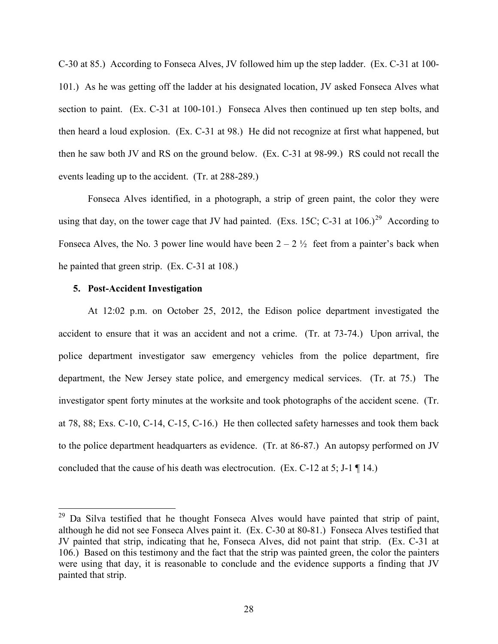C-30 at 85.) According to Fonseca Alves, JV followed him up the step ladder. (Ex. C-31 at 100- 101.) As he was getting off the ladder at his designated location, JV asked Fonseca Alves what section to paint. (Ex. C-31 at 100-101.) Fonseca Alves then continued up ten step bolts, and then heard a loud explosion. (Ex. C-31 at 98.) He did not recognize at first what happened, but then he saw both JV and RS on the ground below. (Ex. C-31 at 98-99.) RS could not recall the events leading up to the accident. (Tr. at 288-289.)

Fonseca Alves identified, in a photograph, a strip of green paint, the color they were using that day, on the tower cage that JV had painted. (Exs. 15C; C-31 at  $106.$ )<sup>29</sup> According to Fonseca Alves, the No. 3 power line would have been  $2 - 2 \frac{1}{2}$  feet from a painter's back when he painted that green strip. (Ex. C-31 at 108.)

#### **5. Post-Accident Investigation**

 $\overline{a}$ 

At 12:02 p.m. on October 25, 2012, the Edison police department investigated the accident to ensure that it was an accident and not a crime. (Tr. at 73-74.) Upon arrival, the police department investigator saw emergency vehicles from the police department, fire department, the New Jersey state police, and emergency medical services. (Tr. at 75.) The investigator spent forty minutes at the worksite and took photographs of the accident scene. (Tr. at 78, 88; Exs. C-10, C-14, C-15, C-16.) He then collected safety harnesses and took them back to the police department headquarters as evidence. (Tr. at 86-87.) An autopsy performed on JV concluded that the cause of his death was electrocution. (Ex. C-12 at 5; J-1 ¶ 14.)

<span id="page-27-0"></span><sup>&</sup>lt;sup>29</sup> Da Silva testified that he thought Fonseca Alves would have painted that strip of paint, although he did not see Fonseca Alves paint it. (Ex. C-30 at 80-81.) Fonseca Alves testified that JV painted that strip, indicating that he, Fonseca Alves, did not paint that strip. (Ex. C-31 at 106.) Based on this testimony and the fact that the strip was painted green, the color the painters were using that day, it is reasonable to conclude and the evidence supports a finding that JV painted that strip.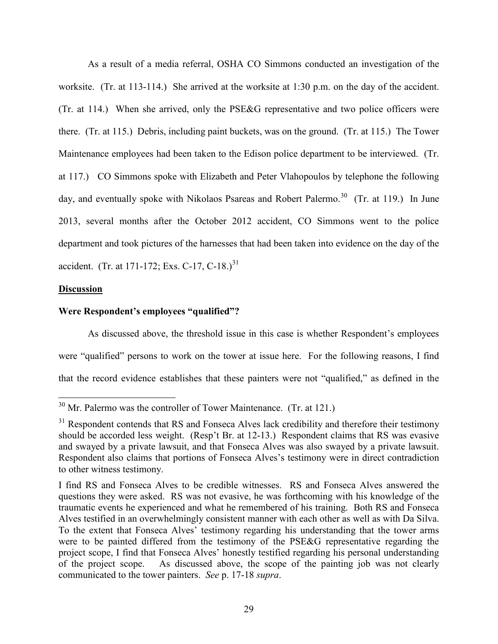As a result of a media referral, OSHA CO Simmons conducted an investigation of the worksite. (Tr. at 113-114.) She arrived at the worksite at 1:30 p.m. on the day of the accident. (Tr. at 114.) When she arrived, only the PSE&G representative and two police officers were there. (Tr. at 115.) Debris, including paint buckets, was on the ground. (Tr. at 115.) The Tower Maintenance employees had been taken to the Edison police department to be interviewed. (Tr. at 117.) CO Simmons spoke with Elizabeth and Peter Vlahopoulos by telephone the following day, and eventually spoke with Nikolaos Psareas and Robert Palermo.<sup>[30](#page-28-0)</sup> (Tr. at 119.) In June 2013, several months after the October 2012 accident, CO Simmons went to the police department and took pictures of the harnesses that had been taken into evidence on the day of the accident. (Tr. at 171-172; Exs. C-17, C-18.)<sup>31</sup>

## **Discussion**

 $\overline{a}$ 

## **Were Respondent's employees "qualified"?**

As discussed above, the threshold issue in this case is whether Respondent's employees were "qualified" persons to work on the tower at issue here. For the following reasons, I find that the record evidence establishes that these painters were not "qualified," as defined in the

<span id="page-28-0"></span> $30$  Mr. Palermo was the controller of Tower Maintenance. (Tr. at 121.)

<span id="page-28-1"></span> $31$  Respondent contends that RS and Fonseca Alves lack credibility and therefore their testimony should be accorded less weight. (Resp't Br. at 12-13.) Respondent claims that RS was evasive and swayed by a private lawsuit, and that Fonseca Alves was also swayed by a private lawsuit. Respondent also claims that portions of Fonseca Alves's testimony were in direct contradiction to other witness testimony.

I find RS and Fonseca Alves to be credible witnesses. RS and Fonseca Alves answered the questions they were asked. RS was not evasive, he was forthcoming with his knowledge of the traumatic events he experienced and what he remembered of his training. Both RS and Fonseca Alves testified in an overwhelmingly consistent manner with each other as well as with Da Silva. To the extent that Fonseca Alves' testimony regarding his understanding that the tower arms were to be painted differed from the testimony of the PSE&G representative regarding the project scope, I find that Fonseca Alves' honestly testified regarding his personal understanding of the project scope. As discussed above, the scope of the painting job was not clearly communicated to the tower painters. *See* p. 17-18 *supra*.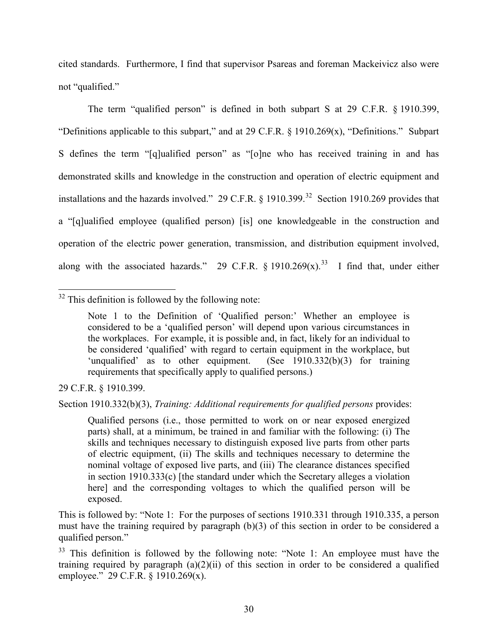cited standards. Furthermore, I find that supervisor Psareas and foreman Mackeivicz also were not "qualified."

The term "qualified person" is defined in both subpart S at 29 C.F.R. § 1910.399, "Definitions applicable to this subpart," and at 29 C.F.R. § 1910.269(x), "Definitions." Subpart S defines the term "[q]ualified person" as "[o]ne who has received training in and has demonstrated skills and knowledge in the construction and operation of electric equipment and installations and the hazards involved." 29 C.F.R.  $\S$  1910.399.<sup>32</sup> Section 1910.269 provides that a "[q]ualified employee (qualified person) [is] one knowledgeable in the construction and operation of the electric power generation, transmission, and distribution equipment involved, along with the associated hazards." 29 C.F.R. § 1910.269 $(x)$ .<sup>[33](#page-29-1)</sup> I find that, under either

<span id="page-29-0"></span> $\overline{a}$  $32$  This definition is followed by the following note:

29 C.F.R. § 1910.399.

Section 1910.332(b)(3), *Training: Additional requirements for qualified persons* provides:

Qualified persons (i.e., those permitted to work on or near exposed energized parts) shall, at a minimum, be trained in and familiar with the following: (i) The skills and techniques necessary to distinguish exposed live parts from other parts of electric equipment, (ii) The skills and techniques necessary to determine the nominal voltage of exposed live parts, and (iii) The clearance distances specified in section 1910.333(c) [the standard under which the Secretary alleges a violation here] and the corresponding voltages to which the qualified person will be exposed.

This is followed by: "Note 1: For the purposes of sections 1910.331 through 1910.335, a person must have the training required by paragraph (b)(3) of this section in order to be considered a qualified person."

<span id="page-29-1"></span><sup>33</sup> This definition is followed by the following note: "Note 1: An employee must have the training required by paragraph  $(a)(2)(ii)$  of this section in order to be considered a qualified employee." 29 C.F.R. § 1910.269(x).

Note 1 to the Definition of 'Qualified person:' Whether an employee is considered to be a 'qualified person' will depend upon various circumstances in the workplaces. For example, it is possible and, in fact, likely for an individual to be considered 'qualified' with regard to certain equipment in the workplace, but 'unqualified' as to other equipment. (See 1910.332(b)(3) for training 'unqualified' as to other equipment. requirements that specifically apply to qualified persons.)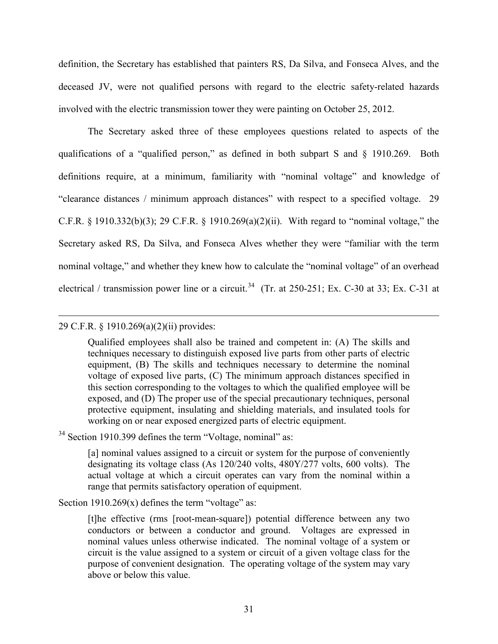definition, the Secretary has established that painters RS, Da Silva, and Fonseca Alves, and the deceased JV, were not qualified persons with regard to the electric safety-related hazards involved with the electric transmission tower they were painting on October 25, 2012.

The Secretary asked three of these employees questions related to aspects of the qualifications of a "qualified person," as defined in both subpart S and § 1910.269. Both definitions require, at a minimum, familiarity with "nominal voltage" and knowledge of "clearance distances / minimum approach distances" with respect to a specified voltage. 29 C.F.R. § 1910.332(b)(3); 29 C.F.R. § 1910.269(a)(2)(ii). With regard to "nominal voltage," the Secretary asked RS, Da Silva, and Fonseca Alves whether they were "familiar with the term nominal voltage," and whether they knew how to calculate the "nominal voltage" of an overhead electrical / transmission power line or a circuit.<sup>[34](#page-30-0)</sup> (Tr. at 250-251; Ex. C-30 at 33; Ex. C-31 at

# 29 C.F.R. § 1910.269(a)(2)(ii) provides:

 $\overline{a}$ 

Qualified employees shall also be trained and competent in: (A) The skills and techniques necessary to distinguish exposed live parts from other parts of electric equipment, (B) The skills and techniques necessary to determine the nominal voltage of exposed live parts, (C) The minimum approach distances specified in this section corresponding to the voltages to which the qualified employee will be exposed, and (D) The proper use of the special precautionary techniques, personal protective equipment, insulating and shielding materials, and insulated tools for working on or near exposed energized parts of electric equipment.

<span id="page-30-0"></span><sup>34</sup> Section 1910.399 defines the term "Voltage, nominal" as:

[a] nominal values assigned to a circuit or system for the purpose of conveniently designating its voltage class (As 120/240 volts, 480Y/277 volts, 600 volts). The actual voltage at which a circuit operates can vary from the nominal within a range that permits satisfactory operation of equipment.

Section  $1910.269(x)$  defines the term "voltage" as:

[t]he effective (rms [root-mean-square]) potential difference between any two conductors or between a conductor and ground. Voltages are expressed in nominal values unless otherwise indicated. The nominal voltage of a system or circuit is the value assigned to a system or circuit of a given voltage class for the purpose of convenient designation. The operating voltage of the system may vary above or below this value.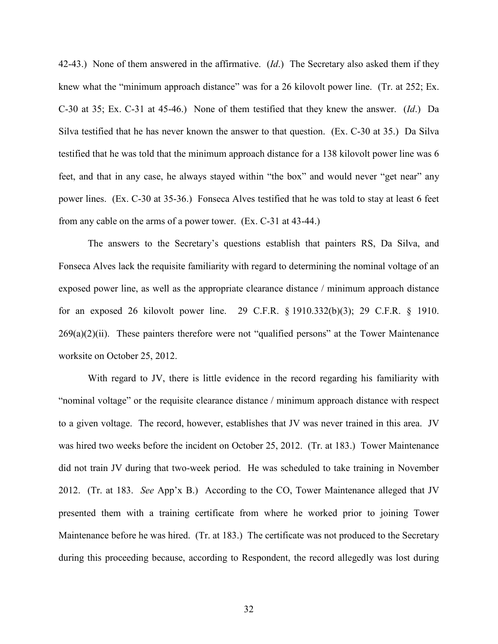42-43.) None of them answered in the affirmative. (*Id*.) The Secretary also asked them if they knew what the "minimum approach distance" was for a 26 kilovolt power line. (Tr. at 252; Ex. C-30 at 35; Ex. C-31 at 45-46.) None of them testified that they knew the answer. (*Id*.) Da Silva testified that he has never known the answer to that question. (Ex. C-30 at 35.) Da Silva testified that he was told that the minimum approach distance for a 138 kilovolt power line was 6 feet, and that in any case, he always stayed within "the box" and would never "get near" any power lines. (Ex. C-30 at 35-36.) Fonseca Alves testified that he was told to stay at least 6 feet from any cable on the arms of a power tower. (Ex. C-31 at 43-44.)

The answers to the Secretary's questions establish that painters RS, Da Silva, and Fonseca Alves lack the requisite familiarity with regard to determining the nominal voltage of an exposed power line, as well as the appropriate clearance distance / minimum approach distance for an exposed 26 kilovolt power line. 29 C.F.R. § 1910.332(b)(3); 29 C.F.R. § 1910.  $269(a)(2)(ii)$ . These painters therefore were not "qualified persons" at the Tower Maintenance worksite on October 25, 2012.

With regard to JV, there is little evidence in the record regarding his familiarity with "nominal voltage" or the requisite clearance distance / minimum approach distance with respect to a given voltage. The record, however, establishes that JV was never trained in this area. JV was hired two weeks before the incident on October 25, 2012. (Tr. at 183.) Tower Maintenance did not train JV during that two-week period. He was scheduled to take training in November 2012. (Tr. at 183. *See* App'x B.) According to the CO, Tower Maintenance alleged that JV presented them with a training certificate from where he worked prior to joining Tower Maintenance before he was hired. (Tr. at 183.) The certificate was not produced to the Secretary during this proceeding because, according to Respondent, the record allegedly was lost during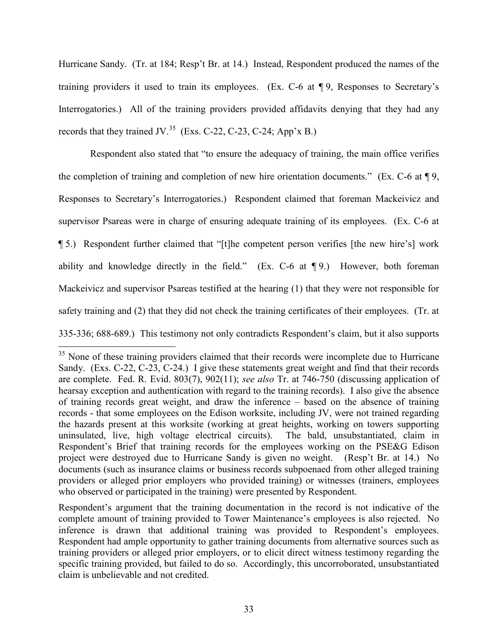Hurricane Sandy. (Tr. at 184; Resp't Br. at 14.) Instead, Respondent produced the names of the training providers it used to train its employees. (Ex. C-6 at ¶ 9, Responses to Secretary's Interrogatories.) All of the training providers provided affidavits denying that they had any records that they trained JV.<sup>[35](#page-32-0)</sup> (Exs. C-22, C-23, C-24; App'x B.)

Respondent also stated that "to ensure the adequacy of training, the main office verifies the completion of training and completion of new hire orientation documents." (Ex. C-6 at ¶ 9, Responses to Secretary's Interrogatories.) Respondent claimed that foreman Mackeivicz and supervisor Psareas were in charge of ensuring adequate training of its employees. (Ex. C-6 at ¶ 5.) Respondent further claimed that "[t]he competent person verifies [the new hire's] work ability and knowledge directly in the field." (Ex. C-6 at ¶ 9.) However, both foreman Mackeivicz and supervisor Psareas testified at the hearing (1) that they were not responsible for safety training and (2) that they did not check the training certificates of their employees. (Tr. at 335-336; 688-689.) This testimony not only contradicts Respondent's claim, but it also supports

<span id="page-32-0"></span><sup>&</sup>lt;sup>35</sup> None of these training providers claimed that their records were incomplete due to Hurricane Sandy. (Exs. C-22, C-23, C-24.) I give these statements great weight and find that their records are complete. Fed. R. Evid. 803(7), 902(11); *see also* Tr. at 746-750 (discussing application of hearsay exception and authentication with regard to the training records). I also give the absence of training records great weight, and draw the inference – based on the absence of training records - that some employees on the Edison worksite, including JV, were not trained regarding the hazards present at this worksite (working at great heights, working on towers supporting uninsulated, live, high voltage electrical circuits). The bald, unsubstantiated, claim in Respondent's Brief that training records for the employees working on the PSE&G Edison project were destroyed due to Hurricane Sandy is given no weight. (Resp't Br. at 14.) No documents (such as insurance claims or business records subpoenaed from other alleged training providers or alleged prior employers who provided training) or witnesses (trainers, employees who observed or participated in the training) were presented by Respondent.

Respondent's argument that the training documentation in the record is not indicative of the complete amount of training provided to Tower Maintenance's employees is also rejected. No inference is drawn that additional training was provided to Respondent's employees. Respondent had ample opportunity to gather training documents from alternative sources such as training providers or alleged prior employers, or to elicit direct witness testimony regarding the specific training provided, but failed to do so. Accordingly, this uncorroborated, unsubstantiated claim is unbelievable and not credited.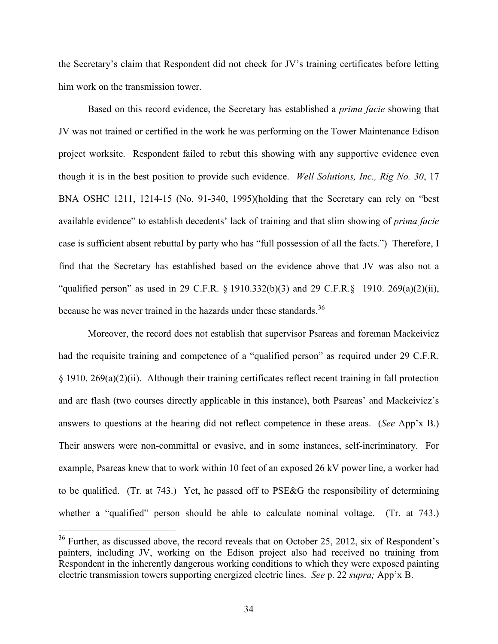the Secretary's claim that Respondent did not check for JV's training certificates before letting him work on the transmission tower.

Based on this record evidence, the Secretary has established a *prima facie* showing that JV was not trained or certified in the work he was performing on the Tower Maintenance Edison project worksite. Respondent failed to rebut this showing with any supportive evidence even though it is in the best position to provide such evidence. *Well Solutions, Inc., Rig No. 30*, 17 BNA OSHC 1211, 1214-15 (No. 91-340, 1995)(holding that the Secretary can rely on "best available evidence" to establish decedents' lack of training and that slim showing of *prima facie* case is sufficient absent rebuttal by party who has "full possession of all the facts.") Therefore, I find that the Secretary has established based on the evidence above that JV was also not a "qualified person" as used in 29 C.F.R. § 1910.332(b)(3) and 29 C.F.R.§ 1910. 269(a)(2)(ii), because he was never trained in the hazards under these standards.<sup>[36](#page-33-0)</sup>

Moreover, the record does not establish that supervisor Psareas and foreman Mackeivicz had the requisite training and competence of a "qualified person" as required under 29 C.F.R. § 1910. 269(a)(2)(ii). Although their training certificates reflect recent training in fall protection and arc flash (two courses directly applicable in this instance), both Psareas' and Mackeivicz's answers to questions at the hearing did not reflect competence in these areas. (*See* App'x B.) Their answers were non-committal or evasive, and in some instances, self-incriminatory. For example, Psareas knew that to work within 10 feet of an exposed 26 kV power line, a worker had to be qualified. (Tr. at 743.) Yet, he passed off to PSE&G the responsibility of determining whether a "qualified" person should be able to calculate nominal voltage. (Tr. at 743.)

<span id="page-33-0"></span> $36$  Further, as discussed above, the record reveals that on October 25, 2012, six of Respondent's painters, including JV, working on the Edison project also had received no training from Respondent in the inherently dangerous working conditions to which they were exposed painting electric transmission towers supporting energized electric lines. *See* p. 22 *supra;* App'x B.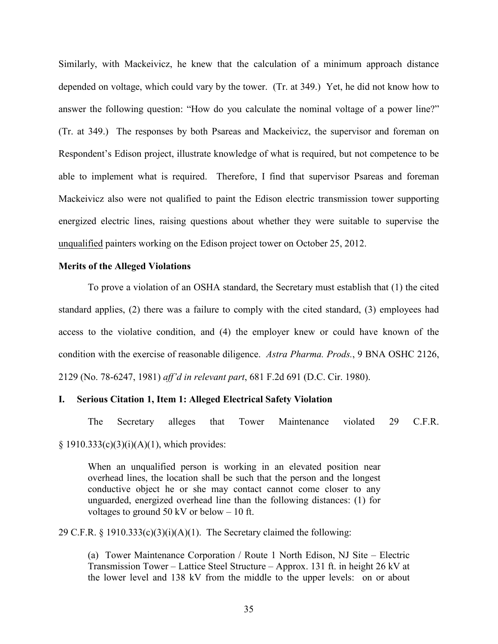Similarly, with Mackeivicz, he knew that the calculation of a minimum approach distance depended on voltage, which could vary by the tower. (Tr. at 349.) Yet, he did not know how to answer the following question: "How do you calculate the nominal voltage of a power line?" (Tr. at 349.) The responses by both Psareas and Mackeivicz, the supervisor and foreman on Respondent's Edison project, illustrate knowledge of what is required, but not competence to be able to implement what is required. Therefore, I find that supervisor Psareas and foreman Mackeivicz also were not qualified to paint the Edison electric transmission tower supporting energized electric lines, raising questions about whether they were suitable to supervise the unqualified painters working on the Edison project tower on October 25, 2012.

#### **Merits of the Alleged Violations**

To prove a violation of an OSHA standard, the Secretary must establish that (1) the cited standard applies, (2) there was a failure to comply with the cited standard, (3) employees had access to the violative condition, and (4) the employer knew or could have known of the condition with the exercise of reasonable diligence. *Astra Pharma. Prods.*, 9 BNA OSHC 2126, 2129 (No. 78-6247, 1981) *aff'd in relevant part*, 681 F.2d 691 (D.C. Cir. 1980).

## **I. Serious Citation 1, Item 1: Alleged Electrical Safety Violation**

The Secretary alleges that Tower Maintenance violated 29 C.F.R.  $§ 1910.333(c)(3)(i)(A)(1)$ , which provides:

When an unqualified person is working in an elevated position near overhead lines, the location shall be such that the person and the longest conductive object he or she may contact cannot come closer to any unguarded, energized overhead line than the following distances: (1) for voltages to ground 50 kV or below  $-10$  ft.

29 C.F.R. § 1910.333(c)(3)(i)(A)(1). The Secretary claimed the following:

(a) Tower Maintenance Corporation / Route 1 North Edison, NJ Site – Electric Transmission Tower – Lattice Steel Structure – Approx. 131 ft. in height 26 kV at the lower level and 138 kV from the middle to the upper levels: on or about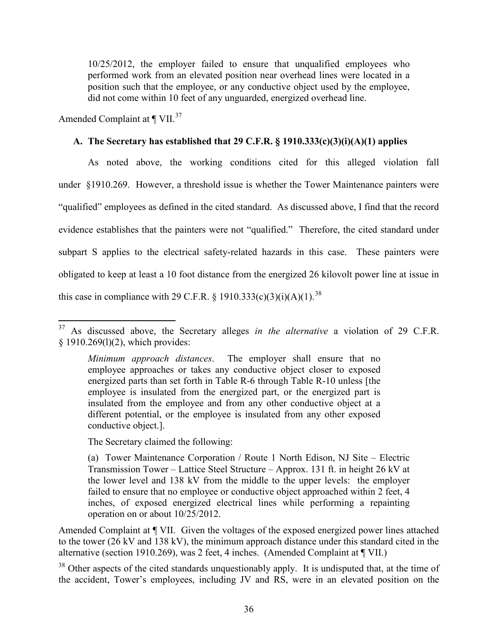10/25/2012, the employer failed to ensure that unqualified employees who performed work from an elevated position near overhead lines were located in a position such that the employee, or any conductive object used by the employee, did not come within 10 feet of any unguarded, energized overhead line.

Amended Complaint at  $\P$  VII.<sup>[37](#page-35-0)</sup>

## **A. The Secretary has established that 29 C.F.R. § 1910.333(c)(3)(i)(A)(1) applies**

As noted above, the working conditions cited for this alleged violation fall under §1910.269. However, a threshold issue is whether the Tower Maintenance painters were "qualified" employees as defined in the cited standard. As discussed above, I find that the record evidence establishes that the painters were not "qualified." Therefore, the cited standard under subpart S applies to the electrical safety-related hazards in this case. These painters were obligated to keep at least a 10 foot distance from the energized 26 kilovolt power line at issue in this case in compliance with 29 C.F.R. § 1910.333(c)(3)(i)(A)(1).<sup>38</sup>

The Secretary claimed the following:

(a) Tower Maintenance Corporation / Route 1 North Edison, NJ Site – Electric Transmission Tower – Lattice Steel Structure – Approx. 131 ft. in height 26 kV at the lower level and 138 kV from the middle to the upper levels: the employer failed to ensure that no employee or conductive object approached within 2 feet, 4 inches, of exposed energized electrical lines while performing a repainting operation on or about 10/25/2012.

Amended Complaint at ¶ VII. Given the voltages of the exposed energized power lines attached to the tower (26 kV and 138 kV), the minimum approach distance under this standard cited in the alternative (section 1910.269), was 2 feet, 4 inches. (Amended Complaint at ¶ VII.)

<span id="page-35-1"></span><sup>38</sup> Other aspects of the cited standards unquestionably apply. It is undisputed that, at the time of the accident, Tower's employees, including JV and RS, were in an elevated position on the

<span id="page-35-0"></span> $\overline{a}$ <sup>37</sup> As discussed above, the Secretary alleges *in the alternative* a violation of 29 C.F.R. § 1910.269(1)(2), which provides:

*Minimum approach distances*. The employer shall ensure that no employee approaches or takes any conductive object closer to exposed energized parts than set forth in Table R-6 through Table R-10 unless [the employee is insulated from the energized part, or the energized part is insulated from the employee and from any other conductive object at a different potential, or the employee is insulated from any other exposed conductive object.].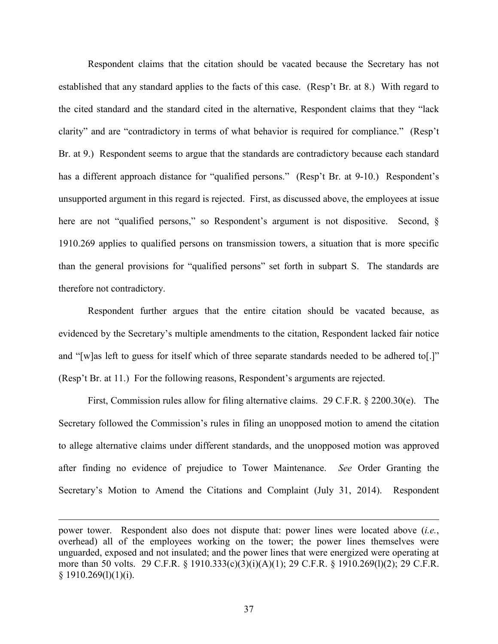Respondent claims that the citation should be vacated because the Secretary has not established that any standard applies to the facts of this case. (Resp't Br. at 8.) With regard to the cited standard and the standard cited in the alternative, Respondent claims that they "lack clarity" and are "contradictory in terms of what behavior is required for compliance." (Resp't Br. at 9.) Respondent seems to argue that the standards are contradictory because each standard has a different approach distance for "qualified persons." (Resp't Br. at 9-10.) Respondent's unsupported argument in this regard is rejected. First, as discussed above, the employees at issue here are not "qualified persons," so Respondent's argument is not dispositive. Second, § 1910.269 applies to qualified persons on transmission towers, a situation that is more specific than the general provisions for "qualified persons" set forth in subpart S. The standards are therefore not contradictory.

Respondent further argues that the entire citation should be vacated because, as evidenced by the Secretary's multiple amendments to the citation, Respondent lacked fair notice and "[w]as left to guess for itself which of three separate standards needed to be adhered to[.]" (Resp't Br. at 11.) For the following reasons, Respondent's arguments are rejected.

First, Commission rules allow for filing alternative claims. 29 C.F.R. § 2200.30(e). The Secretary followed the Commission's rules in filing an unopposed motion to amend the citation to allege alternative claims under different standards, and the unopposed motion was approved after finding no evidence of prejudice to Tower Maintenance. *See* Order Granting the Secretary's Motion to Amend the Citations and Complaint (July 31, 2014). Respondent

 $\overline{a}$ 

37

power tower. Respondent also does not dispute that: power lines were located above (*i.e.*, overhead) all of the employees working on the tower; the power lines themselves were unguarded, exposed and not insulated; and the power lines that were energized were operating at more than 50 volts. 29 C.F.R. § 1910.333(c)(3)(i)(A)(1); 29 C.F.R. § 1910.269(l)(2); 29 C.F.R.  $§ 1910.269(1)(1)(i).$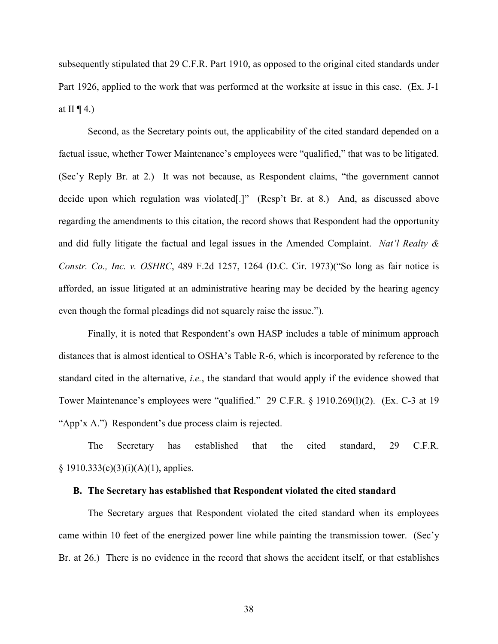subsequently stipulated that 29 C.F.R. Part 1910, as opposed to the original cited standards under Part 1926, applied to the work that was performed at the worksite at issue in this case. (Ex. J-1 at II  $\P$  4.)

Second, as the Secretary points out, the applicability of the cited standard depended on a factual issue, whether Tower Maintenance's employees were "qualified," that was to be litigated. (Sec'y Reply Br. at 2.) It was not because, as Respondent claims, "the government cannot decide upon which regulation was violated[.]" (Resp't Br. at 8.) And, as discussed above regarding the amendments to this citation, the record shows that Respondent had the opportunity and did fully litigate the factual and legal issues in the Amended Complaint. *Nat'l Realty & Constr. Co., Inc. v. OSHRC*, 489 F.2d 1257, 1264 (D.C. Cir. 1973)("So long as fair notice is afforded, an issue litigated at an administrative hearing may be decided by the hearing agency even though the formal pleadings did not squarely raise the issue.").

Finally, it is noted that Respondent's own HASP includes a table of minimum approach distances that is almost identical to OSHA's Table R-6, which is incorporated by reference to the standard cited in the alternative, *i.e.*, the standard that would apply if the evidence showed that Tower Maintenance's employees were "qualified." 29 C.F.R. § 1910.269(l)(2). (Ex. C-3 at 19 "App'x A.") Respondent's due process claim is rejected.

The Secretary has established that the cited standard, 29 C.F.R.  $§ 1910.333(c)(3)(i)(A)(1)$ , applies.

## **B. The Secretary has established that Respondent violated the cited standard**

The Secretary argues that Respondent violated the cited standard when its employees came within 10 feet of the energized power line while painting the transmission tower. (Sec'y Br. at 26.) There is no evidence in the record that shows the accident itself, or that establishes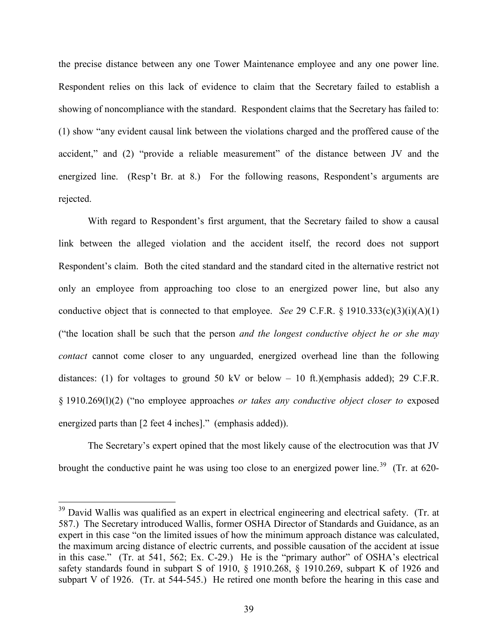the precise distance between any one Tower Maintenance employee and any one power line. Respondent relies on this lack of evidence to claim that the Secretary failed to establish a showing of noncompliance with the standard. Respondent claims that the Secretary has failed to: (1) show "any evident causal link between the violations charged and the proffered cause of the accident," and (2) "provide a reliable measurement" of the distance between JV and the energized line. (Resp't Br. at 8.) For the following reasons, Respondent's arguments are rejected.

With regard to Respondent's first argument, that the Secretary failed to show a causal link between the alleged violation and the accident itself, the record does not support Respondent's claim. Both the cited standard and the standard cited in the alternative restrict not only an employee from approaching too close to an energized power line, but also any conductive object that is connected to that employee. *See* 29 C.F.R. § 1910.333(c)(3)(i)(A)(1) ("the location shall be such that the person *and the longest conductive object he or she may contact* cannot come closer to any unguarded, energized overhead line than the following distances: (1) for voltages to ground 50 kV or below – 10 ft.)(emphasis added); 29 C.F.R. § 1910.269(l)(2) ("no employee approaches *or takes any conductive object closer to* exposed energized parts than [2 feet 4 inches]." (emphasis added)).

The Secretary's expert opined that the most likely cause of the electrocution was that JV brought the conductive paint he was using too close to an energized power line.<sup>[39](#page-38-0)</sup> (Tr. at 620-

<span id="page-38-0"></span><sup>&</sup>lt;sup>39</sup> David Wallis was qualified as an expert in electrical engineering and electrical safety. (Tr. at 587.) The Secretary introduced Wallis, former OSHA Director of Standards and Guidance, as an expert in this case "on the limited issues of how the minimum approach distance was calculated, the maximum arcing distance of electric currents, and possible causation of the accident at issue in this case." (Tr. at 541, 562; Ex. C-29.) He is the "primary author" of OSHA's electrical safety standards found in subpart S of 1910, § 1910.268, § 1910.269, subpart K of 1926 and subpart V of 1926. (Tr. at 544-545.) He retired one month before the hearing in this case and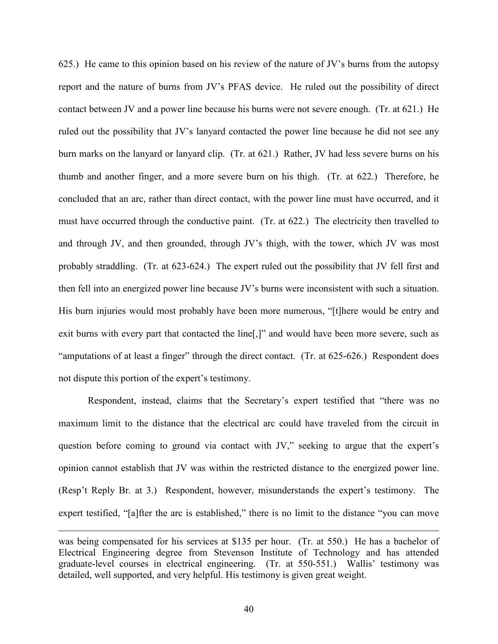625.) He came to this opinion based on his review of the nature of JV's burns from the autopsy report and the nature of burns from JV's PFAS device. He ruled out the possibility of direct contact between JV and a power line because his burns were not severe enough. (Tr. at 621.) He ruled out the possibility that JV's lanyard contacted the power line because he did not see any burn marks on the lanyard or lanyard clip. (Tr. at 621.) Rather, JV had less severe burns on his thumb and another finger, and a more severe burn on his thigh. (Tr. at 622.) Therefore, he concluded that an arc, rather than direct contact, with the power line must have occurred, and it must have occurred through the conductive paint. (Tr. at 622.) The electricity then travelled to and through JV, and then grounded, through JV's thigh, with the tower, which JV was most probably straddling. (Tr. at 623-624.) The expert ruled out the possibility that JV fell first and then fell into an energized power line because JV's burns were inconsistent with such a situation. His burn injuries would most probably have been more numerous, "[t]here would be entry and exit burns with every part that contacted the line[,]" and would have been more severe, such as "amputations of at least a finger" through the direct contact. (Tr. at 625-626.) Respondent does not dispute this portion of the expert's testimony.

Respondent, instead, claims that the Secretary's expert testified that "there was no maximum limit to the distance that the electrical arc could have traveled from the circuit in question before coming to ground via contact with JV," seeking to argue that the expert's opinion cannot establish that JV was within the restricted distance to the energized power line. (Resp't Reply Br. at 3.) Respondent, however, misunderstands the expert's testimony. The expert testified, "[a]fter the arc is established," there is no limit to the distance "you can move

was being compensated for his services at \$135 per hour. (Tr. at 550.) He has a bachelor of Electrical Engineering degree from Stevenson Institute of Technology and has attended graduate-level courses in electrical engineering. (Tr. at 550-551.) Wallis' testimony was detailed, well supported, and very helpful. His testimony is given great weight.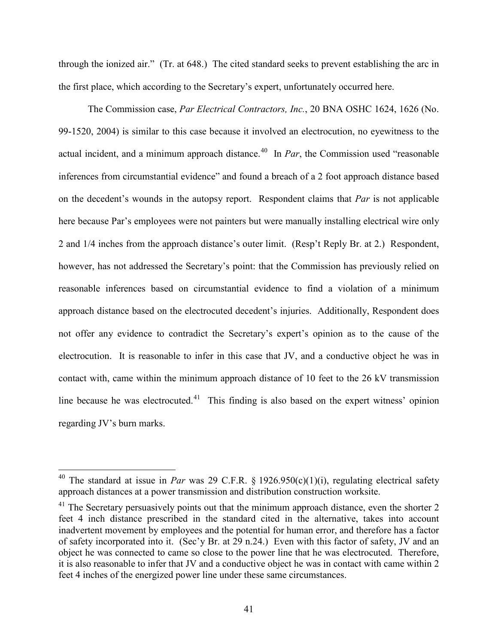through the ionized air." (Tr. at 648.) The cited standard seeks to prevent establishing the arc in the first place, which according to the Secretary's expert, unfortunately occurred here.

The Commission case, *Par Electrical Contractors, Inc.*, 20 BNA OSHC 1624, 1626 (No. 99-1520, 2004) is similar to this case because it involved an electrocution, no eyewitness to the actual incident, and a minimum approach distance.<sup>[40](#page-40-0)</sup> In *Par*, the Commission used "reasonable" inferences from circumstantial evidence" and found a breach of a 2 foot approach distance based on the decedent's wounds in the autopsy report. Respondent claims that *Par* is not applicable here because Par's employees were not painters but were manually installing electrical wire only 2 and 1/4 inches from the approach distance's outer limit. (Resp't Reply Br. at 2.) Respondent, however, has not addressed the Secretary's point: that the Commission has previously relied on reasonable inferences based on circumstantial evidence to find a violation of a minimum approach distance based on the electrocuted decedent's injuries. Additionally, Respondent does not offer any evidence to contradict the Secretary's expert's opinion as to the cause of the electrocution. It is reasonable to infer in this case that JV, and a conductive object he was in contact with, came within the minimum approach distance of 10 feet to the 26 kV transmission line because he was electrocuted.<sup>[41](#page-40-1)</sup> This finding is also based on the expert witness' opinion regarding JV's burn marks.

<span id="page-40-0"></span><sup>&</sup>lt;sup>40</sup> The standard at issue in *Par* was 29 C.F.R. § 1926.950(c)(1)(i), regulating electrical safety approach distances at a power transmission and distribution construction worksite.

<span id="page-40-1"></span> $41$  The Secretary persuasively points out that the minimum approach distance, even the shorter 2 feet 4 inch distance prescribed in the standard cited in the alternative, takes into account inadvertent movement by employees and the potential for human error, and therefore has a factor of safety incorporated into it. (Sec'y Br. at 29 n.24.) Even with this factor of safety, JV and an object he was connected to came so close to the power line that he was electrocuted. Therefore, it is also reasonable to infer that JV and a conductive object he was in contact with came within 2 feet 4 inches of the energized power line under these same circumstances.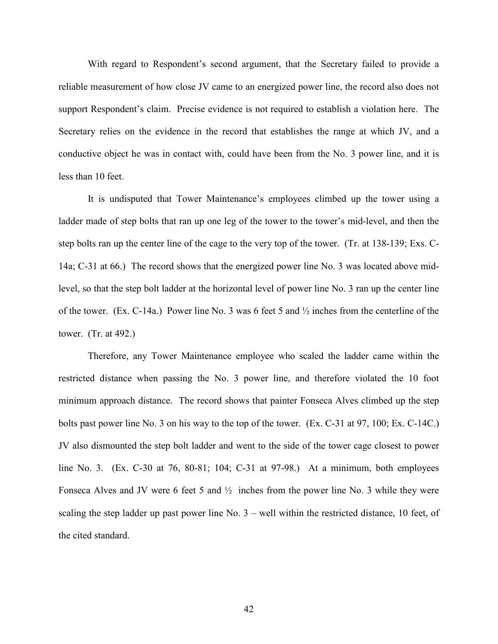With regard to Respondent's second argument, that the Secretary failed to provide a reliable measurement of how close JV came to an energized power line, the record also does not support Respondent's claim. Precise evidence is not required to establish a violation here. The Secretary relies on the evidence in the record that establishes the range at which JV, and a conductive object he was in contact with, could have been from the No. 3 power line, and it is less than 10 feet.

It is undisputed that Tower Maintenance's employees climbed up the tower using a ladder made of step bolts that ran up one leg of the tower to the tower's mid-level, and then the step bolts ran up the center line of the cage to the very top of the tower. (Tr. at 138-139; Exs. C-14a; C-31 at 66.) The record shows that the energized power line No. 3 was located above midlevel, so that the step bolt ladder at the horizontal level of power line No. 3 ran up the center line of the tower. (Ex. C-14a.) Power line No. 3 was 6 feet 5 and ½ inches from the centerline of the tower. (Tr. at 492.)

Therefore, any Tower Maintenance employee who scaled the ladder came within the restricted distance when passing the No. 3 power line, and therefore violated the 10 foot minimum approach distance. The record shows that painter Fonseca Alves climbed up the step bolts past power line No. 3 on his way to the top of the tower. (Ex. C-31 at 97, 100; Ex. C-14C.) JV also dismounted the step bolt ladder and went to the side of the tower cage closest to power line No. 3. (Ex. C-30 at 76, 80-81; 104; C-31 at 97-98.) At a minimum, both employees Fonseca Alves and JV were 6 feet 5 and ½ inches from the power line No. 3 while they were scaling the step ladder up past power line No. 3 – well within the restricted distance, 10 feet, of the cited standard.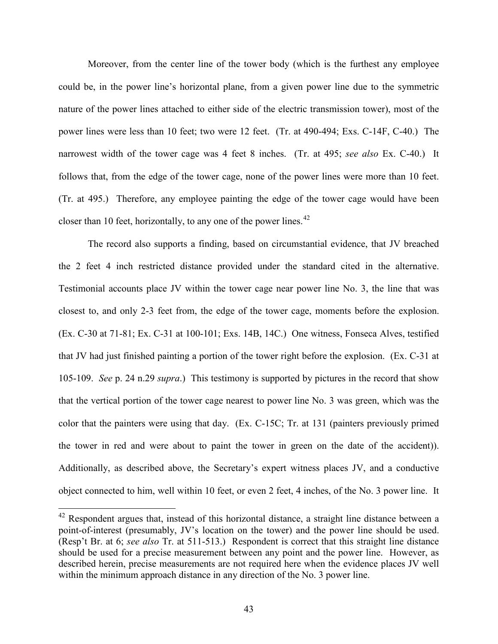Moreover, from the center line of the tower body (which is the furthest any employee could be, in the power line's horizontal plane, from a given power line due to the symmetric nature of the power lines attached to either side of the electric transmission tower), most of the power lines were less than 10 feet; two were 12 feet. (Tr. at 490-494; Exs. C-14F, C-40.) The narrowest width of the tower cage was 4 feet 8 inches. (Tr. at 495; *see also* Ex. C-40.) It follows that, from the edge of the tower cage, none of the power lines were more than 10 feet. (Tr. at 495.) Therefore, any employee painting the edge of the tower cage would have been closer than 10 feet, horizontally, to any one of the power lines.<sup>[42](#page-42-0)</sup>

The record also supports a finding, based on circumstantial evidence, that JV breached the 2 feet 4 inch restricted distance provided under the standard cited in the alternative. Testimonial accounts place JV within the tower cage near power line No. 3, the line that was closest to, and only 2-3 feet from, the edge of the tower cage, moments before the explosion. (Ex. C-30 at 71-81; Ex. C-31 at 100-101; Exs. 14B, 14C.) One witness, Fonseca Alves, testified that JV had just finished painting a portion of the tower right before the explosion. (Ex. C-31 at 105-109. *See* p. 24 n.29 *supra*.) This testimony is supported by pictures in the record that show that the vertical portion of the tower cage nearest to power line No. 3 was green, which was the color that the painters were using that day. (Ex. C-15C; Tr. at 131 (painters previously primed the tower in red and were about to paint the tower in green on the date of the accident)). Additionally, as described above, the Secretary's expert witness places JV, and a conductive object connected to him, well within 10 feet, or even 2 feet, 4 inches, of the No. 3 power line. It

<span id="page-42-0"></span> $42$  Respondent argues that, instead of this horizontal distance, a straight line distance between a point-of-interest (presumably, JV's location on the tower) and the power line should be used. (Resp't Br. at 6; *see also* Tr. at 511-513.) Respondent is correct that this straight line distance should be used for a precise measurement between any point and the power line. However, as described herein, precise measurements are not required here when the evidence places JV well within the minimum approach distance in any direction of the No. 3 power line.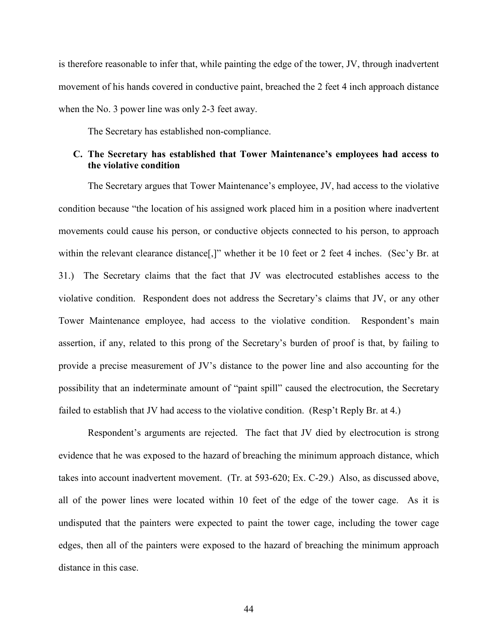is therefore reasonable to infer that, while painting the edge of the tower, JV, through inadvertent movement of his hands covered in conductive paint, breached the 2 feet 4 inch approach distance when the No. 3 power line was only 2-3 feet away.

The Secretary has established non-compliance.

## **C. The Secretary has established that Tower Maintenance's employees had access to the violative condition**

The Secretary argues that Tower Maintenance's employee, JV, had access to the violative condition because "the location of his assigned work placed him in a position where inadvertent movements could cause his person, or conductive objects connected to his person, to approach within the relevant clearance distance<sup>[1]</sup>," whether it be 10 feet or 2 feet 4 inches. (Sec'y Br. at 31.) The Secretary claims that the fact that JV was electrocuted establishes access to the violative condition. Respondent does not address the Secretary's claims that JV, or any other Tower Maintenance employee, had access to the violative condition. Respondent's main assertion, if any, related to this prong of the Secretary's burden of proof is that, by failing to provide a precise measurement of JV's distance to the power line and also accounting for the possibility that an indeterminate amount of "paint spill" caused the electrocution, the Secretary failed to establish that JV had access to the violative condition. (Resp't Reply Br. at 4.)

Respondent's arguments are rejected. The fact that JV died by electrocution is strong evidence that he was exposed to the hazard of breaching the minimum approach distance, which takes into account inadvertent movement. (Tr. at 593-620; Ex. C-29.) Also, as discussed above, all of the power lines were located within 10 feet of the edge of the tower cage. As it is undisputed that the painters were expected to paint the tower cage, including the tower cage edges, then all of the painters were exposed to the hazard of breaching the minimum approach distance in this case.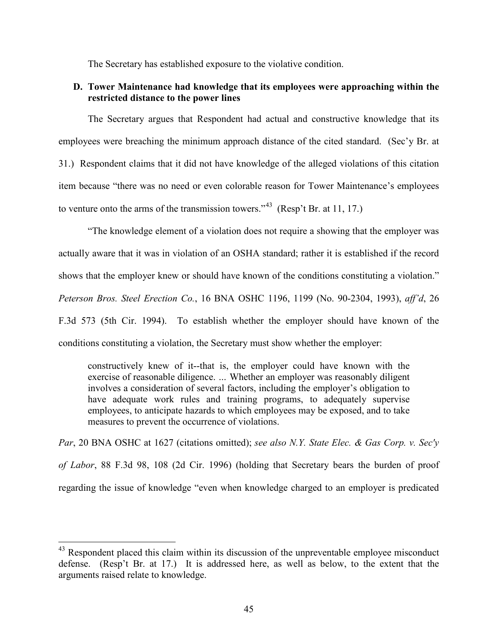The Secretary has established exposure to the violative condition.

# **D. Tower Maintenance had knowledge that its employees were approaching within the restricted distance to the power lines**

The Secretary argues that Respondent had actual and constructive knowledge that its employees were breaching the minimum approach distance of the cited standard. (Sec'y Br. at 31.) Respondent claims that it did not have knowledge of the alleged violations of this citation item because "there was no need or even colorable reason for Tower Maintenance's employees to venture onto the arms of the transmission towers."<sup>[43](#page-44-0)</sup> (Resp't Br. at 11, 17.)

"The knowledge element of a violation does not require a showing that the employer was actually aware that it was in violation of an OSHA standard; rather it is established if the record shows that the employer knew or should have known of the conditions constituting a violation." *Peterson Bros. Steel Erection Co.*, 16 BNA OSHC 1196, 1199 (No. 90-2304, 1993), *aff'd*, 26 F.3d 573 (5th Cir. 1994). To establish whether the employer should have known of the conditions constituting a violation, the Secretary must show whether the employer:

constructively knew of it--that is, the employer could have known with the exercise of reasonable diligence. *…* Whether an employer was reasonably diligent involves a consideration of several factors, including the employer's obligation to have adequate work rules and training programs, to adequately supervise employees, to anticipate hazards to which employees may be exposed, and to take measures to prevent the occurrence of violations.

*Par*, 20 BNA OSHC at 1627 (citations omitted); *see also N.Y. State Elec. & Gas Corp. v. Sec'y of Labor*, 88 F.3d 98, 108 (2d Cir. 1996) (holding that Secretary bears the burden of proof regarding the issue of knowledge "even when knowledge charged to an employer is predicated

<span id="page-44-0"></span> $43$  Respondent placed this claim within its discussion of the unpreventable employee misconduct defense. (Resp't Br. at 17.) It is addressed here, as well as below, to the extent that the arguments raised relate to knowledge.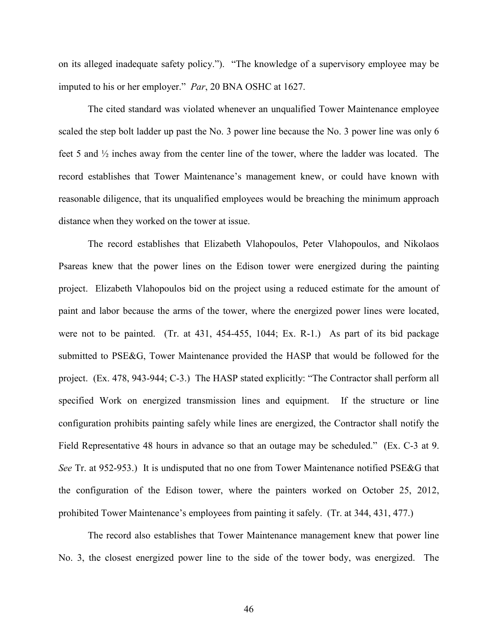on its alleged inadequate safety policy."). "The knowledge of a supervisory employee may be imputed to his or her employer." *Par*, 20 BNA OSHC at 1627.

The cited standard was violated whenever an unqualified Tower Maintenance employee scaled the step bolt ladder up past the No. 3 power line because the No. 3 power line was only 6 feet 5 and ½ inches away from the center line of the tower, where the ladder was located. The record establishes that Tower Maintenance's management knew, or could have known with reasonable diligence, that its unqualified employees would be breaching the minimum approach distance when they worked on the tower at issue.

The record establishes that Elizabeth Vlahopoulos, Peter Vlahopoulos, and Nikolaos Psareas knew that the power lines on the Edison tower were energized during the painting project. Elizabeth Vlahopoulos bid on the project using a reduced estimate for the amount of paint and labor because the arms of the tower, where the energized power lines were located, were not to be painted. (Tr. at 431, 454-455, 1044; Ex. R-1.) As part of its bid package submitted to PSE&G, Tower Maintenance provided the HASP that would be followed for the project. (Ex. 478, 943-944; C-3.) The HASP stated explicitly: "The Contractor shall perform all specified Work on energized transmission lines and equipment. If the structure or line configuration prohibits painting safely while lines are energized, the Contractor shall notify the Field Representative 48 hours in advance so that an outage may be scheduled." (Ex. C-3 at 9. *See* Tr. at 952-953.) It is undisputed that no one from Tower Maintenance notified PSE&G that the configuration of the Edison tower, where the painters worked on October 25, 2012, prohibited Tower Maintenance's employees from painting it safely. (Tr. at 344, 431, 477.)

The record also establishes that Tower Maintenance management knew that power line No. 3, the closest energized power line to the side of the tower body, was energized. The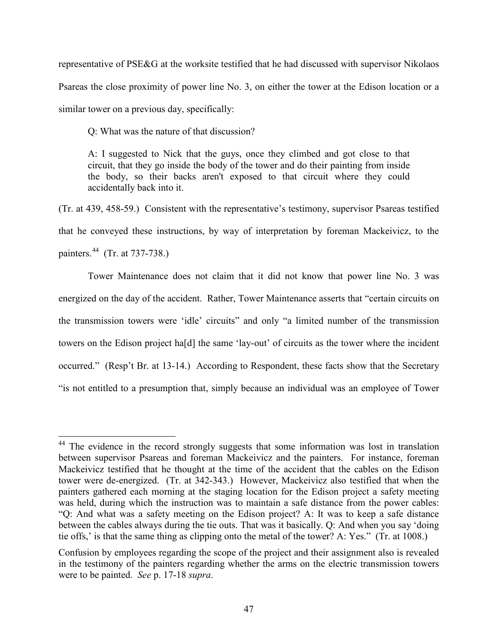representative of PSE&G at the worksite testified that he had discussed with supervisor Nikolaos Psareas the close proximity of power line No. 3, on either the tower at the Edison location or a similar tower on a previous day, specifically:

Q: What was the nature of that discussion?

 $\overline{a}$ 

A: I suggested to Nick that the guys, once they climbed and got close to that circuit, that they go inside the body of the tower and do their painting from inside the body, so their backs aren't exposed to that circuit where they could accidentally back into it.

(Tr. at 439, 458-59.) Consistent with the representative's testimony, supervisor Psareas testified that he conveyed these instructions, by way of interpretation by foreman Mackeivicz, to the painters.[44](#page-46-0) (Tr. at 737-738.)

Tower Maintenance does not claim that it did not know that power line No. 3 was energized on the day of the accident. Rather, Tower Maintenance asserts that "certain circuits on the transmission towers were 'idle' circuits" and only "a limited number of the transmission towers on the Edison project ha[d] the same 'lay-out' of circuits as the tower where the incident occurred." (Resp't Br. at 13-14.) According to Respondent, these facts show that the Secretary "is not entitled to a presumption that, simply because an individual was an employee of Tower

<span id="page-46-0"></span><sup>&</sup>lt;sup>44</sup> The evidence in the record strongly suggests that some information was lost in translation between supervisor Psareas and foreman Mackeivicz and the painters. For instance, foreman Mackeivicz testified that he thought at the time of the accident that the cables on the Edison tower were de-energized. (Tr. at 342-343.) However, Mackeivicz also testified that when the painters gathered each morning at the staging location for the Edison project a safety meeting was held, during which the instruction was to maintain a safe distance from the power cables: "Q: And what was a safety meeting on the Edison project? A: It was to keep a safe distance between the cables always during the tie outs. That was it basically. Q: And when you say 'doing tie offs,' is that the same thing as clipping onto the metal of the tower? A: Yes." (Tr. at 1008.)

Confusion by employees regarding the scope of the project and their assignment also is revealed in the testimony of the painters regarding whether the arms on the electric transmission towers were to be painted. *See* p. 17-18 *supra*.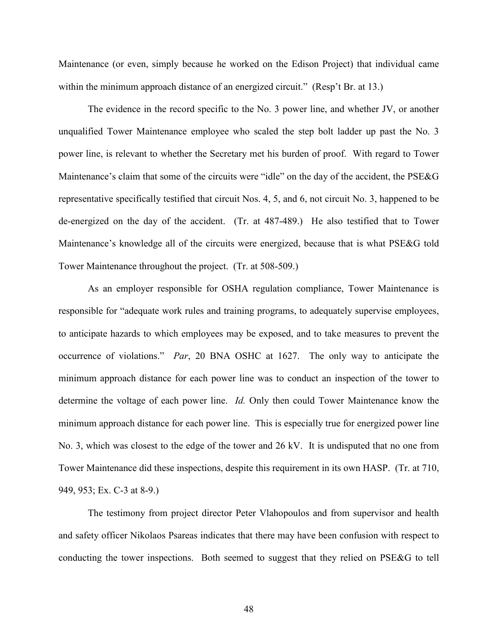Maintenance (or even, simply because he worked on the Edison Project) that individual came within the minimum approach distance of an energized circuit." (Resp't Br. at 13.)

The evidence in the record specific to the No. 3 power line, and whether JV, or another unqualified Tower Maintenance employee who scaled the step bolt ladder up past the No. 3 power line, is relevant to whether the Secretary met his burden of proof. With regard to Tower Maintenance's claim that some of the circuits were "idle" on the day of the accident, the PSE&G representative specifically testified that circuit Nos. 4, 5, and 6, not circuit No. 3, happened to be de-energized on the day of the accident. (Tr. at 487-489.) He also testified that to Tower Maintenance's knowledge all of the circuits were energized, because that is what PSE&G told Tower Maintenance throughout the project. (Tr. at 508-509.)

As an employer responsible for OSHA regulation compliance, Tower Maintenance is responsible for "adequate work rules and training programs, to adequately supervise employees, to anticipate hazards to which employees may be exposed, and to take measures to prevent the occurrence of violations." *Par*, 20 BNA OSHC at 1627. The only way to anticipate the minimum approach distance for each power line was to conduct an inspection of the tower to determine the voltage of each power line. *Id.* Only then could Tower Maintenance know the minimum approach distance for each power line. This is especially true for energized power line No. 3, which was closest to the edge of the tower and 26 kV. It is undisputed that no one from Tower Maintenance did these inspections, despite this requirement in its own HASP. (Tr. at 710, 949, 953; Ex. C-3 at 8-9.)

The testimony from project director Peter Vlahopoulos and from supervisor and health and safety officer Nikolaos Psareas indicates that there may have been confusion with respect to conducting the tower inspections. Both seemed to suggest that they relied on PSE&G to tell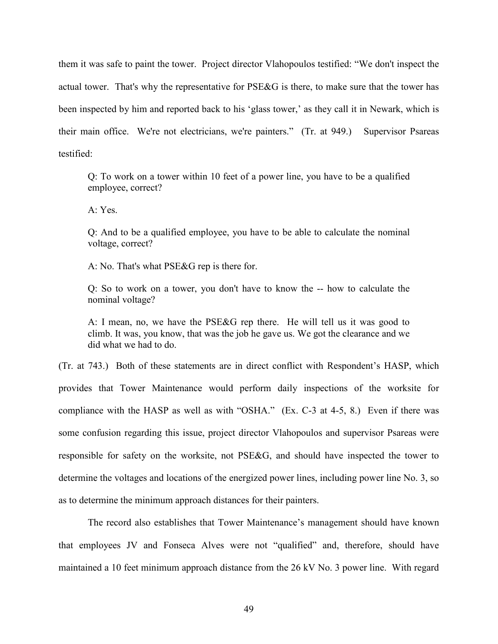them it was safe to paint the tower. Project director Vlahopoulos testified: "We don't inspect the actual tower. That's why the representative for PSE&G is there, to make sure that the tower has been inspected by him and reported back to his 'glass tower,' as they call it in Newark, which is their main office. We're not electricians, we're painters." (Tr. at 949.) Supervisor Psareas testified:

Q: To work on a tower within 10 feet of a power line, you have to be a qualified employee, correct?

A: Yes.

Q: And to be a qualified employee, you have to be able to calculate the nominal voltage, correct?

A: No. That's what PSE&G rep is there for.

Q: So to work on a tower, you don't have to know the -- how to calculate the nominal voltage?

A: I mean, no, we have the PSE&G rep there. He will tell us it was good to climb. It was, you know, that was the job he gave us. We got the clearance and we did what we had to do.

(Tr. at 743.) Both of these statements are in direct conflict with Respondent's HASP, which provides that Tower Maintenance would perform daily inspections of the worksite for compliance with the HASP as well as with "OSHA." (Ex. C-3 at 4-5, 8.) Even if there was some confusion regarding this issue, project director Vlahopoulos and supervisor Psareas were responsible for safety on the worksite, not PSE&G, and should have inspected the tower to determine the voltages and locations of the energized power lines, including power line No. 3, so as to determine the minimum approach distances for their painters.

The record also establishes that Tower Maintenance's management should have known that employees JV and Fonseca Alves were not "qualified" and, therefore, should have maintained a 10 feet minimum approach distance from the 26 kV No. 3 power line. With regard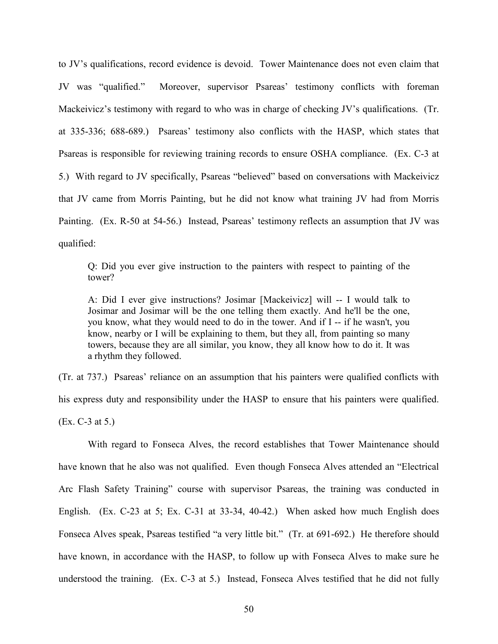to JV's qualifications, record evidence is devoid. Tower Maintenance does not even claim that JV was "qualified." Moreover, supervisor Psareas' testimony conflicts with foreman Mackeivicz's testimony with regard to who was in charge of checking JV's qualifications. (Tr. at 335-336; 688-689.) Psareas' testimony also conflicts with the HASP, which states that Psareas is responsible for reviewing training records to ensure OSHA compliance. (Ex. C-3 at 5.) With regard to JV specifically, Psareas "believed" based on conversations with Mackeivicz that JV came from Morris Painting, but he did not know what training JV had from Morris Painting. (Ex. R-50 at 54-56.) Instead, Psareas' testimony reflects an assumption that JV was qualified:

Q: Did you ever give instruction to the painters with respect to painting of the tower?

A: Did I ever give instructions? Josimar [Mackeivicz] will -- I would talk to Josimar and Josimar will be the one telling them exactly. And he'll be the one, you know, what they would need to do in the tower. And if I -- if he wasn't, you know, nearby or I will be explaining to them, but they all, from painting so many towers, because they are all similar, you know, they all know how to do it. It was a rhythm they followed.

(Tr. at 737.) Psareas' reliance on an assumption that his painters were qualified conflicts with his express duty and responsibility under the HASP to ensure that his painters were qualified. (Ex. C-3 at 5.)

With regard to Fonseca Alves, the record establishes that Tower Maintenance should have known that he also was not qualified. Even though Fonseca Alves attended an "Electrical Arc Flash Safety Training" course with supervisor Psareas, the training was conducted in English. (Ex. C-23 at 5; Ex. C-31 at 33-34, 40-42.) When asked how much English does Fonseca Alves speak, Psareas testified "a very little bit." (Tr. at 691-692.) He therefore should have known, in accordance with the HASP, to follow up with Fonseca Alves to make sure he understood the training. (Ex. C-3 at 5.) Instead, Fonseca Alves testified that he did not fully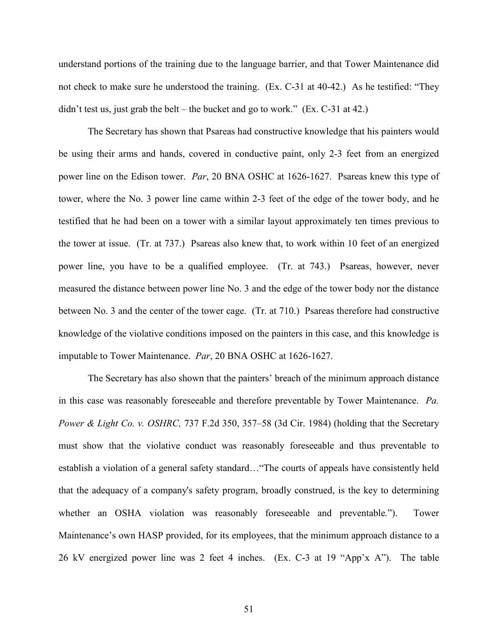understand portions of the training due to the language barrier, and that Tower Maintenance did not check to make sure he understood the training. (Ex. C-31 at 40-42.) As he testified: "They didn't test us, just grab the belt – the bucket and go to work."  $(Ex. C-31$  at 42.)

The Secretary has shown that Psareas had constructive knowledge that his painters would be using their arms and hands, covered in conductive paint, only 2-3 feet from an energized power line on the Edison tower. *Par*, 20 BNA OSHC at 1626-1627. Psareas knew this type of tower, where the No. 3 power line came within 2-3 feet of the edge of the tower body, and he testified that he had been on a tower with a similar layout approximately ten times previous to the tower at issue. (Tr. at 737.) Psareas also knew that, to work within 10 feet of an energized power line, you have to be a qualified employee. (Tr. at 743.) Psareas, however, never measured the distance between power line No. 3 and the edge of the tower body nor the distance between No. 3 and the center of the tower cage. (Tr. at 710.) Psareas therefore had constructive knowledge of the violative conditions imposed on the painters in this case, and this knowledge is imputable to Tower Maintenance. *Par*, 20 BNA OSHC at 1626-1627.

The Secretary has also shown that the painters' breach of the minimum approach distance in this case was reasonably foreseeable and therefore preventable by Tower Maintenance. *Pa. Power & Light Co. v. OSHRC,* 737 F.2d 350, 357–58 (3d Cir. 1984) (holding that the Secretary must show that the violative conduct was reasonably foreseeable and thus preventable to establish a violation of a general safety standard…"The courts of appeals have consistently held that the adequacy of a company's safety program, broadly construed, is the key to determining whether an OSHA violation was reasonably foreseeable and preventable*.*"). Tower Maintenance's own HASP provided, for its employees, that the minimum approach distance to a 26 kV energized power line was 2 feet 4 inches. (Ex. C-3 at 19 "App'x A"). The table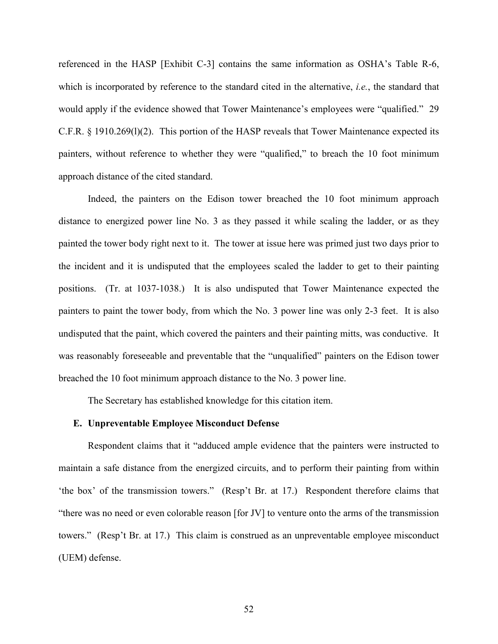referenced in the HASP [Exhibit C-3] contains the same information as OSHA's Table R-6, which is incorporated by reference to the standard cited in the alternative, *i.e.*, the standard that would apply if the evidence showed that Tower Maintenance's employees were "qualified." 29 C.F.R. § 1910.269(l)(2). This portion of the HASP reveals that Tower Maintenance expected its painters, without reference to whether they were "qualified," to breach the 10 foot minimum approach distance of the cited standard.

Indeed, the painters on the Edison tower breached the 10 foot minimum approach distance to energized power line No. 3 as they passed it while scaling the ladder, or as they painted the tower body right next to it. The tower at issue here was primed just two days prior to the incident and it is undisputed that the employees scaled the ladder to get to their painting positions. (Tr. at 1037-1038.) It is also undisputed that Tower Maintenance expected the painters to paint the tower body, from which the No. 3 power line was only 2-3 feet. It is also undisputed that the paint, which covered the painters and their painting mitts, was conductive. It was reasonably foreseeable and preventable that the "unqualified" painters on the Edison tower breached the 10 foot minimum approach distance to the No. 3 power line.

The Secretary has established knowledge for this citation item.

#### **E. Unpreventable Employee Misconduct Defense**

Respondent claims that it "adduced ample evidence that the painters were instructed to maintain a safe distance from the energized circuits, and to perform their painting from within 'the box' of the transmission towers." (Resp't Br. at 17.) Respondent therefore claims that "there was no need or even colorable reason [for JV] to venture onto the arms of the transmission towers." (Resp't Br. at 17.) This claim is construed as an unpreventable employee misconduct (UEM) defense.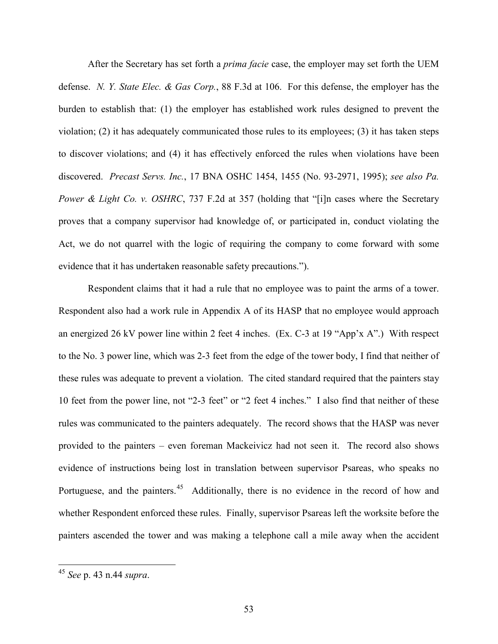After the Secretary has set forth a *prima facie* case, the employer may set forth the UEM defense. *N. Y. State Elec. & Gas Corp.*, 88 F.3d at 106. For this defense, the employer has the burden to establish that: (1) the employer has established work rules designed to prevent the violation; (2) it has adequately communicated those rules to its employees; (3) it has taken steps to discover violations; and (4) it has effectively enforced the rules when violations have been discovered. *Precast Servs. Inc.*, 17 BNA OSHC 1454, 1455 (No. 93-2971, 1995); *see also Pa. Power & Light Co. v. OSHRC*, 737 F.2d at 357 (holding that "[i]n cases where the Secretary proves that a company supervisor had knowledge of, or participated in, conduct violating the Act, we do not quarrel with the logic of requiring the company to come forward with some evidence that it has undertaken reasonable safety precautions.").

Respondent claims that it had a rule that no employee was to paint the arms of a tower. Respondent also had a work rule in Appendix A of its HASP that no employee would approach an energized 26 kV power line within 2 feet 4 inches. (Ex. C-3 at 19 "App'x A".) With respect to the No. 3 power line, which was 2-3 feet from the edge of the tower body, I find that neither of these rules was adequate to prevent a violation. The cited standard required that the painters stay 10 feet from the power line, not "2-3 feet" or "2 feet 4 inches." I also find that neither of these rules was communicated to the painters adequately. The record shows that the HASP was never provided to the painters – even foreman Mackeivicz had not seen it. The record also shows evidence of instructions being lost in translation between supervisor Psareas, who speaks no Portuguese, and the painters.<sup>[45](#page-52-0)</sup> Additionally, there is no evidence in the record of how and whether Respondent enforced these rules. Finally, supervisor Psareas left the worksite before the painters ascended the tower and was making a telephone call a mile away when the accident

<span id="page-52-0"></span><sup>45</sup> *See* p. 43 n.44 *supra*.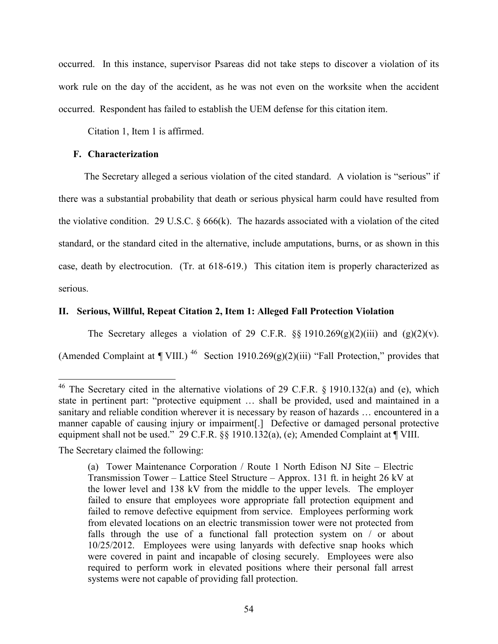occurred. In this instance, supervisor Psareas did not take steps to discover a violation of its work rule on the day of the accident, as he was not even on the worksite when the accident occurred. Respondent has failed to establish the UEM defense for this citation item.

Citation 1, Item 1 is affirmed.

## **F. Characterization**

The Secretary alleged a serious violation of the cited standard. A violation is "serious" if there was a substantial probability that death or serious physical harm could have resulted from the violative condition. 29 U.S.C.  $\S 666(k)$ . The hazards associated with a violation of the cited standard, or the standard cited in the alternative, include amputations, burns, or as shown in this case, death by electrocution. (Tr. at 618-619.) This citation item is properly characterized as serious.

# **II. Serious, Willful, Repeat Citation 2, Item 1: Alleged Fall Protection Violation**

The Secretary alleges a violation of 29 C.F.R.  $\S$ § 1910.269(g)(2)(iii) and (g)(2)(v). (Amended Complaint at  $\P$  VIII.)<sup>46</sup> Section 1910.269(g)(2)(iii) "Fall Protection," provides that

The Secretary claimed the following:

<span id="page-53-0"></span><sup>&</sup>lt;sup>46</sup> The Secretary cited in the alternative violations of 29 C.F.R.  $\S$  1910.132(a) and (e), which state in pertinent part: "protective equipment … shall be provided, used and maintained in a sanitary and reliable condition wherever it is necessary by reason of hazards … encountered in a manner capable of causing injury or impairment[.] Defective or damaged personal protective equipment shall not be used." 29 C.F.R. §§ 1910.132(a), (e); Amended Complaint at ¶ VIII.

<sup>(</sup>a) Tower Maintenance Corporation / Route 1 North Edison NJ Site – Electric Transmission Tower – Lattice Steel Structure – Approx. 131 ft. in height 26 kV at the lower level and 138 kV from the middle to the upper levels. The employer failed to ensure that employees wore appropriate fall protection equipment and failed to remove defective equipment from service. Employees performing work from elevated locations on an electric transmission tower were not protected from falls through the use of a functional fall protection system on / or about 10/25/2012. Employees were using lanyards with defective snap hooks which were covered in paint and incapable of closing securely. Employees were also required to perform work in elevated positions where their personal fall arrest systems were not capable of providing fall protection.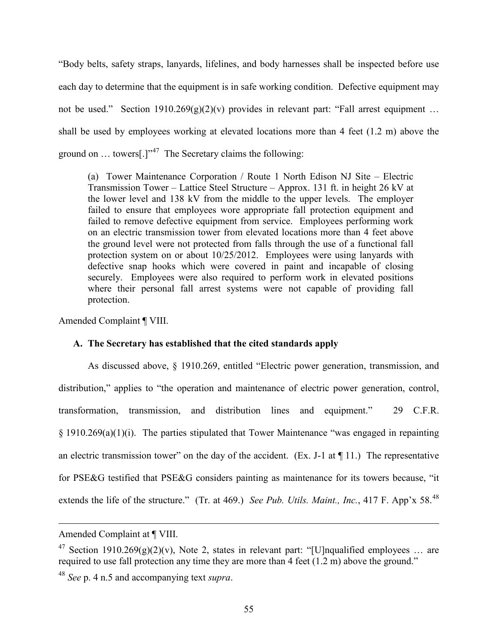"Body belts, safety straps, lanyards, lifelines, and body harnesses shall be inspected before use each day to determine that the equipment is in safe working condition. Defective equipment may not be used." Section  $1910.269(g)(2)(v)$  provides in relevant part: "Fall arrest equipment ... shall be used by employees working at elevated locations more than 4 feet (1.2 m) above the ground on  $\dots$  towers[.]"<sup>47</sup> The Secretary claims the following:

(a) Tower Maintenance Corporation / Route 1 North Edison NJ Site – Electric Transmission Tower – Lattice Steel Structure – Approx. 131 ft. in height 26 kV at the lower level and 138 kV from the middle to the upper levels. The employer failed to ensure that employees wore appropriate fall protection equipment and failed to remove defective equipment from service. Employees performing work on an electric transmission tower from elevated locations more than 4 feet above the ground level were not protected from falls through the use of a functional fall protection system on or about 10/25/2012. Employees were using lanyards with defective snap hooks which were covered in paint and incapable of closing securely. Employees were also required to perform work in elevated positions where their personal fall arrest systems were not capable of providing fall protection.

Amended Complaint ¶ VIII.

## **A. The Secretary has established that the cited standards apply**

As discussed above, § 1910.269, entitled "Electric power generation, transmission, and distribution," applies to "the operation and maintenance of electric power generation, control, transformation, transmission, and distribution lines and equipment." 29 C.F.R. § 1910.269(a)(1)(i). The parties stipulated that Tower Maintenance "was engaged in repainting an electric transmission tower" on the day of the accident. (Ex. J-1 at  $\P$  11.) The representative for PSE&G testified that PSE&G considers painting as maintenance for its towers because, "it extends the life of the structure." (Tr. at 469.) *See Pub. Utils. Maint., Inc.*, 417 F. App'x 58.<sup>[48](#page-54-1)</sup>

Amended Complaint at ¶ VIII.

<span id="page-54-0"></span><sup>&</sup>lt;sup>47</sup> Section 1910.269(g)(2)(v), Note 2, states in relevant part: "[U]nqualified employees ... are required to use fall protection any time they are more than 4 feet (1.2 m) above the ground."

<span id="page-54-1"></span><sup>48</sup> *See* p. 4 n.5 and accompanying text *supra*.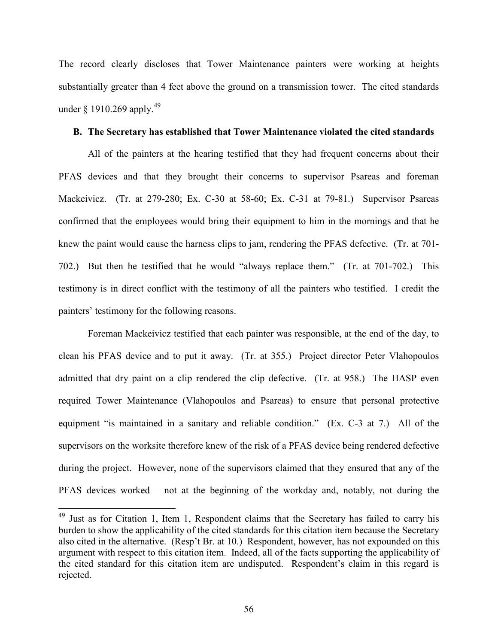The record clearly discloses that Tower Maintenance painters were working at heights substantially greater than 4 feet above the ground on a transmission tower. The cited standards under  $\frac{1910.269 \text{ apoly}}{49}$  $\frac{1910.269 \text{ apoly}}{49}$  $\frac{1910.269 \text{ apoly}}{49}$ 

### **B. The Secretary has established that Tower Maintenance violated the cited standards**

All of the painters at the hearing testified that they had frequent concerns about their PFAS devices and that they brought their concerns to supervisor Psareas and foreman Mackeivicz. (Tr. at 279-280; Ex. C-30 at 58-60; Ex. C-31 at 79-81.) Supervisor Psareas confirmed that the employees would bring their equipment to him in the mornings and that he knew the paint would cause the harness clips to jam, rendering the PFAS defective. (Tr. at 701- 702.) But then he testified that he would "always replace them." (Tr. at 701-702.) This testimony is in direct conflict with the testimony of all the painters who testified. I credit the painters' testimony for the following reasons.

Foreman Mackeivicz testified that each painter was responsible, at the end of the day, to clean his PFAS device and to put it away. (Tr. at 355.) Project director Peter Vlahopoulos admitted that dry paint on a clip rendered the clip defective. (Tr. at 958.) The HASP even required Tower Maintenance (Vlahopoulos and Psareas) to ensure that personal protective equipment "is maintained in a sanitary and reliable condition." (Ex. C-3 at 7.) All of the supervisors on the worksite therefore knew of the risk of a PFAS device being rendered defective during the project. However, none of the supervisors claimed that they ensured that any of the PFAS devices worked – not at the beginning of the workday and, notably, not during the

<span id="page-55-0"></span> $49$  Just as for Citation 1, Item 1, Respondent claims that the Secretary has failed to carry his burden to show the applicability of the cited standards for this citation item because the Secretary also cited in the alternative. (Resp't Br. at 10.) Respondent, however, has not expounded on this argument with respect to this citation item. Indeed, all of the facts supporting the applicability of the cited standard for this citation item are undisputed. Respondent's claim in this regard is rejected.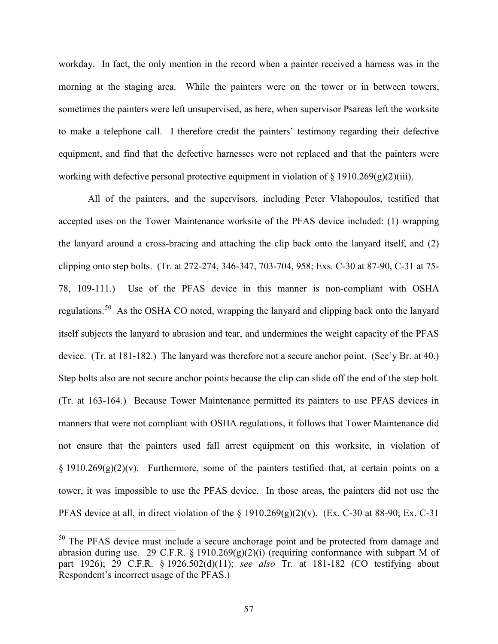workday. In fact, the only mention in the record when a painter received a harness was in the morning at the staging area. While the painters were on the tower or in between towers, sometimes the painters were left unsupervised, as here, when supervisor Psareas left the worksite to make a telephone call. I therefore credit the painters' testimony regarding their defective equipment, and find that the defective harnesses were not replaced and that the painters were working with defective personal protective equipment in violation of  $\S$  1910.269(g)(2)(iii).

All of the painters, and the supervisors, including Peter Vlahopoulos, testified that accepted uses on the Tower Maintenance worksite of the PFAS device included: (1) wrapping the lanyard around a cross-bracing and attaching the clip back onto the lanyard itself, and (2) clipping onto step bolts. (Tr. at 272-274, 346-347, 703-704, 958; Exs. C-30 at 87-90, C-31 at 75- 78, 109-111.) Use of the PFAS device in this manner is non-compliant with OSHA regulations.<sup>[50](#page-56-0)</sup> As the OSHA CO noted, wrapping the lanyard and clipping back onto the lanyard itself subjects the lanyard to abrasion and tear, and undermines the weight capacity of the PFAS device. (Tr. at 181-182.) The lanyard was therefore not a secure anchor point. (Sec'y Br. at 40.) Step bolts also are not secure anchor points because the clip can slide off the end of the step bolt. (Tr. at 163-164.) Because Tower Maintenance permitted its painters to use PFAS devices in manners that were not compliant with OSHA regulations, it follows that Tower Maintenance did not ensure that the painters used fall arrest equipment on this worksite, in violation of  $\S 1910.269(g)(2)(v)$ . Furthermore, some of the painters testified that, at certain points on a tower, it was impossible to use the PFAS device. In those areas, the painters did not use the PFAS device at all, in direct violation of the  $\S 1910.269(g)(2)(v)$ . (Ex. C-30 at 88-90; Ex. C-31

<span id="page-56-0"></span> $50$  The PFAS device must include a secure anchorage point and be protected from damage and abrasion during use. 29 C.F.R. § 1910.269 $(g)(2)(i)$  (requiring conformance with subpart M of part 1926); 29 C.F.R. § 1926.502(d)(11); *see also* Tr. at 181-182 (CO testifying about Respondent's incorrect usage of the PFAS.)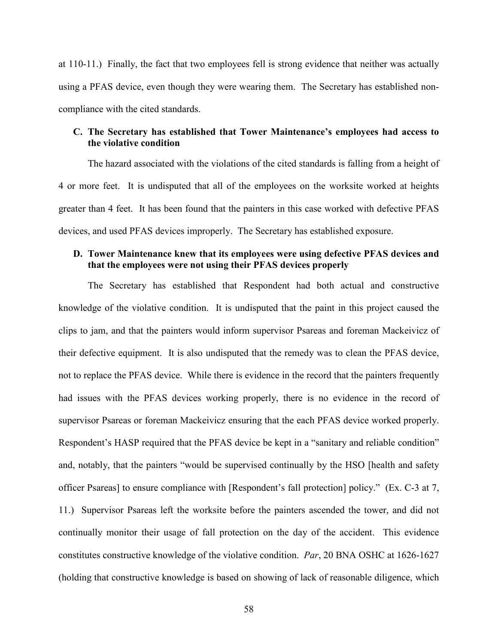at 110-11.) Finally, the fact that two employees fell is strong evidence that neither was actually using a PFAS device, even though they were wearing them. The Secretary has established noncompliance with the cited standards.

# **C. The Secretary has established that Tower Maintenance's employees had access to the violative condition**

The hazard associated with the violations of the cited standards is falling from a height of 4 or more feet. It is undisputed that all of the employees on the worksite worked at heights greater than 4 feet. It has been found that the painters in this case worked with defective PFAS devices, and used PFAS devices improperly. The Secretary has established exposure.

# **D. Tower Maintenance knew that its employees were using defective PFAS devices and that the employees were not using their PFAS devices properly**

The Secretary has established that Respondent had both actual and constructive knowledge of the violative condition. It is undisputed that the paint in this project caused the clips to jam, and that the painters would inform supervisor Psareas and foreman Mackeivicz of their defective equipment. It is also undisputed that the remedy was to clean the PFAS device, not to replace the PFAS device. While there is evidence in the record that the painters frequently had issues with the PFAS devices working properly, there is no evidence in the record of supervisor Psareas or foreman Mackeivicz ensuring that the each PFAS device worked properly. Respondent's HASP required that the PFAS device be kept in a "sanitary and reliable condition" and, notably, that the painters "would be supervised continually by the HSO [health and safety officer Psareas] to ensure compliance with [Respondent's fall protection] policy." (Ex. C-3 at 7, 11.) Supervisor Psareas left the worksite before the painters ascended the tower, and did not continually monitor their usage of fall protection on the day of the accident. This evidence constitutes constructive knowledge of the violative condition. *Par*, 20 BNA OSHC at 1626-1627 (holding that constructive knowledge is based on showing of lack of reasonable diligence, which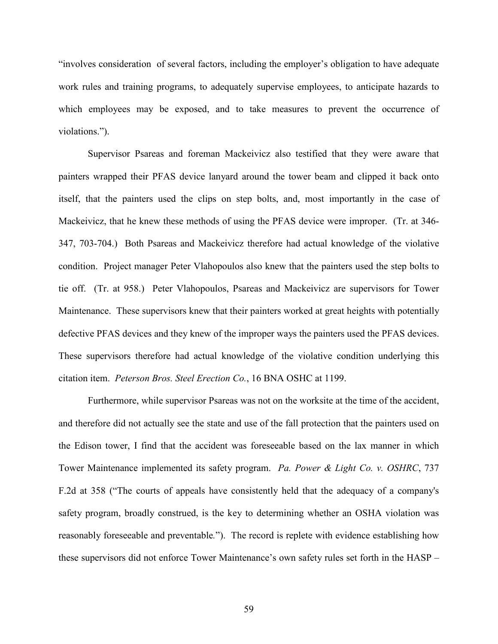"involves consideration of several factors, including the employer's obligation to have adequate work rules and training programs, to adequately supervise employees, to anticipate hazards to which employees may be exposed, and to take measures to prevent the occurrence of violations.").

Supervisor Psareas and foreman Mackeivicz also testified that they were aware that painters wrapped their PFAS device lanyard around the tower beam and clipped it back onto itself, that the painters used the clips on step bolts, and, most importantly in the case of Mackeivicz, that he knew these methods of using the PFAS device were improper. (Tr. at 346- 347, 703-704.) Both Psareas and Mackeivicz therefore had actual knowledge of the violative condition. Project manager Peter Vlahopoulos also knew that the painters used the step bolts to tie off. (Tr. at 958.) Peter Vlahopoulos, Psareas and Mackeivicz are supervisors for Tower Maintenance. These supervisors knew that their painters worked at great heights with potentially defective PFAS devices and they knew of the improper ways the painters used the PFAS devices. These supervisors therefore had actual knowledge of the violative condition underlying this citation item. *Peterson Bros. Steel Erection Co.*, 16 BNA OSHC at 1199.

Furthermore, while supervisor Psareas was not on the worksite at the time of the accident, and therefore did not actually see the state and use of the fall protection that the painters used on the Edison tower, I find that the accident was foreseeable based on the lax manner in which Tower Maintenance implemented its safety program. *Pa. Power & Light Co. v. OSHRC*, 737 F.2d at 358 ("The courts of appeals have consistently held that the adequacy of a company's safety program, broadly construed, is the key to determining whether an OSHA violation was reasonably foreseeable and preventable*.*"). The record is replete with evidence establishing how these supervisors did not enforce Tower Maintenance's own safety rules set forth in the HASP –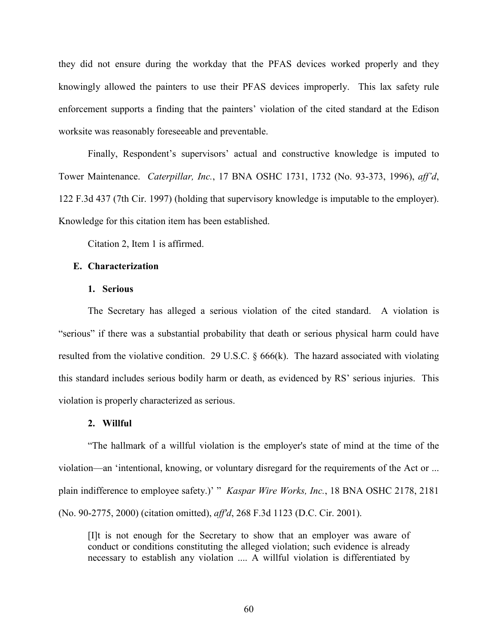they did not ensure during the workday that the PFAS devices worked properly and they knowingly allowed the painters to use their PFAS devices improperly. This lax safety rule enforcement supports a finding that the painters' violation of the cited standard at the Edison worksite was reasonably foreseeable and preventable.

Finally, Respondent's supervisors' actual and constructive knowledge is imputed to Tower Maintenance. *Caterpillar, Inc.*, 17 BNA OSHC 1731, 1732 (No. 93-373, 1996), *aff'd*, 122 F.3d 437 (7th Cir. 1997) (holding that supervisory knowledge is imputable to the employer). Knowledge for this citation item has been established.

Citation 2, Item 1 is affirmed.

### **E. Characterization**

### **1. Serious**

The Secretary has alleged a serious violation of the cited standard. A violation is "serious" if there was a substantial probability that death or serious physical harm could have resulted from the violative condition. 29 U.S.C. § 666(k). The hazard associated with violating this standard includes serious bodily harm or death, as evidenced by RS' serious injuries. This violation is properly characterized as serious.

#### **2. Willful**

"The hallmark of a willful violation is the employer's state of mind at the time of the violation—an 'intentional, knowing, or voluntary disregard for the requirements of the Act or ... plain indifference to employee safety.)' " *Kaspar Wire Works, Inc.*, 18 BNA OSHC 2178, 2181 (No. 90-2775, 2000) (citation omitted), *aff'd*, 268 F.3d 1123 (D.C. Cir. 2001).

[I]t is not enough for the Secretary to show that an employer was aware of conduct or conditions constituting the alleged violation; such evidence is already necessary to establish any violation .... A willful violation is differentiated by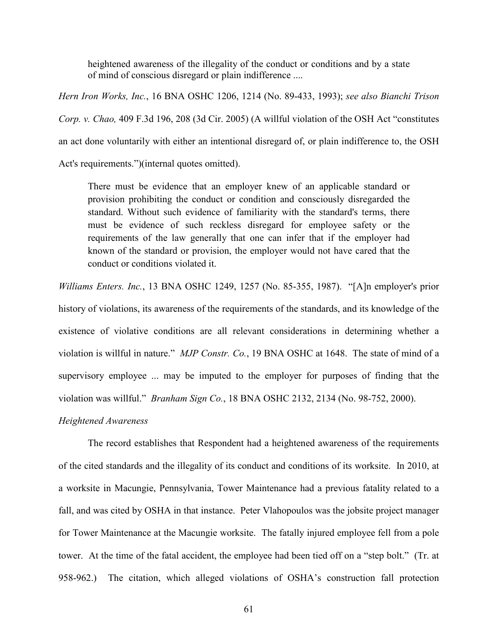heightened awareness of the illegality of the conduct or conditions and by a state of mind of conscious disregard or plain indifference ....

*Hern Iron Works, Inc.*, 16 BNA OSHC 1206, 1214 (No. 89-433, 1993); *see also Bianchi Trison Corp. v. Chao,* 409 F.3d 196, 208 (3d Cir. 2005) (A willful violation of the OSH Act "constitutes an act done voluntarily with either an intentional disregard of, or plain indifference to, the OSH Act's requirements.")(internal quotes omitted).

There must be evidence that an employer knew of an applicable standard or provision prohibiting the conduct or condition and consciously disregarded the standard. Without such evidence of familiarity with the standard's terms, there must be evidence of such reckless disregard for employee safety or the requirements of the law generally that one can infer that if the employer had known of the standard or provision, the employer would not have cared that the conduct or conditions violated it.

*Williams Enters. Inc.*, 13 BNA OSHC 1249, 1257 (No. 85-355, 1987). "[A]n employer's prior history of violations, its awareness of the requirements of the standards, and its knowledge of the existence of violative conditions are all relevant considerations in determining whether a violation is willful in nature." *MJP Constr. Co.*, 19 BNA OSHC at 1648. The state of mind of a supervisory employee ... may be imputed to the employer for purposes of finding that the violation was willful." *Branham Sign Co.*, 18 BNA OSHC 2132, 2134 (No. 98-752, 2000).

### *Heightened Awareness*

The record establishes that Respondent had a heightened awareness of the requirements of the cited standards and the illegality of its conduct and conditions of its worksite. In 2010, at a worksite in Macungie, Pennsylvania, Tower Maintenance had a previous fatality related to a fall, and was cited by OSHA in that instance. Peter Vlahopoulos was the jobsite project manager for Tower Maintenance at the Macungie worksite. The fatally injured employee fell from a pole tower. At the time of the fatal accident, the employee had been tied off on a "step bolt." (Tr. at 958-962.) The citation, which alleged violations of OSHA's construction fall protection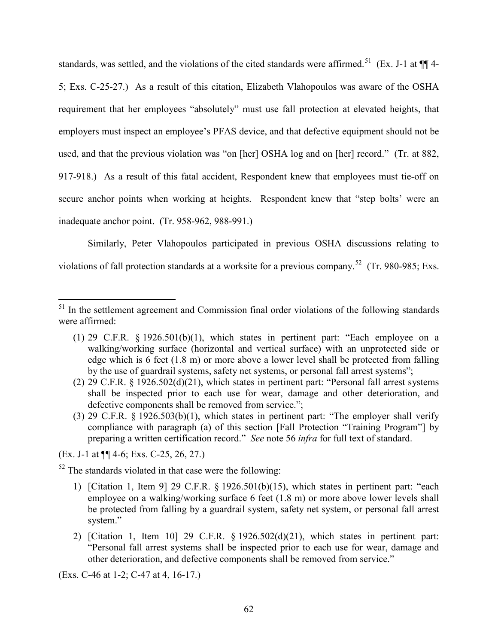standards, was settled, and the violations of the cited standards were affirmed.<sup>51</sup> (Ex. J-1 at  $\P$ ] 4-5; Exs. C-25-27.) As a result of this citation, Elizabeth Vlahopoulos was aware of the OSHA requirement that her employees "absolutely" must use fall protection at elevated heights, that employers must inspect an employee's PFAS device, and that defective equipment should not be used, and that the previous violation was "on [her] OSHA log and on [her] record." (Tr. at 882, 917-918.) As a result of this fatal accident, Respondent knew that employees must tie-off on secure anchor points when working at heights. Respondent knew that "step bolts' were an inadequate anchor point. (Tr. 958-962, 988-991.)

Similarly, Peter Vlahopoulos participated in previous OSHA discussions relating to violations of fall protection standards at a worksite for a previous company.<sup>[52](#page-61-1)</sup> (Tr. 980-985; Exs.

(Ex. J-1 at ¶¶ 4-6; Exs. C-25, 26, 27.)

 $\overline{a}$ 

<span id="page-61-1"></span> $52$  The standards violated in that case were the following:

- 1) [Citation 1, Item 9] 29 C.F.R. § 1926.501(b)(15), which states in pertinent part: "each employee on a walking/working surface 6 feet (1.8 m) or more above lower levels shall be protected from falling by a guardrail system, safety net system, or personal fall arrest system."
- 2) [Citation 1, Item 10] 29 C.F.R. § 1926.502(d)(21), which states in pertinent part: "Personal fall arrest systems shall be inspected prior to each use for wear, damage and other deterioration, and defective components shall be removed from service."

(Exs. C-46 at 1-2; C-47 at 4, 16-17.)

<span id="page-61-0"></span><sup>&</sup>lt;sup>51</sup> In the settlement agreement and Commission final order violations of the following standards were affirmed:

<sup>(1) 29</sup> C.F.R.  $\S$  1926.501(b)(1), which states in pertinent part: "Each employee on a walking/working surface (horizontal and vertical surface) with an unprotected side or edge which is 6 feet (1.8 m) or more above a lower level shall be protected from falling by the use of guardrail systems, safety net systems, or personal fall arrest systems";

<sup>(2)</sup> 29 C.F.R. § 1926.502(d)(21), which states in pertinent part: "Personal fall arrest systems shall be inspected prior to each use for wear, damage and other deterioration, and defective components shall be removed from service.";

<sup>(3)</sup> 29 C.F.R. § 1926.503(b)(1), which states in pertinent part: "The employer shall verify compliance with paragraph (a) of this section [Fall Protection "Training Program"] by preparing a written certification record." *See* note 56 *infra* for full text of standard.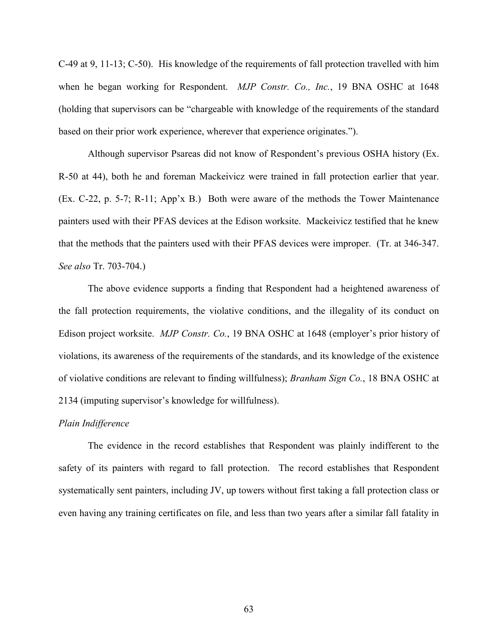C-49 at 9, 11-13; C-50). His knowledge of the requirements of fall protection travelled with him when he began working for Respondent. *MJP Constr. Co., Inc.*, 19 BNA OSHC at 1648 (holding that supervisors can be "chargeable with knowledge of the requirements of the standard based on their prior work experience, wherever that experience originates.").

Although supervisor Psareas did not know of Respondent's previous OSHA history (Ex. R-50 at 44), both he and foreman Mackeivicz were trained in fall protection earlier that year. (Ex. C-22, p. 5-7; R-11; App'x B.) Both were aware of the methods the Tower Maintenance painters used with their PFAS devices at the Edison worksite. Mackeivicz testified that he knew that the methods that the painters used with their PFAS devices were improper. (Tr. at 346-347. *See also* Tr. 703-704.)

The above evidence supports a finding that Respondent had a heightened awareness of the fall protection requirements, the violative conditions, and the illegality of its conduct on Edison project worksite. *MJP Constr. Co.*, 19 BNA OSHC at 1648 (employer's prior history of violations, its awareness of the requirements of the standards, and its knowledge of the existence of violative conditions are relevant to finding willfulness); *Branham Sign Co.*, 18 BNA OSHC at 2134 (imputing supervisor's knowledge for willfulness).

#### *Plain Indifference*

The evidence in the record establishes that Respondent was plainly indifferent to the safety of its painters with regard to fall protection. The record establishes that Respondent systematically sent painters, including JV, up towers without first taking a fall protection class or even having any training certificates on file, and less than two years after a similar fall fatality in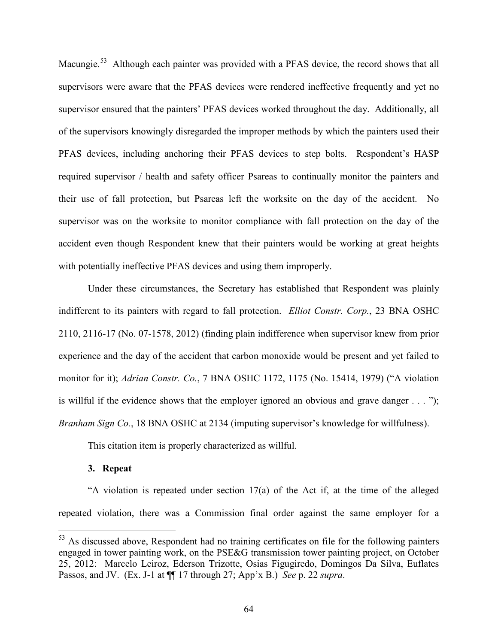Macungie.<sup>53</sup> Although each painter was provided with a PFAS device, the record shows that all supervisors were aware that the PFAS devices were rendered ineffective frequently and yet no supervisor ensured that the painters' PFAS devices worked throughout the day. Additionally, all of the supervisors knowingly disregarded the improper methods by which the painters used their PFAS devices, including anchoring their PFAS devices to step bolts. Respondent's HASP required supervisor / health and safety officer Psareas to continually monitor the painters and their use of fall protection, but Psareas left the worksite on the day of the accident. No supervisor was on the worksite to monitor compliance with fall protection on the day of the accident even though Respondent knew that their painters would be working at great heights with potentially ineffective PFAS devices and using them improperly.

Under these circumstances, the Secretary has established that Respondent was plainly indifferent to its painters with regard to fall protection. *Elliot Constr. Corp.*, 23 BNA OSHC 2110, 2116-17 (No. 07-1578, 2012) (finding plain indifference when supervisor knew from prior experience and the day of the accident that carbon monoxide would be present and yet failed to monitor for it); *Adrian Constr. Co.*, 7 BNA OSHC 1172, 1175 (No. 15414, 1979) ("A violation is willful if the evidence shows that the employer ignored an obvious and grave danger . . . "); *Branham Sign Co.*, 18 BNA OSHC at 2134 (imputing supervisor's knowledge for willfulness).

This citation item is properly characterized as willful.

## **3. Repeat**

 $\overline{a}$ 

"A violation is repeated under section 17(a) of the Act if, at the time of the alleged repeated violation, there was a Commission final order against the same employer for a

<span id="page-63-0"></span> $53$  As discussed above, Respondent had no training certificates on file for the following painters engaged in tower painting work, on the PSE&G transmission tower painting project, on October 25, 2012: Marcelo Leiroz, Ederson Trizotte, Osias Figugiredo, Domingos Da Silva, Euflates Passos, and JV. (Ex. J-1 at ¶¶ 17 through 27; App'x B.) *See* p. 22 *supra*.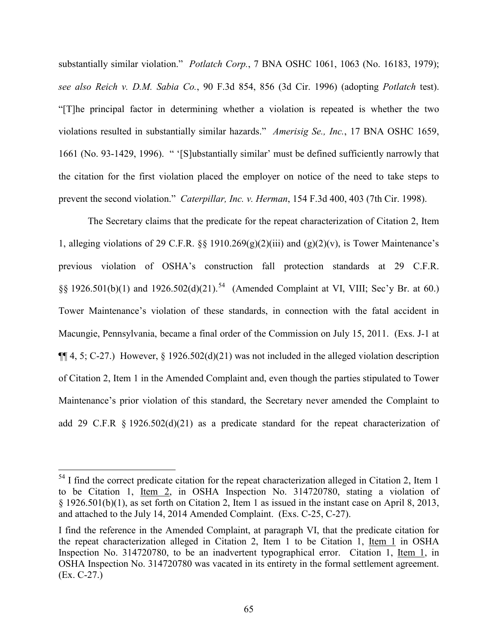substantially similar violation." *Potlatch Corp.*, 7 BNA OSHC 1061, 1063 (No. 16183, 1979); *see also Reich v. D.M. Sabia Co.*, 90 F.3d 854, 856 (3d Cir. 1996) (adopting *Potlatch* test). "[T]he principal factor in determining whether a violation is repeated is whether the two violations resulted in substantially similar hazards." *Amerisig Se., Inc.*, 17 BNA OSHC 1659, 1661 (No. 93-1429, 1996). " '[S]ubstantially similar' must be defined sufficiently narrowly that the citation for the first violation placed the employer on notice of the need to take steps to prevent the second violation." *Caterpillar, Inc. v. Herman*, 154 F.3d 400, 403 (7th Cir. 1998).

The Secretary claims that the predicate for the repeat characterization of Citation 2, Item 1, alleging violations of 29 C.F.R. §§ 1910.269 $(g)(2)(iii)$  and  $(g)(2)(v)$ , is Tower Maintenance's previous violation of OSHA's construction fall protection standards at 29 C.F.R.  $\S\S 1926.501(b)(1)$  and  $1926.502(d)(21).$ <sup>54</sup> (Amended Complaint at VI, VIII; Sec'y Br. at 60.) Tower Maintenance's violation of these standards, in connection with the fatal accident in Macungie, Pennsylvania, became a final order of the Commission on July 15, 2011. (Exs. J-1 at  $\P\P$ 4, 5; C-27.) However, § 1926.502(d)(21) was not included in the alleged violation description of Citation 2, Item 1 in the Amended Complaint and, even though the parties stipulated to Tower Maintenance's prior violation of this standard, the Secretary never amended the Complaint to add 29 C.F.R § 1926.502(d)(21) as a predicate standard for the repeat characterization of

<span id="page-64-0"></span> $54$  I find the correct predicate citation for the repeat characterization alleged in Citation 2, Item 1 to be Citation 1, Item 2, in OSHA Inspection No. 314720780, stating a violation of § 1926.501(b)(1), as set forth on Citation 2, Item 1 as issued in the instant case on April 8, 2013, and attached to the July 14, 2014 Amended Complaint. (Exs. C-25, C-27).

I find the reference in the Amended Complaint, at paragraph VI, that the predicate citation for the repeat characterization alleged in Citation 2, Item 1 to be Citation 1, Item 1 in OSHA Inspection No. 314720780, to be an inadvertent typographical error. Citation 1, Item 1, in OSHA Inspection No. 314720780 was vacated in its entirety in the formal settlement agreement. (Ex. C-27.)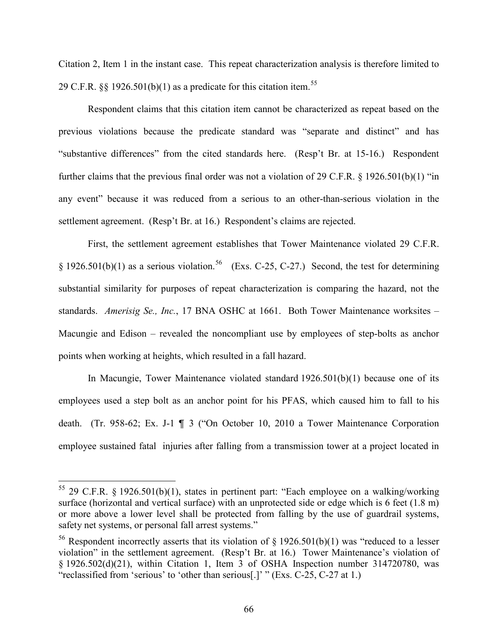Citation 2, Item 1 in the instant case. This repeat characterization analysis is therefore limited to 29 C.F.R.  $\S$  1926.501(b)(1) as a predicate for this citation item.<sup>[55](#page-65-0)</sup>

Respondent claims that this citation item cannot be characterized as repeat based on the previous violations because the predicate standard was "separate and distinct" and has "substantive differences" from the cited standards here. (Resp't Br. at 15-16.) Respondent further claims that the previous final order was not a violation of 29 C.F.R. § 1926.501(b)(1) "in any event" because it was reduced from a serious to an other-than-serious violation in the settlement agreement. (Resp't Br. at 16.) Respondent's claims are rejected.

First, the settlement agreement establishes that Tower Maintenance violated 29 C.F.R. § 1926.501(b)(1) as a serious violation.<sup>[56](#page-65-1)</sup> (Exs. C-25, C-27.) Second, the test for determining substantial similarity for purposes of repeat characterization is comparing the hazard, not the standards. *Amerisig Se., Inc.*, 17 BNA OSHC at 1661. Both Tower Maintenance worksites – Macungie and Edison – revealed the noncompliant use by employees of step-bolts as anchor points when working at heights, which resulted in a fall hazard.

In Macungie, Tower Maintenance violated standard 1926.501(b)(1) because one of its employees used a step bolt as an anchor point for his PFAS, which caused him to fall to his death. (Tr. 958-62; Ex. J-1 ¶ 3 ("On October 10, 2010 a Tower Maintenance Corporation employee sustained fatal injuries after falling from a transmission tower at a project located in

<span id="page-65-0"></span><sup>&</sup>lt;sup>55</sup> 29 C.F.R. § 1926.501(b)(1), states in pertinent part: "Each employee on a walking/working surface (horizontal and vertical surface) with an unprotected side or edge which is 6 feet (1.8 m) or more above a lower level shall be protected from falling by the use of guardrail systems, safety net systems, or personal fall arrest systems."

<span id="page-65-1"></span><sup>&</sup>lt;sup>56</sup> Respondent incorrectly asserts that its violation of  $\S$  1926.501(b)(1) was "reduced to a lesser violation" in the settlement agreement. (Resp't Br. at 16.) Tower Maintenance's violation of § 1926.502(d)(21), within Citation 1, Item 3 of OSHA Inspection number 314720780, was "reclassified from 'serious' to 'other than serious[.]' " (Exs. C-25, C-27 at 1.)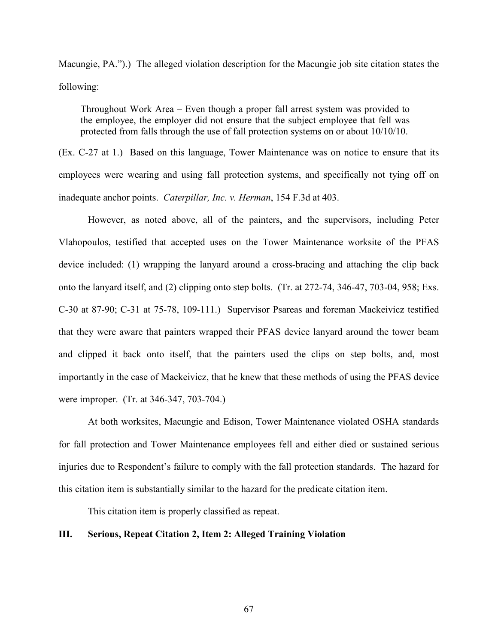Macungie, PA.").) The alleged violation description for the Macungie job site citation states the following:

Throughout Work Area – Even though a proper fall arrest system was provided to the employee, the employer did not ensure that the subject employee that fell was protected from falls through the use of fall protection systems on or about 10/10/10.

(Ex. C-27 at 1.) Based on this language, Tower Maintenance was on notice to ensure that its employees were wearing and using fall protection systems, and specifically not tying off on inadequate anchor points. *Caterpillar, Inc. v. Herman*, 154 F.3d at 403.

However, as noted above, all of the painters, and the supervisors, including Peter Vlahopoulos, testified that accepted uses on the Tower Maintenance worksite of the PFAS device included: (1) wrapping the lanyard around a cross-bracing and attaching the clip back onto the lanyard itself, and (2) clipping onto step bolts. (Tr. at 272-74, 346-47, 703-04, 958; Exs. C-30 at 87-90; C-31 at 75-78, 109-111.) Supervisor Psareas and foreman Mackeivicz testified that they were aware that painters wrapped their PFAS device lanyard around the tower beam and clipped it back onto itself, that the painters used the clips on step bolts, and, most importantly in the case of Mackeivicz, that he knew that these methods of using the PFAS device were improper. (Tr. at 346-347, 703-704.)

At both worksites, Macungie and Edison, Tower Maintenance violated OSHA standards for fall protection and Tower Maintenance employees fell and either died or sustained serious injuries due to Respondent's failure to comply with the fall protection standards. The hazard for this citation item is substantially similar to the hazard for the predicate citation item.

This citation item is properly classified as repeat.

## **III. Serious, Repeat Citation 2, Item 2: Alleged Training Violation**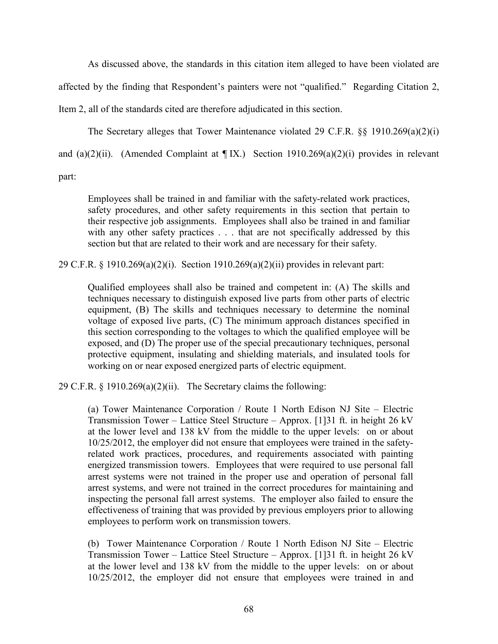As discussed above, the standards in this citation item alleged to have been violated are affected by the finding that Respondent's painters were not "qualified." Regarding Citation 2, Item 2, all of the standards cited are therefore adjudicated in this section.

The Secretary alleges that Tower Maintenance violated 29 C.F.R.  $\S$ § 1910.269(a)(2)(i)

and (a)(2)(ii). (Amended Complaint at  $\P$ IX.) Section 1910.269(a)(2)(i) provides in relevant

part:

Employees shall be trained in and familiar with the safety-related work practices, safety procedures, and other safety requirements in this section that pertain to their respective job assignments. Employees shall also be trained in and familiar with any other safety practices . . . that are not specifically addressed by this section but that are related to their work and are necessary for their safety.

29 C.F.R. § 1910.269(a)(2)(i). Section 1910.269(a)(2)(ii) provides in relevant part:

Qualified employees shall also be trained and competent in: (A) The skills and techniques necessary to distinguish exposed live parts from other parts of electric equipment, (B) The skills and techniques necessary to determine the nominal voltage of exposed live parts, (C) The minimum approach distances specified in this section corresponding to the voltages to which the qualified employee will be exposed, and (D) The proper use of the special precautionary techniques, personal protective equipment, insulating and shielding materials, and insulated tools for working on or near exposed energized parts of electric equipment.

29 C.F.R.  $\S 1910.269(a)(2)(ii)$ . The Secretary claims the following:

(a) Tower Maintenance Corporation / Route 1 North Edison NJ Site – Electric Transmission Tower – Lattice Steel Structure – Approx. [1]31 ft. in height 26 kV at the lower level and 138 kV from the middle to the upper levels: on or about 10/25/2012, the employer did not ensure that employees were trained in the safetyrelated work practices, procedures, and requirements associated with painting energized transmission towers. Employees that were required to use personal fall arrest systems were not trained in the proper use and operation of personal fall arrest systems, and were not trained in the correct procedures for maintaining and inspecting the personal fall arrest systems. The employer also failed to ensure the effectiveness of training that was provided by previous employers prior to allowing employees to perform work on transmission towers.

(b) Tower Maintenance Corporation / Route 1 North Edison NJ Site – Electric Transmission Tower – Lattice Steel Structure – Approx. [1]31 ft. in height 26 kV at the lower level and 138 kV from the middle to the upper levels: on or about 10/25/2012, the employer did not ensure that employees were trained in and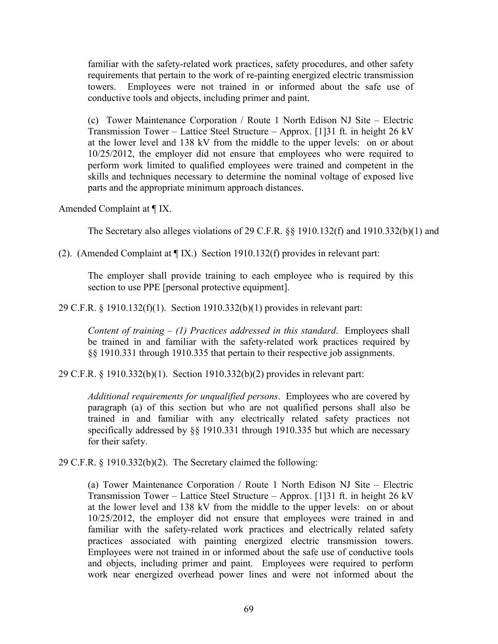familiar with the safety-related work practices, safety procedures, and other safety requirements that pertain to the work of re-painting energized electric transmission towers. Employees were not trained in or informed about the safe use of conductive tools and objects, including primer and paint.

(c) Tower Maintenance Corporation / Route 1 North Edison NJ Site – Electric Transmission Tower – Lattice Steel Structure – Approx. [1]31 ft. in height 26 kV at the lower level and 138 kV from the middle to the upper levels: on or about 10/25/2012, the employer did not ensure that employees who were required to perform work limited to qualified employees were trained and competent in the skills and techniques necessary to determine the nominal voltage of exposed live parts and the appropriate minimum approach distances.

Amended Complaint at ¶ IX.

The Secretary also alleges violations of 29 C.F.R. §§ 1910.132(f) and 1910.332(b)(1) and

(2). (Amended Complaint at ¶ IX.) Section 1910.132(f) provides in relevant part:

The employer shall provide training to each employee who is required by this section to use PPE [personal protective equipment].

29 C.F.R. § 1910.132(f)(1). Section 1910.332(b)(1) provides in relevant part:

*Content of training – (1) Practices addressed in this standard*. Employees shall be trained in and familiar with the safety-related work practices required by §§ 1910.331 through 1910.335 that pertain to their respective job assignments.

29 C.F.R. § 1910.332(b)(1). Section 1910.332(b)(2) provides in relevant part:

*Additional requirements for unqualified persons*. Employees who are covered by paragraph (a) of this section but who are not qualified persons shall also be trained in and familiar with any electrically related safety practices not specifically addressed by §§ 1910.331 through 1910.335 but which are necessary for their safety.

29 C.F.R. § 1910.332(b)(2). The Secretary claimed the following:

(a) Tower Maintenance Corporation / Route 1 North Edison NJ Site – Electric Transmission Tower – Lattice Steel Structure – Approx. [1]31 ft. in height 26 kV at the lower level and 138 kV from the middle to the upper levels: on or about 10/25/2012, the employer did not ensure that employees were trained in and familiar with the safety-related work practices and electrically related safety practices associated with painting energized electric transmission towers. Employees were not trained in or informed about the safe use of conductive tools and objects, including primer and paint. Employees were required to perform work near energized overhead power lines and were not informed about the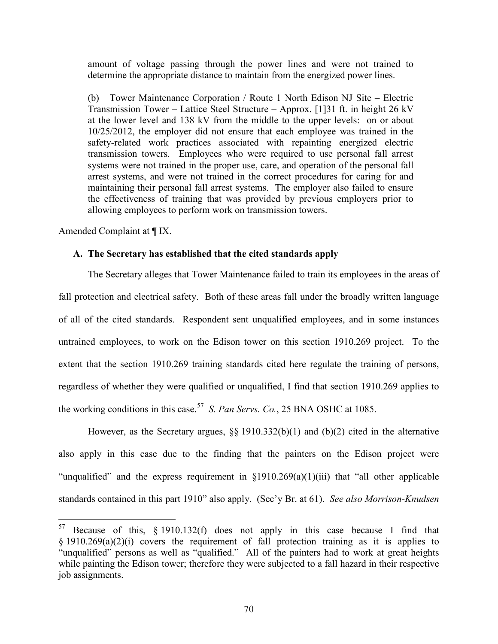amount of voltage passing through the power lines and were not trained to determine the appropriate distance to maintain from the energized power lines.

(b) Tower Maintenance Corporation / Route 1 North Edison NJ Site – Electric Transmission Tower – Lattice Steel Structure – Approx. [1]31 ft. in height 26 kV at the lower level and 138 kV from the middle to the upper levels: on or about 10/25/2012, the employer did not ensure that each employee was trained in the safety-related work practices associated with repainting energized electric transmission towers. Employees who were required to use personal fall arrest systems were not trained in the proper use, care, and operation of the personal fall arrest systems, and were not trained in the correct procedures for caring for and maintaining their personal fall arrest systems. The employer also failed to ensure the effectiveness of training that was provided by previous employers prior to allowing employees to perform work on transmission towers.

Amended Complaint at ¶ IX.

 $\overline{a}$ 

### **A. The Secretary has established that the cited standards apply**

The Secretary alleges that Tower Maintenance failed to train its employees in the areas of fall protection and electrical safety. Both of these areas fall under the broadly written language of all of the cited standards. Respondent sent unqualified employees, and in some instances untrained employees, to work on the Edison tower on this section 1910.269 project. To the extent that the section 1910.269 training standards cited here regulate the training of persons, regardless of whether they were qualified or unqualified, I find that section 1910.269 applies to the working conditions in this case.[57](#page-69-0) *S. Pan Servs. Co.*, 25 BNA OSHC at 1085.

However, as the Secretary argues, §§ 1910.332(b)(1) and (b)(2) cited in the alternative also apply in this case due to the finding that the painters on the Edison project were "unqualified" and the express requirement in  $\S1910.269(a)(1)(iii)$  that "all other applicable" standards contained in this part 1910" also apply. (Sec'y Br. at 61). *See also Morrison-Knudsen* 

<span id="page-69-0"></span> $57$  Because of this, § 1910.132(f) does not apply in this case because I find that  $§$  1910.269(a)(2)(i) covers the requirement of fall protection training as it is applies to "unqualified" persons as well as "qualified." All of the painters had to work at great heights while painting the Edison tower; therefore they were subjected to a fall hazard in their respective job assignments.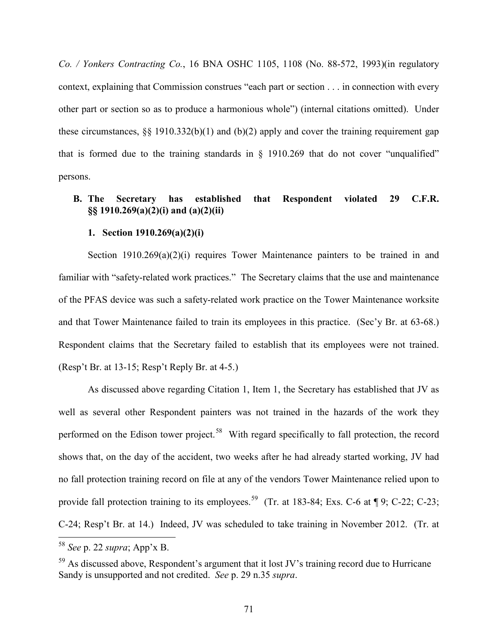*Co. / Yonkers Contracting Co.*, 16 BNA OSHC 1105, 1108 (No. 88-572, 1993)(in regulatory context, explaining that Commission construes "each part or section . . . in connection with every other part or section so as to produce a harmonious whole") (internal citations omitted). Under these circumstances,  $\S\S 1910.332(b)(1)$  and  $(b)(2)$  apply and cover the training requirement gap that is formed due to the training standards in  $\S$  1910.269 that do not cover "unqualified" persons.

# **B. The Secretary has established that Respondent violated 29 C.F.R. §§ 1910.269(a)(2)(i) and (a)(2)(ii)**

## **1. Section 1910.269(a)(2)(i)**

Section 1910.269(a)(2)(i) requires Tower Maintenance painters to be trained in and familiar with "safety-related work practices." The Secretary claims that the use and maintenance of the PFAS device was such a safety-related work practice on the Tower Maintenance worksite and that Tower Maintenance failed to train its employees in this practice. (Sec'y Br. at 63-68.) Respondent claims that the Secretary failed to establish that its employees were not trained. (Resp't Br. at 13-15; Resp't Reply Br. at 4-5.)

As discussed above regarding Citation 1, Item 1, the Secretary has established that JV as well as several other Respondent painters was not trained in the hazards of the work they performed on the Edison tower project.<sup>[58](#page-70-0)</sup> With regard specifically to fall protection, the record shows that, on the day of the accident, two weeks after he had already started working, JV had no fall protection training record on file at any of the vendors Tower Maintenance relied upon to provide fall protection training to its employees.<sup>[59](#page-70-1)</sup> (Tr. at 183-84; Exs. C-6 at  $\P$ 9; C-22; C-23; C-24; Resp't Br. at 14.) Indeed, JV was scheduled to take training in November 2012. (Tr. at

<span id="page-70-0"></span><sup>58</sup> *See* p. 22 *supra*; App'x B.

<span id="page-70-1"></span> $59$  As discussed above, Respondent's argument that it lost JV's training record due to Hurricane Sandy is unsupported and not credited. *See* p. 29 n.35 *supra*.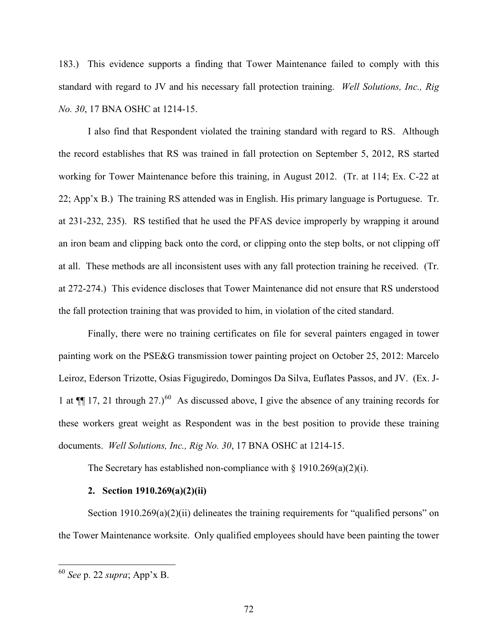183.) This evidence supports a finding that Tower Maintenance failed to comply with this standard with regard to JV and his necessary fall protection training. *Well Solutions, Inc., Rig No. 30*, 17 BNA OSHC at 1214-15.

I also find that Respondent violated the training standard with regard to RS. Although the record establishes that RS was trained in fall protection on September 5, 2012, RS started working for Tower Maintenance before this training, in August 2012. (Tr. at 114; Ex. C-22 at 22; App'x B.) The training RS attended was in English. His primary language is Portuguese. Tr. at 231-232, 235). RS testified that he used the PFAS device improperly by wrapping it around an iron beam and clipping back onto the cord, or clipping onto the step bolts, or not clipping off at all. These methods are all inconsistent uses with any fall protection training he received. (Tr. at 272-274.) This evidence discloses that Tower Maintenance did not ensure that RS understood the fall protection training that was provided to him, in violation of the cited standard.

Finally, there were no training certificates on file for several painters engaged in tower painting work on the PSE&G transmission tower painting project on October 25, 2012: Marcelo Leiroz, Ederson Trizotte, Osias Figugiredo, Domingos Da Silva, Euflates Passos, and JV. (Ex. J-1 at  $\P$  17, 21 through 27.)<sup>60</sup> As discussed above, I give the absence of any training records for these workers great weight as Respondent was in the best position to provide these training documents. *Well Solutions, Inc., Rig No. 30*, 17 BNA OSHC at 1214-15.

The Secretary has established non-compliance with  $\S 1910.269(a)(2)(i)$ .

## **2. Section 1910.269(a)(2)(ii)**

Section 1910.269(a)(2)(ii) delineates the training requirements for "qualified persons" on the Tower Maintenance worksite. Only qualified employees should have been painting the tower

<span id="page-71-0"></span><sup>60</sup> *See* p. 22 *supra*; App'x B.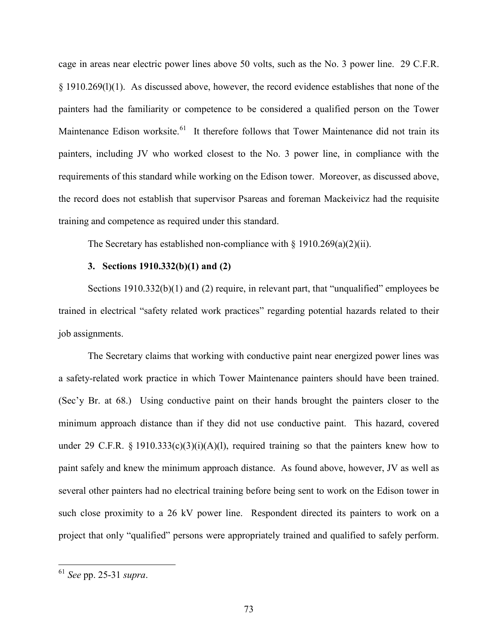cage in areas near electric power lines above 50 volts, such as the No. 3 power line. 29 C.F.R. § 1910.269(l)(1). As discussed above, however, the record evidence establishes that none of the painters had the familiarity or competence to be considered a qualified person on the Tower Maintenance Edison worksite.<sup>[61](#page-72-0)</sup> It therefore follows that Tower Maintenance did not train its painters, including JV who worked closest to the No. 3 power line, in compliance with the requirements of this standard while working on the Edison tower. Moreover, as discussed above, the record does not establish that supervisor Psareas and foreman Mackeivicz had the requisite training and competence as required under this standard.

The Secretary has established non-compliance with  $\S 1910.269(a)(2)(ii)$ .

### **3. Sections 1910.332(b)(1) and (2)**

Sections 1910.332(b)(1) and (2) require, in relevant part, that "unqualified" employees be trained in electrical "safety related work practices" regarding potential hazards related to their job assignments.

The Secretary claims that working with conductive paint near energized power lines was a safety-related work practice in which Tower Maintenance painters should have been trained. (Sec'y Br. at 68.) Using conductive paint on their hands brought the painters closer to the minimum approach distance than if they did not use conductive paint. This hazard, covered under 29 C.F.R. § 1910.333(c)(3)(i)(A)(l), required training so that the painters knew how to paint safely and knew the minimum approach distance. As found above, however, JV as well as several other painters had no electrical training before being sent to work on the Edison tower in such close proximity to a 26 kV power line. Respondent directed its painters to work on a project that only "qualified" persons were appropriately trained and qualified to safely perform.

 $\overline{a}$ 

<span id="page-72-0"></span><sup>61</sup> *See* pp. 25-31 *supra*.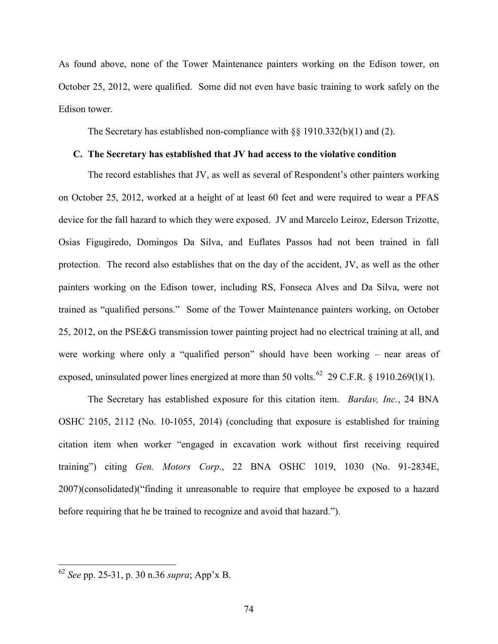As found above, none of the Tower Maintenance painters working on the Edison tower, on October 25, 2012, were qualified. Some did not even have basic training to work safely on the Edison tower.

The Secretary has established non-compliance with  $\S$  1910.332(b)(1) and (2).

### **C. The Secretary has established that JV had access to the violative condition**

The record establishes that JV, as well as several of Respondent's other painters working on October 25, 2012, worked at a height of at least 60 feet and were required to wear a PFAS device for the fall hazard to which they were exposed. JV and Marcelo Leiroz, Ederson Trizotte, Osias Figugiredo, Domingos Da Silva, and Euflates Passos had not been trained in fall protection. The record also establishes that on the day of the accident, JV, as well as the other painters working on the Edison tower, including RS, Fonseca Alves and Da Silva, were not trained as "qualified persons." Some of the Tower Maintenance painters working, on October 25, 2012, on the PSE&G transmission tower painting project had no electrical training at all, and were working where only a "qualified person" should have been working – near areas of exposed, uninsulated power lines energized at more than 50 volts.<sup>62</sup> 29 C.F.R. § 1910.269(1)(1).

The Secretary has established exposure for this citation item. *Bardav, Inc.*, 24 BNA OSHC 2105, 2112 (No. 10-1055, 2014) (concluding that exposure is established for training citation item when worker "engaged in excavation work without first receiving required training") citing *Gen. Motors Corp*., 22 BNA OSHC 1019, 1030 (No. 91-2834E, 2007)(consolidated)("finding it unreasonable to require that employee be exposed to a hazard before requiring that he be trained to recognize and avoid that hazard.").

 $\overline{a}$ 

<span id="page-73-0"></span><sup>62</sup> *See* pp. 25-31, p. 30 n.36 *supra*; App'x B.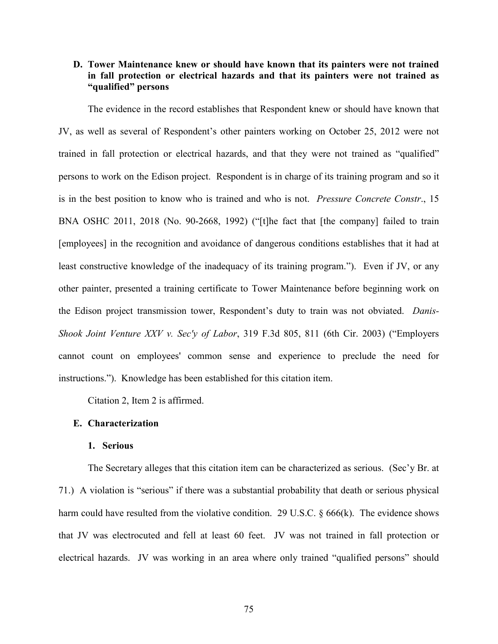## **D. Tower Maintenance knew or should have known that its painters were not trained in fall protection or electrical hazards and that its painters were not trained as "qualified" persons**

The evidence in the record establishes that Respondent knew or should have known that JV, as well as several of Respondent's other painters working on October 25, 2012 were not trained in fall protection or electrical hazards, and that they were not trained as "qualified" persons to work on the Edison project. Respondent is in charge of its training program and so it is in the best position to know who is trained and who is not. *Pressure Concrete Constr*., 15 BNA OSHC 2011, 2018 (No. 90-2668, 1992) ("[t]he fact that [the company] failed to train [employees] in the recognition and avoidance of dangerous conditions establishes that it had at least constructive knowledge of the inadequacy of its training program."). Even if JV, or any other painter, presented a training certificate to Tower Maintenance before beginning work on the Edison project transmission tower, Respondent's duty to train was not obviated. *Danis-Shook Joint Venture XXV v. Sec'y of Labor*, 319 F.3d 805, 811 (6th Cir. 2003) ("Employers cannot count on employees' common sense and experience to preclude the need for instructions."). Knowledge has been established for this citation item.

Citation 2, Item 2 is affirmed.

### **E. Characterization**

### **1. Serious**

The Secretary alleges that this citation item can be characterized as serious. (Sec'y Br. at 71.) A violation is "serious" if there was a substantial probability that death or serious physical harm could have resulted from the violative condition. 29 U.S.C. § 666(k). The evidence shows that JV was electrocuted and fell at least 60 feet. JV was not trained in fall protection or electrical hazards. JV was working in an area where only trained "qualified persons" should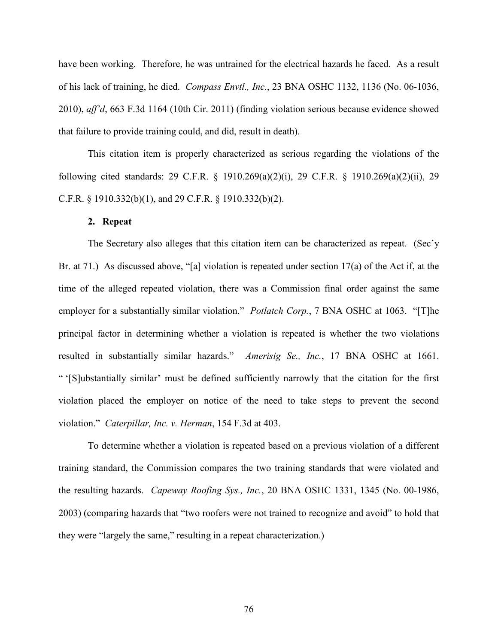have been working. Therefore, he was untrained for the electrical hazards he faced. As a result of his lack of training, he died. *Compass Envtl., Inc.*, 23 BNA OSHC 1132, 1136 (No. 06-1036, 2010), *aff'd*, 663 F.3d 1164 (10th Cir. 2011) (finding violation serious because evidence showed that failure to provide training could, and did, result in death).

This citation item is properly characterized as serious regarding the violations of the following cited standards: 29 C.F.R. § 1910.269(a)(2)(i), 29 C.F.R. § 1910.269(a)(2)(ii), 29 C.F.R. § 1910.332(b)(1), and 29 C.F.R. § 1910.332(b)(2).

#### **2. Repeat**

The Secretary also alleges that this citation item can be characterized as repeat. (Sec'y Br. at 71.) As discussed above, "[a] violation is repeated under section 17(a) of the Act if, at the time of the alleged repeated violation, there was a Commission final order against the same employer for a substantially similar violation." *Potlatch Corp.*, 7 BNA OSHC at 1063. "[T]he principal factor in determining whether a violation is repeated is whether the two violations resulted in substantially similar hazards." *Amerisig Se., Inc.*, 17 BNA OSHC at 1661. " '[S]ubstantially similar' must be defined sufficiently narrowly that the citation for the first violation placed the employer on notice of the need to take steps to prevent the second violation." *Caterpillar, Inc. v. Herman*, 154 F.3d at 403.

To determine whether a violation is repeated based on a previous violation of a different training standard, the Commission compares the two training standards that were violated and the resulting hazards. *Capeway Roofing Sys., Inc.*, 20 BNA OSHC 1331, 1345 (No. 00-1986, 2003) (comparing hazards that "two roofers were not trained to recognize and avoid" to hold that they were "largely the same," resulting in a repeat characterization.)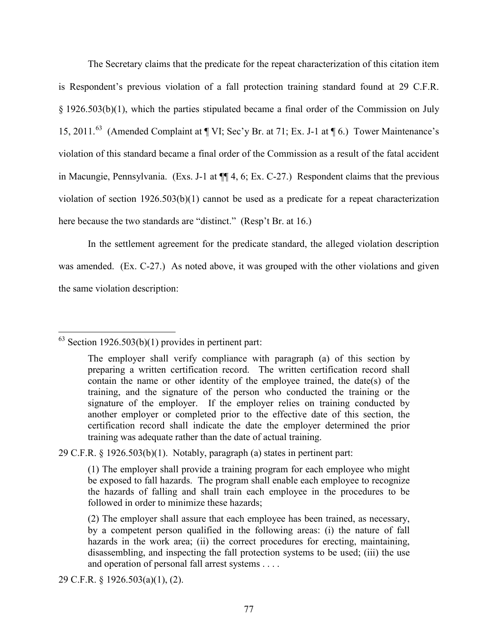The Secretary claims that the predicate for the repeat characterization of this citation item is Respondent's previous violation of a fall protection training standard found at 29 C.F.R. § 1926.503(b)(1), which the parties stipulated became a final order of the Commission on July 15, 2011.<sup>63</sup> (Amended Complaint at ¶ VI; Sec'y Br. at 71; Ex. J-1 at ¶ 6.) Tower Maintenance's violation of this standard became a final order of the Commission as a result of the fatal accident in Macungie, Pennsylvania. (Exs. J-1 at ¶¶ 4, 6; Ex. C-27.) Respondent claims that the previous violation of section 1926.503(b)(1) cannot be used as a predicate for a repeat characterization here because the two standards are "distinct." (Resp't Br. at 16.)

In the settlement agreement for the predicate standard, the alleged violation description was amended. (Ex. C-27.) As noted above, it was grouped with the other violations and given the same violation description:

29 C.F.R. § 1926.503(b)(1). Notably, paragraph (a) states in pertinent part:

29 C.F.R. § 1926.503(a)(1), (2).

<span id="page-76-0"></span> $\overline{a}$  $63$  Section 1926.503(b)(1) provides in pertinent part:

The employer shall verify compliance with paragraph (a) of this section by preparing a written certification record. The written certification record shall contain the name or other identity of the employee trained, the date(s) of the training, and the signature of the person who conducted the training or the signature of the employer. If the employer relies on training conducted by another employer or completed prior to the effective date of this section, the certification record shall indicate the date the employer determined the prior training was adequate rather than the date of actual training.

<sup>(1)</sup> The employer shall provide a training program for each employee who might be exposed to fall hazards. The program shall enable each employee to recognize the hazards of falling and shall train each employee in the procedures to be followed in order to minimize these hazards;

<sup>(2)</sup> The employer shall assure that each employee has been trained, as necessary, by a competent person qualified in the following areas: (i) the nature of fall hazards in the work area; (ii) the correct procedures for erecting, maintaining, disassembling, and inspecting the fall protection systems to be used; (iii) the use and operation of personal fall arrest systems . . . .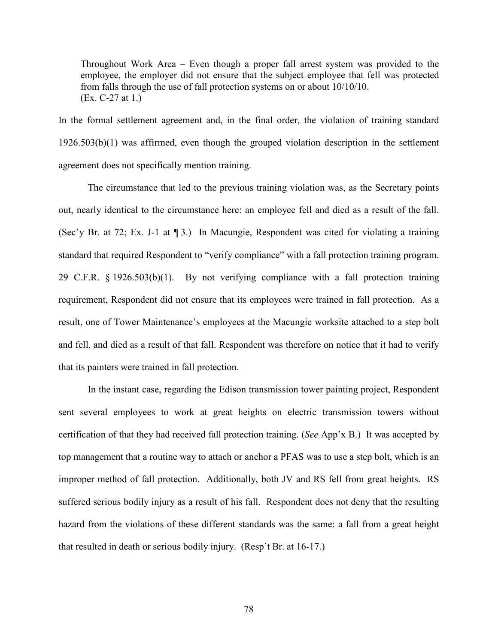Throughout Work Area – Even though a proper fall arrest system was provided to the employee, the employer did not ensure that the subject employee that fell was protected from falls through the use of fall protection systems on or about 10/10/10. (Ex. C-27 at 1.)

In the formal settlement agreement and, in the final order, the violation of training standard 1926.503(b)(1) was affirmed, even though the grouped violation description in the settlement agreement does not specifically mention training.

The circumstance that led to the previous training violation was, as the Secretary points out, nearly identical to the circumstance here: an employee fell and died as a result of the fall. (Sec'y Br. at 72; Ex. J-1 at ¶ 3.) In Macungie, Respondent was cited for violating a training standard that required Respondent to "verify compliance" with a fall protection training program. 29 C.F.R. § 1926.503(b)(1). By not verifying compliance with a fall protection training requirement, Respondent did not ensure that its employees were trained in fall protection. As a result, one of Tower Maintenance's employees at the Macungie worksite attached to a step bolt and fell, and died as a result of that fall. Respondent was therefore on notice that it had to verify that its painters were trained in fall protection.

In the instant case, regarding the Edison transmission tower painting project, Respondent sent several employees to work at great heights on electric transmission towers without certification of that they had received fall protection training. (*See* App'x B.) It was accepted by top management that a routine way to attach or anchor a PFAS was to use a step bolt, which is an improper method of fall protection. Additionally, both JV and RS fell from great heights. RS suffered serious bodily injury as a result of his fall. Respondent does not deny that the resulting hazard from the violations of these different standards was the same: a fall from a great height that resulted in death or serious bodily injury. (Resp't Br. at 16-17.)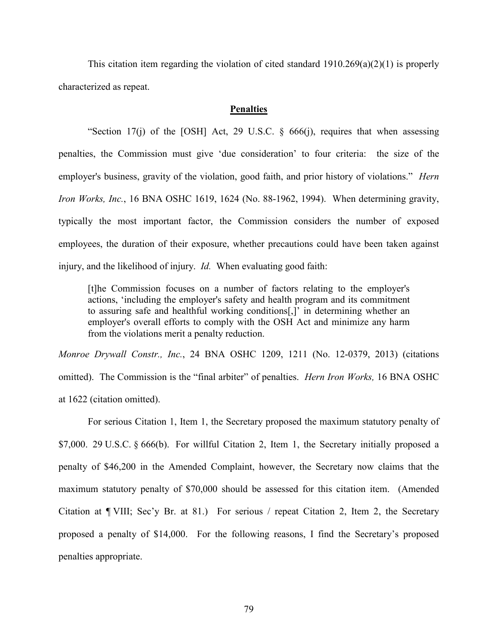This citation item regarding the violation of cited standard  $1910.269(a)(2)(1)$  is properly characterized as repeat.

## **Penalties**

"Section 17(j) of the [OSH] Act, 29 U.S.C.  $\S$  666(j), requires that when assessing penalties, the Commission must give 'due consideration' to four criteria: the size of the employer's business, gravity of the violation, good faith, and prior history of violations." *Hern Iron Works, Inc.*, 16 BNA OSHC 1619, 1624 (No. 88-1962, 1994). When determining gravity, typically the most important factor, the Commission considers the number of exposed employees, the duration of their exposure, whether precautions could have been taken against injury, and the likelihood of injury. *Id.* When evaluating good faith:

[t]he Commission focuses on a number of factors relating to the employer's actions, 'including the employer's safety and health program and its commitment to assuring safe and healthful working conditions[,]' in determining whether an employer's overall efforts to comply with the OSH Act and minimize any harm from the violations merit a penalty reduction.

*Monroe Drywall Constr., Inc.*, 24 BNA OSHC 1209, 1211 (No. 12-0379, 2013) (citations omitted). The Commission is the "final arbiter" of penalties. *Hern Iron Works,* 16 BNA OSHC at 1622 (citation omitted).

For serious Citation 1, Item 1, the Secretary proposed the maximum statutory penalty of  $$7,000.$  29 U.S.C.  $§$  666(b). For willful Citation 2, Item 1, the Secretary initially proposed a penalty of \$46,200 in the Amended Complaint, however, the Secretary now claims that the maximum statutory penalty of \$70,000 should be assessed for this citation item. (Amended Citation at ¶ VIII; Sec'y Br. at 81.) For serious / repeat Citation 2, Item 2, the Secretary proposed a penalty of \$14,000. For the following reasons, I find the Secretary's proposed penalties appropriate.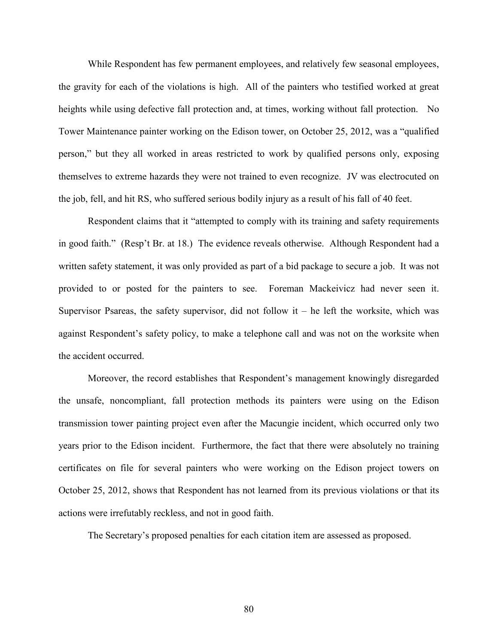While Respondent has few permanent employees, and relatively few seasonal employees, the gravity for each of the violations is high. All of the painters who testified worked at great heights while using defective fall protection and, at times, working without fall protection. No Tower Maintenance painter working on the Edison tower, on October 25, 2012, was a "qualified person," but they all worked in areas restricted to work by qualified persons only, exposing themselves to extreme hazards they were not trained to even recognize. JV was electrocuted on the job, fell, and hit RS, who suffered serious bodily injury as a result of his fall of 40 feet.

Respondent claims that it "attempted to comply with its training and safety requirements in good faith." (Resp't Br. at 18.) The evidence reveals otherwise. Although Respondent had a written safety statement, it was only provided as part of a bid package to secure a job. It was not provided to or posted for the painters to see. Foreman Mackeivicz had never seen it. Supervisor Psareas, the safety supervisor, did not follow it  $-$  he left the worksite, which was against Respondent's safety policy, to make a telephone call and was not on the worksite when the accident occurred.

Moreover, the record establishes that Respondent's management knowingly disregarded the unsafe, noncompliant, fall protection methods its painters were using on the Edison transmission tower painting project even after the Macungie incident, which occurred only two years prior to the Edison incident. Furthermore, the fact that there were absolutely no training certificates on file for several painters who were working on the Edison project towers on October 25, 2012, shows that Respondent has not learned from its previous violations or that its actions were irrefutably reckless, and not in good faith.

The Secretary's proposed penalties for each citation item are assessed as proposed.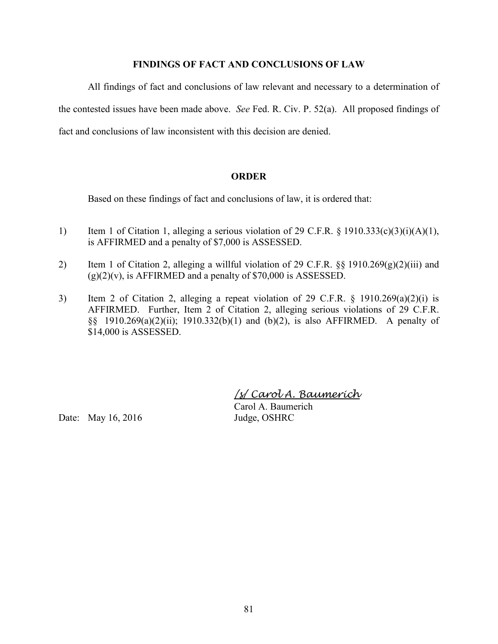# **FINDINGS OF FACT AND CONCLUSIONS OF LAW**

All findings of fact and conclusions of law relevant and necessary to a determination of the contested issues have been made above. *See* Fed. R. Civ. P. 52(a). All proposed findings of fact and conclusions of law inconsistent with this decision are denied.

# **ORDER**

Based on these findings of fact and conclusions of law, it is ordered that:

- 1) Item 1 of Citation 1, alleging a serious violation of 29 C.F.R.  $\S$  1910.333(c)(3)(i)(A)(1), is AFFIRMED and a penalty of \$7,000 is ASSESSED.
- 2) Item 1 of Citation 2, alleging a willful violation of 29 C.F.R.  $\S$ § 1910.269(g)(2)(iii) and  $(g)(2)(v)$ , is AFFIRMED and a penalty of \$70,000 is ASSESSED.
- 3) Item 2 of Citation 2, alleging a repeat violation of 29 C.F.R. § 1910.269(a)(2)(i) is AFFIRMED. Further, Item 2 of Citation 2, alleging serious violations of 29 C.F.R. §§ 1910.269(a)(2)(ii); 1910.332(b)(1) and (b)(2), is also AFFIRMED. A penalty of \$14,000 is ASSESSED.

*/s/ Carol A. Baumerich* 

Date: May 16, 2016 Judge, OSHRC

Carol A. Baumerich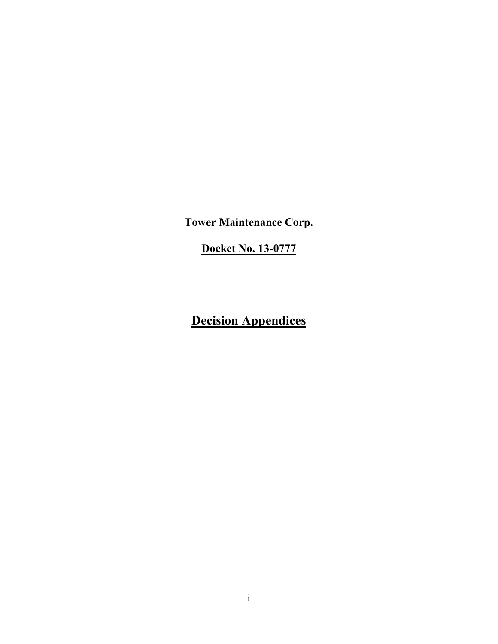**Tower Maintenance Corp.**

**Docket No. 13-0777**

**Decision Appendices**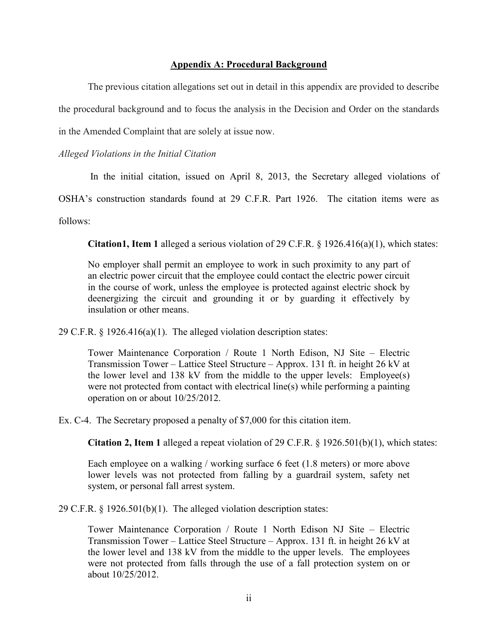### **Appendix A: Procedural Background**

The previous citation allegations set out in detail in this appendix are provided to describe the procedural background and to focus the analysis in the Decision and Order on the standards in the Amended Complaint that are solely at issue now.

## *Alleged Violations in the Initial Citation*

In the initial citation, issued on April 8, 2013, the Secretary alleged violations of

OSHA's construction standards found at 29 C.F.R. Part 1926. The citation items were as

follows:

**Citation1, Item 1** alleged a serious violation of 29 C.F.R. § 1926.416(a)(1), which states:

No employer shall permit an employee to work in such proximity to any part of an electric power circuit that the employee could contact the electric power circuit in the course of work, unless the employee is protected against electric shock by deenergizing the circuit and grounding it or by guarding it effectively by insulation or other means.

29 C.F.R. § 1926.416(a)(1). The alleged violation description states:

Tower Maintenance Corporation / Route 1 North Edison, NJ Site – Electric Transmission Tower – Lattice Steel Structure – Approx. 131 ft. in height 26 kV at the lower level and 138 kV from the middle to the upper levels: Employee(s) were not protected from contact with electrical line(s) while performing a painting operation on or about 10/25/2012.

Ex. C-4. The Secretary proposed a penalty of \$7,000 for this citation item.

**Citation 2, Item 1** alleged a repeat violation of 29 C.F.R. § 1926.501(b)(1), which states:

Each employee on a walking / working surface 6 feet (1.8 meters) or more above lower levels was not protected from falling by a guardrail system, safety net system, or personal fall arrest system.

29 C.F.R. § 1926.501(b)(1). The alleged violation description states:

Tower Maintenance Corporation / Route 1 North Edison NJ Site – Electric Transmission Tower – Lattice Steel Structure – Approx. 131 ft. in height 26 kV at the lower level and 138 kV from the middle to the upper levels. The employees were not protected from falls through the use of a fall protection system on or about 10/25/2012.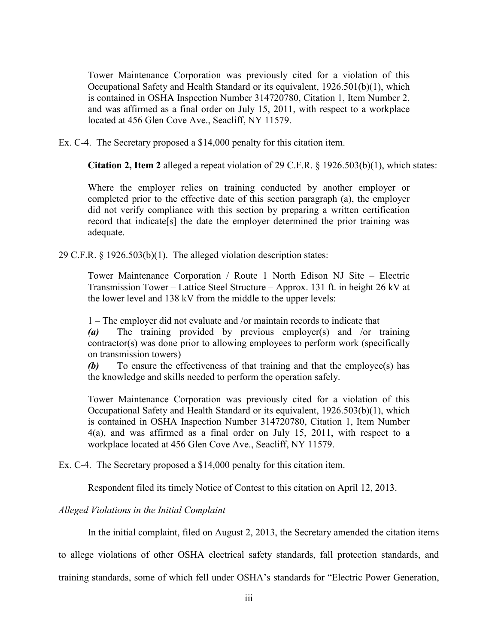Tower Maintenance Corporation was previously cited for a violation of this Occupational Safety and Health Standard or its equivalent, 1926.501(b)(1), which is contained in OSHA Inspection Number 314720780, Citation 1, Item Number 2, and was affirmed as a final order on July 15, 2011, with respect to a workplace located at 456 Glen Cove Ave., Seacliff, NY 11579.

Ex. C-4. The Secretary proposed a \$14,000 penalty for this citation item.

**Citation 2, Item 2** alleged a repeat violation of 29 C.F.R. § 1926.503(b)(1), which states:

Where the employer relies on training conducted by another employer or completed prior to the effective date of this section paragraph (a), the employer did not verify compliance with this section by preparing a written certification record that indicate[s] the date the employer determined the prior training was adequate.

29 C.F.R. § 1926.503(b)(1). The alleged violation description states:

Tower Maintenance Corporation / Route 1 North Edison NJ Site – Electric Transmission Tower – Lattice Steel Structure – Approx. 131 ft. in height 26 kV at the lower level and 138 kV from the middle to the upper levels:

1 – The employer did not evaluate and /or maintain records to indicate that

*(a)* The training provided by previous employer(s) and /or training contractor(s) was done prior to allowing employees to perform work (specifically on transmission towers)

*(b)* To ensure the effectiveness of that training and that the employee(s) has the knowledge and skills needed to perform the operation safely.

Tower Maintenance Corporation was previously cited for a violation of this Occupational Safety and Health Standard or its equivalent, 1926.503(b)(1), which is contained in OSHA Inspection Number 314720780, Citation 1, Item Number 4(a), and was affirmed as a final order on July 15, 2011, with respect to a workplace located at 456 Glen Cove Ave., Seacliff, NY 11579.

Ex. C-4. The Secretary proposed a \$14,000 penalty for this citation item.

Respondent filed its timely Notice of Contest to this citation on April 12, 2013.

*Alleged Violations in the Initial Complaint* 

In the initial complaint, filed on August 2, 2013, the Secretary amended the citation items

to allege violations of other OSHA electrical safety standards, fall protection standards, and

training standards, some of which fell under OSHA's standards for "Electric Power Generation,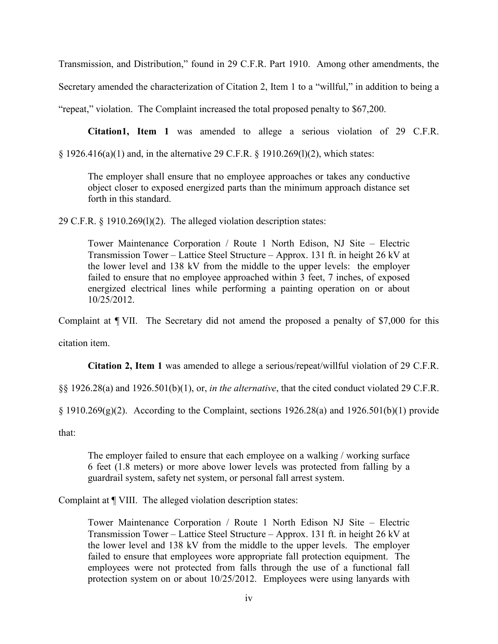Transmission, and Distribution," found in 29 C.F.R. Part 1910. Among other amendments, the

Secretary amended the characterization of Citation 2, Item 1 to a "willful," in addition to being a

"repeat," violation. The Complaint increased the total proposed penalty to \$67,200.

**Citation1, Item 1** was amended to allege a serious violation of 29 C.F.R.

§ 1926.416(a)(1) and, in the alternative 29 C.F.R. § 1910.269(l)(2), which states:

The employer shall ensure that no employee approaches or takes any conductive object closer to exposed energized parts than the minimum approach distance set forth in this standard.

29 C.F.R. § 1910.269(l)(2). The alleged violation description states:

Tower Maintenance Corporation / Route 1 North Edison, NJ Site – Electric Transmission Tower – Lattice Steel Structure – Approx. 131 ft. in height 26 kV at the lower level and 138 kV from the middle to the upper levels: the employer failed to ensure that no employee approached within 3 feet, 7 inches, of exposed energized electrical lines while performing a painting operation on or about 10/25/2012.

Complaint at ¶ VII. The Secretary did not amend the proposed a penalty of \$7,000 for this

citation item.

**Citation 2, Item 1** was amended to allege a serious/repeat/willful violation of 29 C.F.R.

§§ 1926.28(a) and 1926.501(b)(1), or, *in the alternative*, that the cited conduct violated 29 C.F.R.

 $\S$  1910.269(g)(2). According to the Complaint, sections 1926.28(a) and 1926.501(b)(1) provide

that:

The employer failed to ensure that each employee on a walking / working surface 6 feet (1.8 meters) or more above lower levels was protected from falling by a guardrail system, safety net system, or personal fall arrest system.

Complaint at ¶ VIII. The alleged violation description states:

Tower Maintenance Corporation / Route 1 North Edison NJ Site – Electric Transmission Tower – Lattice Steel Structure – Approx. 131 ft. in height 26 kV at the lower level and 138 kV from the middle to the upper levels. The employer failed to ensure that employees wore appropriate fall protection equipment. The employees were not protected from falls through the use of a functional fall protection system on or about 10/25/2012. Employees were using lanyards with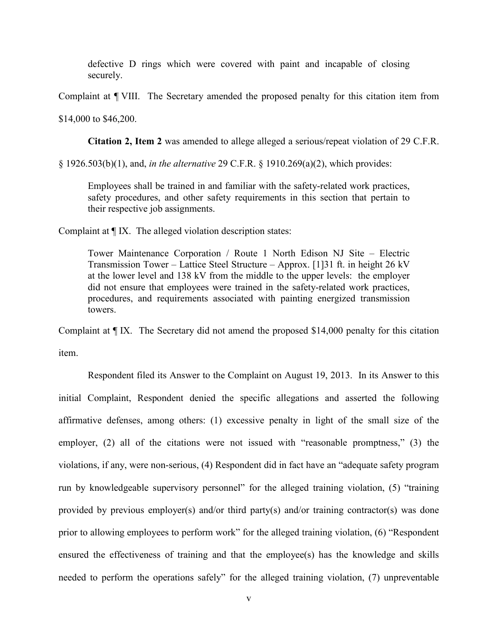defective D rings which were covered with paint and incapable of closing securely.

Complaint at ¶ VIII. The Secretary amended the proposed penalty for this citation item from

\$14,000 to \$46,200.

**Citation 2, Item 2** was amended to allege alleged a serious/repeat violation of 29 C.F.R.

§ 1926.503(b)(1), and, *in the alternative* 29 C.F.R. § 1910.269(a)(2), which provides:

Employees shall be trained in and familiar with the safety-related work practices, safety procedures, and other safety requirements in this section that pertain to their respective job assignments.

Complaint at ¶ IX. The alleged violation description states:

Tower Maintenance Corporation / Route 1 North Edison NJ Site – Electric Transmission Tower – Lattice Steel Structure – Approx. [1]31 ft. in height 26 kV at the lower level and 138 kV from the middle to the upper levels: the employer did not ensure that employees were trained in the safety-related work practices, procedures, and requirements associated with painting energized transmission towers.

Complaint at ¶ IX. The Secretary did not amend the proposed \$14,000 penalty for this citation item.

Respondent filed its Answer to the Complaint on August 19, 2013. In its Answer to this initial Complaint, Respondent denied the specific allegations and asserted the following affirmative defenses, among others: (1) excessive penalty in light of the small size of the employer, (2) all of the citations were not issued with "reasonable promptness," (3) the violations, if any, were non-serious, (4) Respondent did in fact have an "adequate safety program run by knowledgeable supervisory personnel" for the alleged training violation, (5) "training provided by previous employer(s) and/or third party(s) and/or training contractor(s) was done prior to allowing employees to perform work" for the alleged training violation, (6) "Respondent ensured the effectiveness of training and that the employee(s) has the knowledge and skills needed to perform the operations safely" for the alleged training violation, (7) unpreventable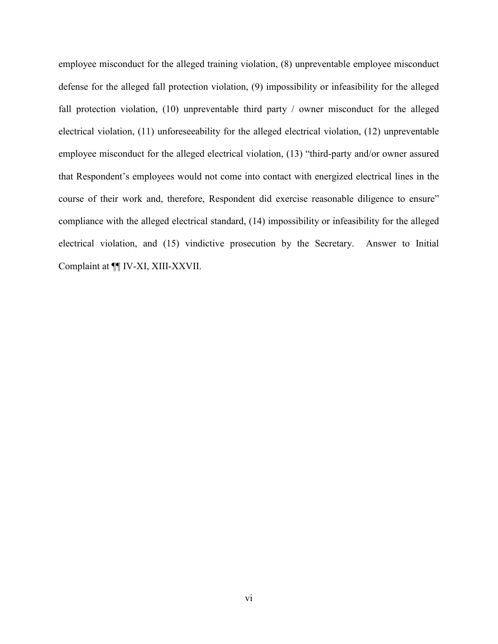employee misconduct for the alleged training violation, (8) unpreventable employee misconduct defense for the alleged fall protection violation, (9) impossibility or infeasibility for the alleged fall protection violation, (10) unpreventable third party / owner misconduct for the alleged electrical violation, (11) unforeseeability for the alleged electrical violation, (12) unpreventable employee misconduct for the alleged electrical violation, (13) "third-party and/or owner assured that Respondent's employees would not come into contact with energized electrical lines in the course of their work and, therefore, Respondent did exercise reasonable diligence to ensure" compliance with the alleged electrical standard, (14) impossibility or infeasibility for the alleged electrical violation, and (15) vindictive prosecution by the Secretary. Answer to Initial Complaint at ¶¶ IV-XI, XIII-XXVII.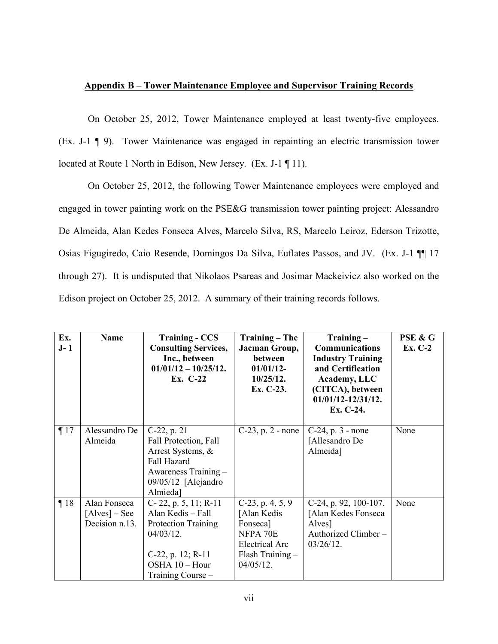## **Appendix B – Tower Maintenance Employee and Supervisor Training Records**

On October 25, 2012, Tower Maintenance employed at least twenty-five employees. (Ex. J-1 ¶ 9). Tower Maintenance was engaged in repainting an electric transmission tower located at Route 1 North in Edison, New Jersey. (Ex. J-1 ¶ 11).

On October 25, 2012, the following Tower Maintenance employees were employed and engaged in tower painting work on the PSE&G transmission tower painting project: Alessandro De Almeida, Alan Kedes Fonseca Alves, Marcelo Silva, RS, Marcelo Leiroz, Ederson Trizotte, Osias Figugiredo, Caio Resende, Domingos Da Silva, Euflates Passos, and JV. (Ex. J-1 ¶¶ 17 through 27). It is undisputed that Nikolaos Psareas and Josimar Mackeivicz also worked on the Edison project on October 25, 2012. A summary of their training records follows.

| Ex.<br>$J-1$ | <b>Name</b>                                       | <b>Training - CCS</b><br><b>Consulting Services,</b><br>Inc., between<br>$01/01/12 - 10/25/12$ .<br>Ex. C-22                                          | <b>Training – The</b><br>Jacman Group,<br>between<br>$01/01/12-$<br>10/25/12.<br>Ex. C-23.                                | Training-<br>Communications<br><b>Industry Training</b><br>and Certification<br>Academy, LLC<br>(CITCA), between<br>01/01/12-12/31/12.<br>Ex. C-24. | PSE & G<br><b>Ex. C-2</b> |
|--------------|---------------------------------------------------|-------------------------------------------------------------------------------------------------------------------------------------------------------|---------------------------------------------------------------------------------------------------------------------------|-----------------------------------------------------------------------------------------------------------------------------------------------------|---------------------------|
| $\P17$       | Alessandro De<br>Almeida                          | $C-22$ , p. 21<br>Fall Protection, Fall<br>Arrest Systems, &<br>Fall Hazard<br>Awareness Training -<br>09/05/12 [Alejandro<br>Almieda]                | $C-23$ , p. 2 - none                                                                                                      | $C-24$ , p. 3 - none<br>[Allesandro De<br>Almeida]                                                                                                  | None                      |
| $\P18$       | Alan Fonseca<br>$[Alves] - See$<br>Decision n.13. | C-22, p. 5, 11; R-11<br>Alan Kedis - Fall<br><b>Protection Training</b><br>$04/03/12$ .<br>C-22, p. $12; R-11$<br>OSHA 10 - Hour<br>Training Course - | $C-23$ , p. 4, 5, 9<br>[Alan Kedis<br>Fonseca]<br>NFPA 70E<br><b>Electrical Arc</b><br>$Flash Training -$<br>$04/05/12$ . | C-24, p. 92, 100-107.<br>[Alan Kedes Fonseca<br>Alves]<br>Authorized Climber-<br>$03/26/12$ .                                                       | None                      |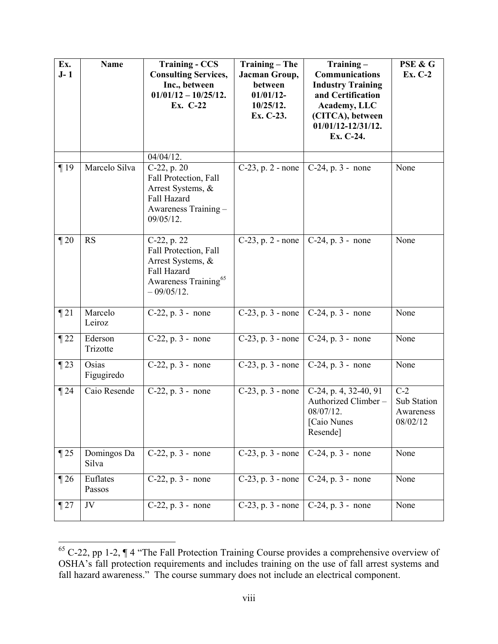| Ex.<br>$J-1$ | <b>Name</b>          | <b>Training - CCS</b><br><b>Consulting Services,</b><br>Inc., between<br>$01/01/12 - 10/25/12$ .<br>Ex. C-22                 | <b>Training - The</b><br>Jacman Group,<br>between<br>$01/01/12-$<br>10/25/12.<br>Ex. C-23. | $Training -$<br>Communications<br><b>Industry Training</b><br>and Certification<br>Academy, LLC<br>(CITCA), between<br>01/01/12-12/31/12.<br>Ex. C-24. | PSE & G<br>Ex. C-2                            |
|--------------|----------------------|------------------------------------------------------------------------------------------------------------------------------|--------------------------------------------------------------------------------------------|--------------------------------------------------------------------------------------------------------------------------------------------------------|-----------------------------------------------|
|              |                      | $04/04/12$ .                                                                                                                 |                                                                                            |                                                                                                                                                        |                                               |
| $\P19$       | Marcelo Silva        | $C-22$ , p. 20<br>Fall Protection, Fall<br>Arrest Systems, &<br>Fall Hazard<br>Awareness Training -<br>$09/05/12$ .          | $C-23$ , p. 2 - none                                                                       | $C-24$ , p. 3 - none                                                                                                                                   | None                                          |
| $\P 20$      | RS                   | C-22, p. 22<br>Fall Protection, Fall<br>Arrest Systems, &<br>Fall Hazard<br>Awareness Training <sup>65</sup><br>$-09/05/12.$ | $C-23$ , p. 2 - none                                                                       | $C-24$ , p. 3 - none                                                                                                                                   | None                                          |
| $\P$ 21      | Marcelo<br>Leiroz    | $C-22$ , p. 3 - none                                                                                                         |                                                                                            | C-23, p. $3$ - none   C-24, p. $3$ - none                                                                                                              | None                                          |
| $\P$ 22      | Ederson<br>Trizotte  | $C-22$ , p. 3 - none                                                                                                         | $C-23$ , p. 3 - none                                                                       | $C-24$ , p. 3 - none                                                                                                                                   | None                                          |
| $\P$ 23      | Osias<br>Figugiredo  | $C-22$ , p. 3 - none                                                                                                         | $C-23$ , p. 3 - none                                                                       | C-24, p. 3 - none                                                                                                                                      | None                                          |
| $\P$ 24      | Caio Resende         | $C-22$ , p. 3 - none                                                                                                         | $C-23$ , p. 3 - none                                                                       | C-24, p. 4, 32-40, 91<br>Authorized Climber-<br>08/07/12.<br>[Caio Nunes<br>Resende]                                                                   | $C-2$<br>Sub Station<br>Awareness<br>08/02/12 |
| $\P$ 25      | Domingos Da<br>Silva | $C-22$ , p. 3 - none                                                                                                         | $C-23$ , p. 3 - none                                                                       | C-24, p. 3 - none                                                                                                                                      | None                                          |
| $\P$ 26      | Euflates<br>Passos   | $C-22$ , p. 3 - none                                                                                                         | $C-23$ , p. 3 - none                                                                       | $C-24$ , p. 3 - none                                                                                                                                   | None                                          |
| $\P$ 27      | JV                   | $C-22$ , p. 3 - none                                                                                                         | $C-23$ , p. 3 - none                                                                       | $C-24$ , p. 3 - none                                                                                                                                   | None                                          |

<span id="page-88-0"></span> $65$  C-22, pp 1-2,  $\P$  4 "The Fall Protection Training Course provides a comprehensive overview of OSHA's fall protection requirements and includes training on the use of fall arrest systems and fall hazard awareness." The course summary does not include an electrical component.

 $\overline{a}$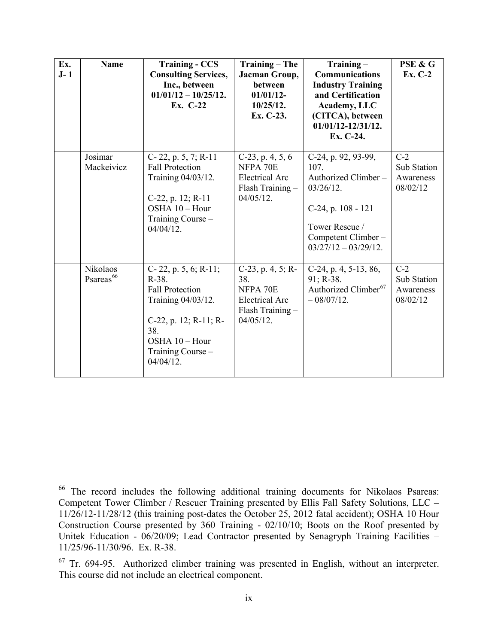| Ex.<br>$J-1$ | <b>Name</b>                       | <b>Training - CCS</b><br><b>Consulting Services,</b><br>Inc., between<br>$01/01/12 - 10/25/12$ .<br>Ex. C-22                                                         | <b>Training – The</b><br>Jacman Group,<br>between<br>$01/01/12$ -<br>10/25/12.<br>Ex. C-23.  | $Training -$<br><b>Communications</b><br><b>Industry Training</b><br>and Certification<br>Academy, LLC<br>(CITCA), between<br>01/01/12-12/31/12.<br>Ex. C-24. | PSE & G<br><b>Ex. C-2</b>                     |
|--------------|-----------------------------------|----------------------------------------------------------------------------------------------------------------------------------------------------------------------|----------------------------------------------------------------------------------------------|---------------------------------------------------------------------------------------------------------------------------------------------------------------|-----------------------------------------------|
|              | Josimar<br>Mackeivicz             | C-22, p. 5, 7; R-11<br><b>Fall Protection</b><br>Training 04/03/12.<br>C-22, p. 12; R-11<br>OSHA 10 - Hour<br>Training Course -<br>$04/04/12$ .                      | $C-23$ , p. 4, 5, 6<br>NFPA 70E<br><b>Electrical Arc</b><br>Flash Training -<br>$04/05/12$ . | C-24, p. 92, 93-99,<br>107.<br>Authorized Climber-<br>$03/26/12$ .<br>C-24, p. 108 - 121<br>Tower Rescue /<br>Competent Climber -<br>$03/27/12 - 03/29/12$ .  | $C-2$<br>Sub Station<br>Awareness<br>08/02/12 |
|              | Nikolaos<br>Psareas <sup>66</sup> | C-22, p. 5, 6; R-11;<br>R-38.<br><b>Fall Protection</b><br>Training 04/03/12.<br>C-22, p. 12; R-11; R-<br>38.<br>OSHA 10 - Hour<br>Training Course -<br>$04/04/12$ . | C-23, p. 4, 5; R-<br>38.<br>NFPA 70E<br>Electrical Arc<br>Flash Training -<br>$04/05/12$ .   | C-24, p. 4, 5-13, 86,<br>91; R-38.<br>Authorized Climber <sup>67</sup><br>$-08/07/12.$                                                                        | $C-2$<br>Sub Station<br>Awareness<br>08/02/12 |

<span id="page-89-0"></span> $\overline{a}$ <sup>66</sup> The record includes the following additional training documents for Nikolaos Psareas: Competent Tower Climber / Rescuer Training presented by Ellis Fall Safety Solutions, LLC – 11/26/12-11/28/12 (this training post-dates the October 25, 2012 fatal accident); OSHA 10 Hour Construction Course presented by 360 Training - 02/10/10; Boots on the Roof presented by Unitek Education - 06/20/09; Lead Contractor presented by Senagryph Training Facilities – 11/25/96-11/30/96. Ex. R-38.

<span id="page-89-1"></span> $67$  Tr. 694-95. Authorized climber training was presented in English, without an interpreter. This course did not include an electrical component.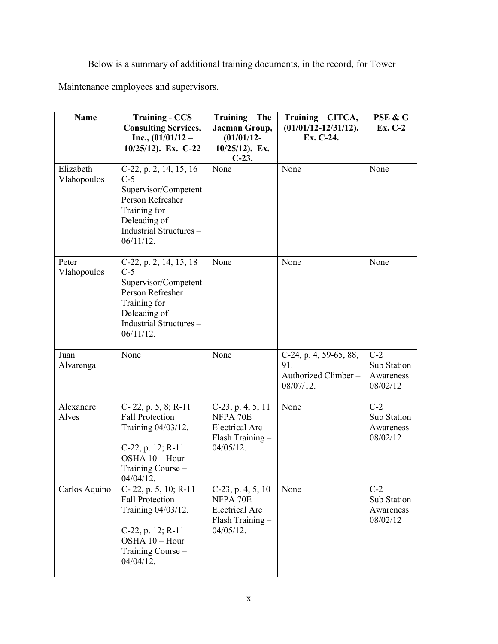Below is a summary of additional training documents, in the record, for Tower

Maintenance employees and supervisors.

| <b>Name</b>              | <b>Training - CCS</b><br><b>Consulting Services,</b>                                                                                                   | Training - The<br>Jacman Group,                                                            | Training – CITCA,<br>$(01/01/12 - 12/31/12)$ .                    | PSE & G<br>Ex. C-2                            |
|--------------------------|--------------------------------------------------------------------------------------------------------------------------------------------------------|--------------------------------------------------------------------------------------------|-------------------------------------------------------------------|-----------------------------------------------|
|                          | Inc., $(01/01/12 -$<br>10/25/12). Ex. C-22                                                                                                             | $(01/01/12 -$<br>$10/25/12$ ). Ex.<br>$C-23$ .                                             | Ex. C-24.                                                         |                                               |
| Elizabeth<br>Vlahopoulos | C-22, p. 2, 14, 15, 16<br>$C-5$<br>Supervisor/Competent<br>Person Refresher<br>Training for<br>Deleading of<br>Industrial Structures -<br>$06/11/12$ . | None                                                                                       | None                                                              | None                                          |
| Peter<br>Vlahopoulos     | C-22, p. 2, 14, 15, 18<br>$C-5$<br>Supervisor/Competent<br>Person Refresher<br>Training for<br>Deleading of<br>Industrial Structures -<br>$06/11/12$ . | None                                                                                       | None                                                              | None                                          |
| Juan<br>Alvarenga        | None                                                                                                                                                   | None                                                                                       | C-24, p. 4, 59-65, 88,<br>91.<br>Authorized Climber-<br>08/07/12. | $C-2$<br>Sub Station<br>Awareness<br>08/02/12 |
| Alexandre<br>Alves       | C-22, p. $5, 8$ ; R-11<br><b>Fall Protection</b><br>Training 04/03/12.<br>C-22, p. 12; R-11<br>OSHA 10 - Hour<br>Training Course -<br>$04/04/12$ .     | C-23, p. 4, 5, 11<br>NFPA 70E<br><b>Electrical Arc</b><br>Flash Training -<br>$04/05/12$ . | None                                                              | $C-2$<br>Sub Station<br>Awareness<br>08/02/12 |
| Carlos Aquino            | C-22, p. 5, 10; R-11<br><b>Fall Protection</b><br>Training 04/03/12.<br>C-22, p. 12; R-11<br>OSHA 10 - Hour<br>Training Course -<br>$04/04/12$ .       | C-23, p. 4, 5, 10<br>NFPA 70E<br><b>Electrical Arc</b><br>Flash Training-<br>$04/05/12$ .  | None                                                              | $C-2$<br>Sub Station<br>Awareness<br>08/02/12 |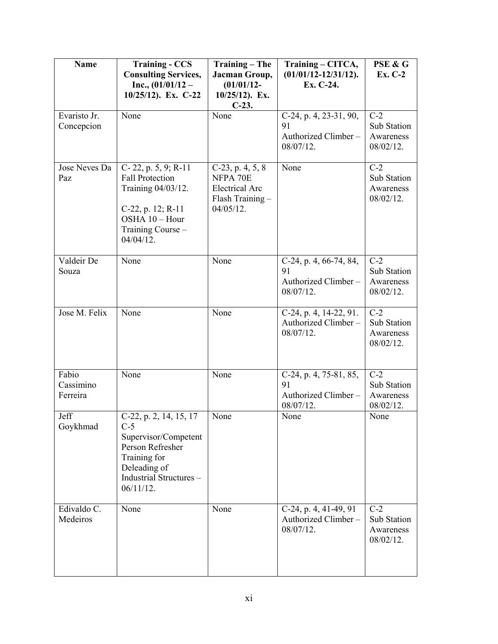| <b>Name</b>                    | <b>Training - CCS</b><br><b>Consulting Services,</b><br>Inc., $(01/01/12 -$<br>10/25/12). Ex. C-22                                                    | <b>Training - The</b><br>Jacman Group,<br>$(01/01/12 -$<br>$10/25/12$ ). Ex.<br>$C-23.$      | Training - CITCA,<br>$(01/01/12 - 12/31/12)$ .<br>Ex. C-24.         | PSE & G<br>Ex. C-2                             |
|--------------------------------|-------------------------------------------------------------------------------------------------------------------------------------------------------|----------------------------------------------------------------------------------------------|---------------------------------------------------------------------|------------------------------------------------|
| Evaristo Jr.<br>Concepcion     | None                                                                                                                                                  | None                                                                                         | C-24, p. 4, 23-31, 90,<br>91<br>Authorized Climber-<br>08/07/12.    | $C-2$<br>Sub Station<br>Awareness<br>08/02/12. |
| Jose Neves Da<br>Paz           | C-22, p. 5, 9; R-11<br><b>Fall Protection</b><br>Training 04/03/12.<br>C-22, p. 12; R-11<br>OSHA 10 - Hour<br>Training Course -<br>$04/04/12$ .       | $C-23$ , p. 4, 5, 8<br>NFPA 70E<br><b>Electrical Arc</b><br>Flash Training -<br>$04/05/12$ . | None                                                                | $C-2$<br>Sub Station<br>Awareness<br>08/02/12. |
| Valdeir De<br>Souza            | None                                                                                                                                                  | None                                                                                         | C-24, p. 4, 66-74, 84,<br>91<br>Authorized Climber-<br>08/07/12.    | $C-2$<br>Sub Station<br>Awareness<br>08/02/12. |
| Jose M. Felix                  | None                                                                                                                                                  | None                                                                                         | C-24, p. 4, 14-22, 91.<br>Authorized Climber-<br>08/07/12.          | $C-2$<br>Sub Station<br>Awareness<br>08/02/12. |
| Fabio<br>Cassimino<br>Ferreira | None                                                                                                                                                  | None                                                                                         | $C-24$ , p. 4, 75-81, 85,<br>91<br>Authorized Climber-<br>08/07/12. | $C-2$<br>Sub Station<br>Awareness<br>08/02/12. |
| Jeff<br>Goykhmad               | C-22, p. 2, 14, 15, 17<br>$C-5$<br>Supervisor/Competent<br>Person Refresher<br>Training for<br>Deleading of<br>Industrial Structures-<br>$06/11/12$ . | None                                                                                         | None                                                                | None                                           |
| Edivaldo C.<br>Medeiros        | None                                                                                                                                                  | None                                                                                         | C-24, p. 4, 41-49, 91<br>Authorized Climber-<br>08/07/12.           | $C-2$<br>Sub Station<br>Awareness<br>08/02/12. |